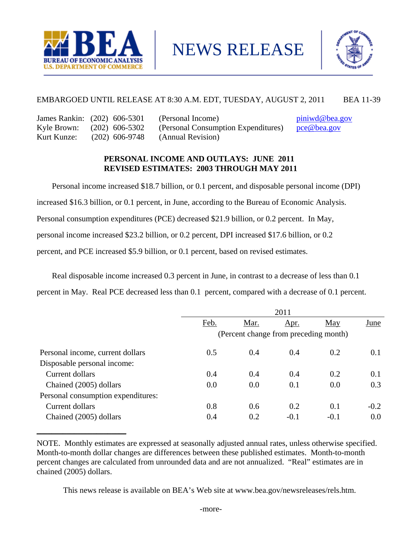

NEWS RELEASE



## EMBARGOED UNTIL RELEASE AT 8:30 A.M. EDT, TUESDAY, AUGUST 2, 2011 BEA 11-39

| James Rankin: (202) 606-5301 |                  | (Perso |
|------------------------------|------------------|--------|
| Kyle Brown:                  | $(202)$ 606-5302 | (Perso |
| Kurt Kunze:                  | $(202)$ 606-9748 | (Annu  |

**\_\_\_\_\_\_\_\_\_\_\_\_\_\_\_\_\_\_\_\_\_\_\_\_**

 $p_{\text{final}}$  Income) piniwd@bea.gov Inal Consumption Expenditures) pce@bea.gov al Revision)

## **PERSONAL INCOME AND OUTLAYS: JUNE 2011 REVISED ESTIMATES: 2003 THROUGH MAY 2011**

 Personal income increased \$18.7 billion, or 0.1 percent, and disposable personal income (DPI) increased \$16.3 billion, or 0.1 percent, in June, according to the Bureau of Economic Analysis. Personal consumption expenditures (PCE) decreased \$21.9 billion, or 0.2 percent. In May, personal income increased \$23.2 billion, or 0.2 percent, DPI increased \$17.6 billion, or 0.2 percent, and PCE increased \$5.9 billion, or 0.1 percent, based on revised estimates. Ī

 Real disposable income increased 0.3 percent in June, in contrast to a decrease of less than 0.1 percent in May. Real PCE decreased less than 0.1 percent, compared with a decrease of 0.1 percent.

|                                    | 2011 |                                       |             |        |        |  |  |  |  |  |
|------------------------------------|------|---------------------------------------|-------------|--------|--------|--|--|--|--|--|
|                                    | Feb. | Mar.                                  | <u>Apr.</u> | May    | June   |  |  |  |  |  |
|                                    |      | (Percent change from preceding month) |             |        |        |  |  |  |  |  |
| Personal income, current dollars   | 0.5  | 0.4                                   | 0.4         | 0.2    | 0.1    |  |  |  |  |  |
| Disposable personal income:        |      |                                       |             |        |        |  |  |  |  |  |
| Current dollars                    | 0.4  | 0.4                                   | 0.4         | 0.2    | 0.1    |  |  |  |  |  |
| Chained (2005) dollars             | 0.0  | 0.0                                   | 0.1         | 0.0    | 0.3    |  |  |  |  |  |
| Personal consumption expenditures: |      |                                       |             |        |        |  |  |  |  |  |
| Current dollars                    | 0.8  | 0.6                                   | 0.2         | 0.1    | $-0.2$ |  |  |  |  |  |
| Chained (2005) dollars             | 0.4  | 0.2                                   | $-0.1$      | $-0.1$ | 0.0    |  |  |  |  |  |

NOTE. Monthly estimates are expressed at seasonally adjusted annual rates, unless otherwise specified. Month-to-month dollar changes are differences between these published estimates. Month-to-month percent changes are calculated from unrounded data and are not annualized. "Real" estimates are in chained (2005) dollars.

This news release is available on BEA's Web site at www.bea.gov/newsreleases/rels.htm.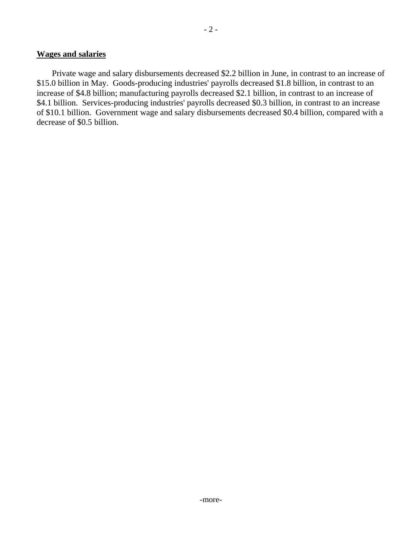### **Wages and salaries**

 Private wage and salary disbursements decreased \$2.2 billion in June, in contrast to an increase of \$15.0 billion in May. Goods-producing industries' payrolls decreased \$1.8 billion, in contrast to an increase of \$4.8 billion; manufacturing payrolls decreased \$2.1 billion, in contrast to an increase of \$4.1 billion. Services-producing industries' payrolls decreased \$0.3 billion, in contrast to an increase of \$10.1 billion. Government wage and salary disbursements decreased \$0.4 billion, compared with a decrease of \$0.5 billion.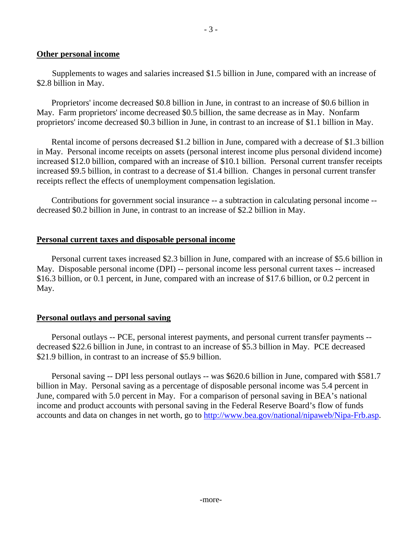### **Other personal income**

 Supplements to wages and salaries increased \$1.5 billion in June, compared with an increase of \$2.8 billion in May.

 Proprietors' income decreased \$0.8 billion in June, in contrast to an increase of \$0.6 billion in May. Farm proprietors' income decreased \$0.5 billion, the same decrease as in May. Nonfarm proprietors' income decreased \$0.3 billion in June, in contrast to an increase of \$1.1 billion in May.

 Rental income of persons decreased \$1.2 billion in June, compared with a decrease of \$1.3 billion in May. Personal income receipts on assets (personal interest income plus personal dividend income) increased \$12.0 billion, compared with an increase of \$10.1 billion. Personal current transfer receipts increased \$9.5 billion, in contrast to a decrease of \$1.4 billion. Changes in personal current transfer receipts reflect the effects of unemployment compensation legislation.

 Contributions for government social insurance -- a subtraction in calculating personal income - decreased \$0.2 billion in June, in contrast to an increase of \$2.2 billion in May.

### **Personal current taxes and disposable personal income**

 Personal current taxes increased \$2.3 billion in June, compared with an increase of \$5.6 billion in May. Disposable personal income (DPI) -- personal income less personal current taxes -- increased \$16.3 billion, or 0.1 percent, in June, compared with an increase of \$17.6 billion, or 0.2 percent in May.

### **Personal outlays and personal saving**

 Personal outlays -- PCE, personal interest payments, and personal current transfer payments - decreased \$22.6 billion in June, in contrast to an increase of \$5.3 billion in May. PCE decreased \$21.9 billion, in contrast to an increase of \$5.9 billion.

 Personal saving -- DPI less personal outlays -- was \$620.6 billion in June, compared with \$581.7 billion in May. Personal saving as a percentage of disposable personal income was 5.4 percent in June, compared with 5.0 percent in May. For a comparison of personal saving in BEA's national income and product accounts with personal saving in the Federal Reserve Board's flow of funds accounts and data on changes in net worth, go to http://www.bea.gov/national/nipaweb/Nipa-Frb.asp.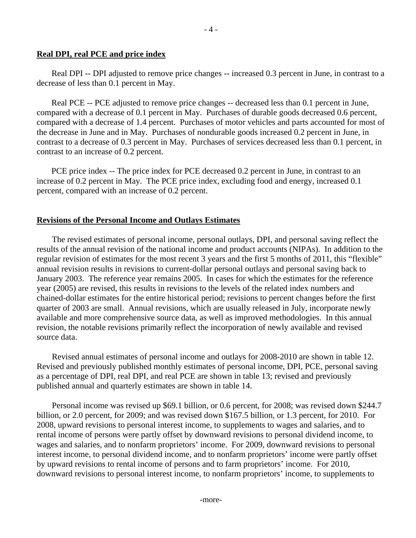Real DPI -- DPI adjusted to remove price changes -- increased 0.3 percent in June, in contrast to a decrease of less than 0.1 percent in May.

 Real PCE -- PCE adjusted to remove price changes -- decreased less than 0.1 percent in June, compared with a decrease of 0.1 percent in May. Purchases of durable goods decreased 0.6 percent, compared with a decrease of 1.4 percent. Purchases of motor vehicles and parts accounted for most of the decrease in June and in May. Purchases of nondurable goods increased 0.2 percent in June, in contrast to a decrease of 0.3 percent in May. Purchases of services decreased less than 0.1 percent, in contrast to an increase of 0.2 percent.

PCE price index -- The price index for PCE decreased 0.2 percent in June, in contrast to an increase of 0.2 percent in May. The PCE price index, excluding food and energy, increased 0.1 percent, compared with an increase of 0.2 percent.

# **Revisions of the Personal Income and Outlays Estimates**

 The revised estimates of personal income, personal outlays, DPI, and personal saving reflect the results of the annual revision of the national income and product accounts (NIPAs). In addition to the regular revision of estimates for the most recent 3 years and the first 5 months of 2011, this "flexible" annual revision results in revisions to current-dollar personal outlays and personal saving back to January 2003. The reference year remains 2005. In cases for which the estimates for the reference year (2005) are revised, this results in revisions to the levels of the related index numbers and chained-dollar estimates for the entire historical period; revisions to percent changes before the first quarter of 2003 are small. Annual revisions, which are usually released in July, incorporate newly available and more comprehensive source data, as well as improved methodologies. In this annual revision, the notable revisions primarily reflect the incorporation of newly available and revised source data.

 Revised annual estimates of personal income and outlays for 2008-2010 are shown in table 12. Revised and previously published monthly estimates of personal income, DPI, PCE, personal saving as a percentage of DPI, real DPI, and real PCE are shown in table 13; revised and previously published annual and quarterly estimates are shown in table 14.

 Personal income was revised up \$69.1 billion, or 0.6 percent, for 2008; was revised down \$244.7 billion, or 2.0 percent, for 2009; and was revised down \$167.5 billion, or 1.3 percent, for 2010. For 2008, upward revisions to personal interest income, to supplements to wages and salaries, and to rental income of persons were partly offset by downward revisions to personal dividend income, to wages and salaries, and to nonfarm proprietors' income. For 2009, downward revisions to personal interest income, to personal dividend income, and to nonfarm proprietors' income were partly offset by upward revisions to rental income of persons and to farm proprietors' income. For 2010, downward revisions to personal interest income, to nonfarm proprietors' income, to supplements to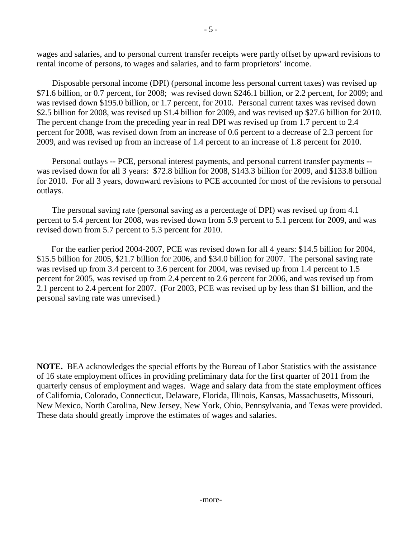wages and salaries, and to personal current transfer receipts were partly offset by upward revisions to rental income of persons, to wages and salaries, and to farm proprietors' income.

Disposable personal income (DPI) (personal income less personal current taxes) was revised up \$71.6 billion, or 0.7 percent, for 2008; was revised down \$246.1 billion, or 2.2 percent, for 2009; and was revised down \$195.0 billion, or 1.7 percent, for 2010. Personal current taxes was revised down \$2.5 billion for 2008, was revised up \$1.4 billion for 2009, and was revised up \$27.6 billion for 2010. The percent change from the preceding year in real DPI was revised up from 1.7 percent to 2.4 percent for 2008, was revised down from an increase of 0.6 percent to a decrease of 2.3 percent for 2009, and was revised up from an increase of 1.4 percent to an increase of 1.8 percent for 2010.

Personal outlays -- PCE, personal interest payments, and personal current transfer payments - was revised down for all 3 years: \$72.8 billion for 2008, \$143.3 billion for 2009, and \$133.8 billion for 2010. For all 3 years, downward revisions to PCE accounted for most of the revisions to personal outlays.

The personal saving rate (personal saving as a percentage of DPI) was revised up from 4.1 percent to 5.4 percent for 2008, was revised down from 5.9 percent to 5.1 percent for 2009, and was revised down from 5.7 percent to 5.3 percent for 2010.

 For the earlier period 2004-2007, PCE was revised down for all 4 years: \$14.5 billion for 2004, \$15.5 billion for 2005, \$21.7 billion for 2006, and \$34.0 billion for 2007. The personal saving rate was revised up from 3.4 percent to 3.6 percent for 2004, was revised up from 1.4 percent to 1.5 percent for 2005, was revised up from 2.4 percent to 2.6 percent for 2006, and was revised up from 2.1 percent to 2.4 percent for 2007. (For 2003, PCE was revised up by less than \$1 billion, and the personal saving rate was unrevised.)

**NOTE.** BEA acknowledges the special efforts by the Bureau of Labor Statistics with the assistance of 16 state employment offices in providing preliminary data for the first quarter of 2011 from the quarterly census of employment and wages. Wage and salary data from the state employment offices of California, Colorado, Connecticut, Delaware, Florida, Illinois, Kansas, Massachusetts, Missouri, New Mexico, North Carolina, New Jersey, New York, Ohio, Pennsylvania, and Texas were provided. These data should greatly improve the estimates of wages and salaries.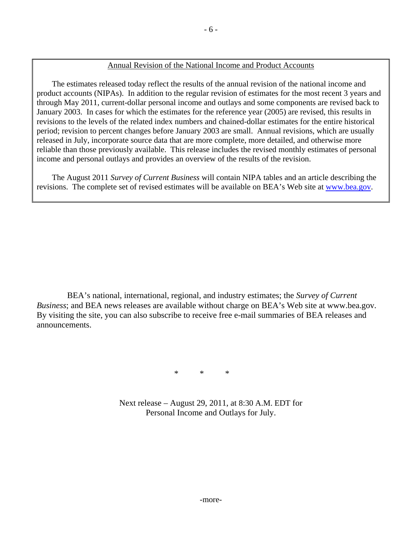### Annual Revision of the National Income and Product Accounts

 The estimates released today reflect the results of the annual revision of the national income and product accounts (NIPAs). In addition to the regular revision of estimates for the most recent 3 years and through May 2011, current-dollar personal income and outlays and some components are revised back to January 2003. In cases for which the estimates for the reference year (2005) are revised, this results in revisions to the levels of the related index numbers and chained-dollar estimates for the entire historical period; revision to percent changes before January 2003 are small. Annual revisions, which are usually released in July, incorporate source data that are more complete, more detailed, and otherwise more reliable than those previously available. This release includes the revised monthly estimates of personal income and personal outlays and provides an overview of the results of the revision.

 The August 2011 *Survey of Current Business* will contain NIPA tables and an article describing the revisions. The complete set of revised estimates will be available on BEA's Web site at www.bea.gov.

 BEA's national, international, regional, and industry estimates; the *Survey of Current Business*; and BEA news releases are available without charge on BEA's Web site at www.bea.gov. By visiting the site, you can also subscribe to receive free e-mail summaries of BEA releases and announcements.

 $*$  \* \* \* \*

Next release – August 29, 2011, at 8:30 A.M. EDT for Personal Income and Outlays for July.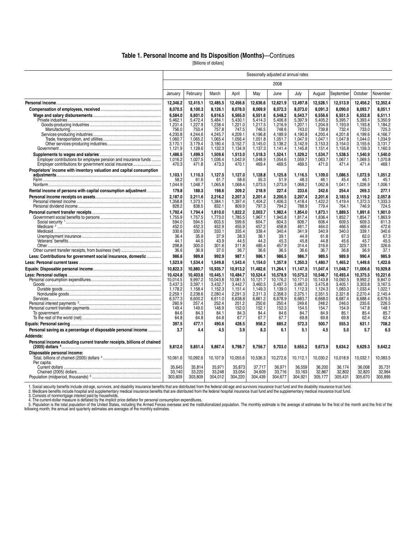#### **Table 1. Personal Income and Its Disposition (Months)**—Continues

[Billions of dollars]

|                                                                          | Seasonally adjusted at annual rates |                    |                    |                    |                    |                    |                    |                    |                    |                    |                    |
|--------------------------------------------------------------------------|-------------------------------------|--------------------|--------------------|--------------------|--------------------|--------------------|--------------------|--------------------|--------------------|--------------------|--------------------|
|                                                                          |                                     |                    |                    |                    |                    | 2008               |                    |                    |                    |                    |                    |
|                                                                          | January                             | February           | March              | April              | May                | June               | July               | August             | September          | October            | November           |
|                                                                          | 12,346.2                            | 12,415.1           | 12,485.5           | 12,456.6           | 12,636.6           | 12,621.9           | 12,497.8           | 12,528.1           | 12,513.9           | 12,456.2           | 12.352.4           |
|                                                                          | 8,070.5                             | 8,100.3            | 8,126.1            | 8,078.0            | 8,069.9            | 8,072.3            | 8,073.0            | 8,091.3            | 8,090.0            | 8,093.7            | 8,051.1            |
|                                                                          | 6,584.0                             | 6.601.0            | 6.616.5            | 6,565.0            | 6,551.6            | 6.548.2            | 6.543.7            | 6.556.6            | 6.551.5            | 6,552.8            | 6.511.1            |
|                                                                          | 5,462.1<br>1,231.4                  | 5,472.4<br>1,227.9 | 5,484.1<br>1,238.4 | 5,430.1<br>1,221.0 | 5,414.3<br>1,217.5 | 5,406.8<br>1,216.9 | 5,397.9<br>1,207.1 | 5.405.2<br>1,204.9 | 5,395.7<br>1,193.9 | 5,393.4<br>1,193.8 | 5,350.9<br>1,184.2 |
|                                                                          | 756.0                               | 753.4              | 757.8              | 747.5              | 746.5              | 748.6              | 743.0              | 739.8              | 732.4              | 733.0              | 725.3              |
|                                                                          | 4,230.8                             | 4,244.6            | 4,245.7            | 4,209.1            | 4,196.8            | 4,189.9            | 4,190.8            | 4,200.4            | 4,201.8            | 4,199.6            | 4,166.7            |
|                                                                          | 1.060.7                             | 1,065.2            | 1,065.4            | 1,056.4            | 1,051.8            | 1,051.7            | 1.047.9            | 1.047.1            | 1.047.8            | 1.044.0            | 1,034.9            |
|                                                                          | 3.170.1                             | 3.179.4            | 3.180.4            | 3.152.7            | 3.145.0            | 3.138.2            | 3.142.9            | 3.153.3            | 3.154.0            | 3.155.6            | 3.131.7            |
|                                                                          | 1,121.9                             | 1,128.6            | 1,132.3            | 1,134.9            | 1,137.3            | 1,141.4            | 1,145.8            | 1,151.4            | 1,155.8            | 1,159.3            | 1,160.3            |
| Employer contributions for employee pension and insurance funds          | 1.486.5<br>1,016.2                  | 1.499.3<br>1,027.5 | 1,509.6<br>1,036.4 | 1,513.0<br>1,042.9 | 1,518.3<br>1,048.9 | 1,524.1<br>1,054.6 | 1,529.2<br>1,059.7 | 1,534.7<br>1,063.7 | 1,538.5<br>1,067.1 | 1,540.9<br>1,069.5 | 1.540.0<br>1,070.8 |
| Employer contributions for government social insurance                   | 470.3                               | 471.8              | 473.3              | 470.1              | 469.4              | 469.5              | 469.5              | 471.0              | 471.4              | 471.4              | 469.1              |
| Proprietors' income with inventory valuation and capital consumption     |                                     |                    |                    |                    |                    |                    |                    |                    |                    |                    |                    |
|                                                                          | 1,103.1                             | 1,110.3            | 1,127.5            | 1,127.0            | 1,128.8            | 1,125.8            | 1,116.5            | 1,109.0            | 1,086.5            | 1,072.9            | 1,051.2            |
|                                                                          | 58.2                                | 61.6               | 61.7               | 58.6               | 55.3               | 51.9               | 48.3               | 46.1               | 45.4               | 46.1               | 45.1               |
|                                                                          | 1,044.9                             | 1,048.7            | 1,065.8            | 1,068.4            | 1,073.5            | 1,073.9            | 1,068.2            | 1,062.8            | 1,041.1            | 1,026.9            | 1,006.1            |
| Rental income of persons with capital consumption adjustment             | 179.8                               | 188.3              | 198.6              | 209.2              | 218.9              | 227.4              | 233.6              | 242.6              | 254.4              | 269.3              | 277.1              |
|                                                                          | 2.187.0                             | 2.211.6            | 2.216.2            | 2.207.3            | 2.201.4            | 2.200.5            | 2.207.4            | 2.201.6            | 2.183.5            | 2.119.2            | 2.057.8            |
|                                                                          | 1,358.8<br>828.2                    | 1,373.1<br>838.5   | 1,384.1<br>832.1   | 1,397.4<br>809.9   | 1,404.2<br>797.3   | 1,406.3<br>794.2   | 1,418.4<br>788.9   | 1,422.2<br>779.4   | 1,419.4<br>764.1   | 1,372.3<br>746.9   | 1,333.3<br>724.5   |
|                                                                          | 1,792.4                             | 1,794.4            | 1,810.0            | 1,822.2            | 2,003.7            | 1,982.4            |                    |                    |                    |                    | 1,901.0            |
|                                                                          | 1,755.9                             | 1,757.5            | 1,773.0            | 1,785.5            | 1,967.1            | 1,945.8            | 1,854.0<br>1,817.4 | 1,873.1<br>1,836.4 | 1,889.5<br>1,852.7 | 1,891.6<br>1,854.7 | 1,863.9            |
|                                                                          | 594.0                               | 594.5              | 603.5              | 599.6              | 604.7              | 604.3              | 608.7              | 608.4              | 609.5              | 609.3              | 611.3              |
|                                                                          | 452.0                               | 452.3              | 452.9              | 455.9              | 457.2              | 458.8              | 461.7              | 464.0              | 466.5              | 469.4              | 472.6              |
|                                                                          | 330.6                               | 330.3              | 333.1              | 335.4              | 339.4              | 340.4              | 341.9              | 340.9              | 340.0              | 339.1              | 340.6              |
|                                                                          | 36.4                                | 35.9               | 37.9               | 38.3               | 36.1               | 39.1               | 44.9               | 61.8               | 67.3               | 62.0               | 67.3               |
|                                                                          | 44.1<br>298.8                       | 44.5<br>300.0      | 43.9<br>301.6      | 44.5<br>311.8      | 44.3<br>485.4      | 45.3<br>457.9      | 45.8<br>314.4      | 44.8<br>316.6      | 45.6<br>323.7      | 45.7<br>329.1      | 45.5<br>326.6      |
|                                                                          | 36.6                                | 36.9               | 37.0               | 36.7               | 36.6               | 36.5               | 36.6               | 36.7               | 36.8               | 36.9               | 37.1               |
| Less: Contributions for government social insurance, domestic            | 986.6                               | 989.8              | 992.9              | 987.1              | 986.1              | 986.5              | 986.7              | 989.5              | 989.9              | 990.4              | 985.9              |
|                                                                          | 1,523.9                             | 1,534.4            | 1,549.8            | 1,543.4            | 1,154.0            | 1,357.9            | 1,350.3            | 1,480.7            | 1,465.2            | 1,449.6            | 1,422.6            |
|                                                                          | 10,822.3                            | 10,880.7           | 10,935.7           | 10,913.2           | 11,482.6           | 11,264.1           | 11,147.5           | 11,047.4           | 11,048.7           | 11,006.6           | 10,929.8           |
|                                                                          | 10.424.8                            | 10.403.6           | 10.445.1           | 10.484.7           | 10.524.4           | 10.578.9           | 10.575.2           | 10.546.7           | 10.493.4           | 10.375.5           | 10.221.6           |
|                                                                          | 10,014.5                            | 9,997.2            | 10,043.8           | 10,081.5           | 10,121.7           | 10,176.2           | 10,171.0           | 10,143.8           | 10,092.5           | 9,992.2            | 9,847.0            |
|                                                                          | 3,437.3                             | 3,397.1            | 3.432.7            | 3.442.7            | 3.460.5            | 3,497.3            | 3.487.3            | 3.475.8            | 3,405.1            | 3,303.8            | 3,167.5            |
|                                                                          | 1,178.2                             | 1,158.4            | 1,152.3            | 1,151.4            | 1,149.3            | 1,139.0            | 1,112.3            | 1,124.3            | 1,083.3            | 1,033.4            | 1,022.1            |
|                                                                          | 2,259.1<br>6.577.3                  | 2,238.6<br>6.600.2 | 2,280.4<br>6.611.0 | 2,291.3<br>6.638.8 | 2,311.3<br>6.661.2 | 2,358.3<br>6.678.9 | 2,375.1<br>6.683.7 | 2,351.5<br>6.668.0 | 2,321.8<br>6.687.4 | 2,270.4<br>6.688.4 | 2,145.4<br>6.679.5 |
|                                                                          | 260.9                               | 257.4              | 252.4              | 251.2              | 250.6              | 250.4              | 249.6              | 248.2              | 246.0              | 235.6              | 226.5              |
|                                                                          | 149.4                               | 149.0              | 148.9              | 152.0              | 152.1              | 152.3              | 154.5              | 154.7              | 154.9              | 147.8              | 148.1              |
|                                                                          | 84.6                                | 84.3               | 84.1               | 84.3               | 84.4               | 84.6               | 84.7               | 84.9               | 85.1               | 85.4               | 85.7               |
|                                                                          | 64.8                                | 64.8               | 64.8               | 67.7               | 67.7               | 67.7               | 69.8               | 69.8               | 69.8               | 62.4               | 62.4               |
|                                                                          | 397.5                               | 477.1              | 490.6              | 428.5              | 958.2              | 685.2              | 572.3              | 500.7              | 555.3              | 631.1              | 708.2              |
| Personal saving as a percentage of disposable personal income            | 3.7                                 | 4.4                | 4.5                | 3.9                | 8.3                | 6.1                | 5.1                | 4.5                | 5.0                | 5.7                | 6.5                |
| Addenda:                                                                 |                                     |                    |                    |                    |                    |                    |                    |                    |                    |                    |                    |
| Personal income excluding current transfer receipts, billions of chained | 9,812.0                             | 9.851.4            | 9,867.4            | 9,798.7            | 9,756.7            | 9,703.0            | 9,655.2            | 9,673.9            | 9,634.2            | 9,629.3            | 9.642.2            |
| Disposable personal income:                                              |                                     |                    |                    |                    |                    |                    |                    |                    |                    |                    |                    |
| Per capita:                                                              | 10,061.6                            | 10,092.6           | 10,107.9           | 10,055.6           | 10,536.3           | 10,272.6           | 10,112.1           | 10,030.2           | 10,018.9           | 10,032.1           | 10,083.5           |
|                                                                          | 35,645                              | 35,814             | 35,971             | 35,873             | 37,717             | 36,971             | 36,559             | 36,200             | 36,174             | 36,008             | 35,731             |
|                                                                          | 33,140                              | 33,220             | 33,248             | 33,054             | 34,609             | 33,716             | 33,163             | 32,867             | 32,802             | 32,820             | 32,964             |
|                                                                          | 303,609                             | 303,809            | 304,012            | 304,220            | 304,439            | 304,677            | 304,921            | 305,177            | 305,431            | 305,670            | 305,895            |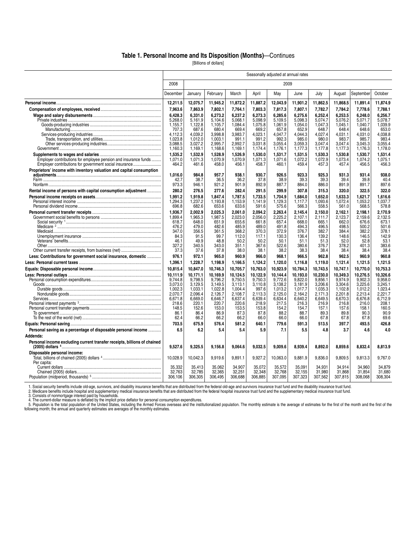#### **Table 1. Personal Income and Its Disposition (Months)**—Continues

[Billions of dollars]

|                                                                                                                           | Seasonally adjusted at annual rates |                    |                    |                    |                    |                    |                    |                    |                    |                    |                    |
|---------------------------------------------------------------------------------------------------------------------------|-------------------------------------|--------------------|--------------------|--------------------|--------------------|--------------------|--------------------|--------------------|--------------------|--------------------|--------------------|
|                                                                                                                           | 2008                                |                    |                    |                    |                    | 2009               |                    |                    |                    |                    |                    |
|                                                                                                                           | December                            | January            | February           | March              | April              | May                | June               | July               | August             | September          | October            |
|                                                                                                                           | 12,211.5                            | 12,075.7           | 11,945.2           | 11,872.2           | 11,887.2           | 12,043.9           | 11,901.2           | 11,862.5           | 11,868.5           | 11,891.4           | 11,874.9           |
|                                                                                                                           | 7,963.6                             | 7,863.9            | 7,802.1            | 7,764.1            | 7,803.3            | 7,817.3            | 7,807.1            | 7,782.7            | 7,784.2            | 7,778.6            | 7,788.1            |
|                                                                                                                           | 6,428.3                             | 6,331.0            | 6,273.2            | 6,237.2            | 6,273.3            | 6,285.6            | 6,275.6            | 6,252.4            | 6,253.5            | 6.248.0            | 6,256.7            |
|                                                                                                                           | 5.268.0                             | 5.161.9            | 5.104.6            | 5.068.1            | 5.098.9            | 5.109.5            | 5.098.3            | 5,074.7            | 5.076.2            | 5.071.7            | 5.078.7            |
|                                                                                                                           | 1,155.7<br>707.3                    | 1,122.8<br>687.6   | 1,105.7<br>680.4   | 1,084.4<br>669.4   | 1,075.8<br>669.2   | 1,061.9<br>657.8   | 1,054.0<br>652.9   | 1,047.3<br>648.7   | 1,045.1<br>648.4   | 1,040.7<br>648.6   | 1,039.9<br>653.0   |
|                                                                                                                           | 4.112.3                             | 4.039.2            | 3.998.8            | 3.983.7            | 4.023.1            | 4.047.7            | 4.044.3            | 4.027.4            | 4.031.1            | 4.031.0            | 4.038.8            |
|                                                                                                                           | 1,023.8                             | 1,012.0            | 1,003.1            | 991.1              | 991.2              | 992.3              | 985.0              | 980.0              | 983.7              | 985.7              | 983.4              |
|                                                                                                                           | 3.088.5                             | 3.027.2            | 2.995.7            | 2.992.7            | 3.031.8            | 3.055.4            | 3.059.3            | 3.047.4            | 3.047.4            | 3.045.3            | 3.055.4            |
|                                                                                                                           | 1,160.3                             | 1,169.1            | 1,168.6            | 1,169.1            | 1,174.4            | 1,176.1            | 1,177.3            | 1,177.8            | 1,177.3            | 1,176.3            | 1,178.0            |
|                                                                                                                           | 1,535.2                             | 1,532.9            | 1,528.9            | 1,526.9            | 1,530.0            | 1,531.7            | 1,531.5            | 1,530.3            | 1,530.8            | 1,530.7            | 1,531.4            |
| Employer contributions for employee pension and insurance funds<br>Employer contributions for government social insurance | 1.071.0<br>464.2                    | 1.071.3<br>461.6   | 1.070.9<br>458.0   | 1.070.9<br>456.1   | 1.071.3<br>458.7   | 1.071.6<br>460.1   | 1.072.2<br>459.4   | 1.072.9<br>457.3   | 1.073.4<br>457.4   | 1.074.2<br>456.5   | 1.075.1<br>456.3   |
| Proprietors' income with inventory valuation and capital consumption                                                      |                                     |                    |                    |                    |                    |                    |                    |                    |                    |                    |                    |
|                                                                                                                           | 1.016.0                             | 984.8              | 957.7              | 938.1              | 930.7              | 926.5              | 923.3              | 925.3              | 931.3              | 931.4              | 938.0              |
|                                                                                                                           | 42.7                                | 38.7               | 36.5               | 36.2               | 37.8               | 38.9               | 39.3               | 39.3               | 39.4               | 39.8               | 40.4               |
|                                                                                                                           | 973.3                               | 946.1              | 921.2              | 901.9              | 892.9              | 887.7              | 884.0              | 886.0              | 891.9              | 891.7              | 897.6              |
| Rental income of persons with capital consumption adjustment                                                              | 280.2                               | 276.5              | 277.6              | 282.4              | 291.5              | 299.9              | 307.8              | 315.3              | 320.0              | 322.5              | 322.0              |
|                                                                                                                           | 1.991.2                             | 1.919.8            | 1.847.4            | 1.787.5            | 1.733.5            | 1.704.9            | 1.684.0            | 1.652.0            | 1.633.3            | 1.621.7            | 1.616.6            |
|                                                                                                                           | 1.294.3                             | 1.237.2            | 1.193.8            | 1.153.9            | 1.141.9            | 1.129.3            | 1.117.7            | 1.093.6            | 1.072.4            | 1.053.2            | 1.037.7            |
|                                                                                                                           | 696.8                               | 682.6              | 653.6              | 633.6              | 591.6              | 575.6              | 566.3              | 558.5              | 561.0              | 568.5              | 578.8              |
|                                                                                                                           | 1.936.7<br>1,899.4                  | 2.002.9<br>1,965.3 | 2.025.3<br>1,987.5 | 2.061.0<br>2,023.0 | 2.094.2<br>2,056.0 | 2.263.4<br>2,225.2 | 2.145.4<br>2,107.1 | 2.150.0<br>2,111.7 | 2.162.1<br>2,123.7 | 2.198.1<br>2,159.6 | 2.170.9<br>2,132.5 |
|                                                                                                                           | 618.7                               | 648.0              | 651.9              | 655.6              | 661.8              | 657.4              | 668.0              | 665.1              | 662.0              | 676.6              | 673.1              |
|                                                                                                                           | 476.2                               | 479.0              | 482.6              | 485.9              | 489.0              | 491.8              | 494.3              | 496.5              | 498.5              | 500.2              | 501.6              |
|                                                                                                                           | 347.0                               | 356.5              | 361.5              | 368.2              | 370.3              | 372.9              | 376.7              | 382.7              | 384.4              | 382.2              | 378.1              |
|                                                                                                                           | 84.3                                | 91.5               | 99.7               | 112.0              | 117.1              | 130.3              | 136.4              | 139.2              | 148.6              | 146.5              | 142.9              |
|                                                                                                                           | 46.1<br>327.2                       | 49.9<br>340.5      | 48.8<br>343.0      | 50.2<br>351.1      | 50.2               | 50.1               | 51.1               | 51.3<br>376.7      | 52.0<br>378.2      | 52.8<br>401.3      | 53.1<br>383.6      |
|                                                                                                                           | 37.3                                | 37.6               | 37.8               | 38.0               | 367.6<br>38.1      | 522.6<br>38.2      | 380.6<br>38.3      | 38.4               | 38.4               | 38.4               | 38.4               |
| Less: Contributions for government social insurance, domestic                                                             | 976.1                               | 972.1              | 965.0              | 960.9              | 966.0              | 968.1              | 966.5              | 962.8              | 962.5              | 960.9              | 960.8              |
|                                                                                                                           | 1,396.1                             | 1,228.7            | 1,198.9            | 1,166.5            | 1,124.2            | 1,120.0            | 1,116.8            | 1,119.0            | 1,121.4            | 1,121.5            | 1,121.5            |
|                                                                                                                           | 10.815.4                            | 10,847.0           | 10,746.3           | 10,705.7           | 10,763.0           | 10,923.9           | 10,784.3           | 10,743.5           | 10,747.1           | 10,770.0           | 10,753.3           |
|                                                                                                                           | 10,111.9                            | 10,171.1           | 10.169.9           | 10,124.5           | 10.122.9           | 10.144.4           | 10.193.0           | 10,230.0           | 10.349.3           | 10,276.5           | 10.326.6           |
|                                                                                                                           | 9,744.8                             | 9,798.5            | 9,796.2            | 9,750.5            | 9,750.3            | 9,772.6            | 9,822.0            | 9,856.1            | 9,974.9            | 9,902.3            | 9,958.0            |
|                                                                                                                           | 3,073.0                             | 3,129.5            | 3,149.5            | 3,113.1            | 3,110.8            | 3,138.2            | 3,181.9            | 3,206.6            | 3,304.6            | 3,225.6            | 3,245.1            |
|                                                                                                                           | 1.002.3                             | 1.033.1            | 1.022.8            | 1.004.4            | 997.6              | 1,013.2            | 1.017.7            | 1.035.3            | 1.102.8            | 1.012.2            | 1.023.4            |
|                                                                                                                           | 2,070.7<br>6,671.8                  | 2,096.4<br>6,669.0 | 2,126.7<br>6,646.7 | 2.108.7<br>6,637.4 | 2,113.3<br>6,639.4 | 2,125.0<br>6,634.4 | 2.164.2<br>6,640.2 | 2,171.3<br>6,649.5 | 2,201.8<br>6,670.3 | 2,213.4<br>6,676.8 | 2,221.7<br>6,712.9 |
|                                                                                                                           | 218.6                               | 220.1              | 220.7              | 220.6              | 218.9              | 217.5              | 216.3              | 216.9              | 216.8              | 216.0              | 208.1              |
|                                                                                                                           | 148.5                               | 152.6              | 153.0              | 153.5              | 153.8              | 154.2              | 154.7              | 157.1              | 157.6              | 158.1              | 160.5              |
|                                                                                                                           | 86.1                                | 86.4               | 86.9               | 87.3               | 87.8               | 88.2               | 88.7               | 89.3               | 89.8               | 90.3               | 90.9               |
|                                                                                                                           | 62.4                                | 66.2               | 66.2               | 66.2               | 66.0               | 66.0               | 66.0               | 67.8               | 67.8               | 67.8               | 69.6               |
|                                                                                                                           | 703.5                               | 675.9              | 576.4              | 581.2              | 640.1              | 779.6              | 591.3              | 513.5              | 397.7              | 493.5              | 426.8              |
| Personal saving as a percentage of disposable personal income                                                             | 6.5                                 | 6.2                | 5.4                | 5.4                | 5.9                | 7.1                | 5.5                | 4.8                | 3.7                | 4.6                | 4.0                |
| Addenda:                                                                                                                  |                                     |                    |                    |                    |                    |                    |                    |                    |                    |                    |                    |
| Personal income excluding current transfer receipts, billions of chained                                                  | 9,527.6                             | 9,325.5            | 9,156.8            | 9,064.6            | 9,032.5            | 9,009.6            | 8,939.4            | 8,892.0            | 8,859.6            | 8,832.4            | 8,813.9            |
| Disposable personal income:                                                                                               | 10,028.9                            | 10,042.3           | 9,919.6            | 9,891.1            | 9,927.2            | 10,063.0           | 9,881.9            | 9,836.0            | 9,809.5            | 9,813.3            | 9,767.0            |
| Per capita:                                                                                                               |                                     |                    |                    |                    |                    |                    |                    |                    |                    |                    |                    |
|                                                                                                                           | 35,332                              | 35,413             | 35,062             | 34,907             | 35,072             | 35,572             | 35,091             | 34.931             | 34.914<br>31.868   | 34.960<br>31.854   | 34,879             |
|                                                                                                                           | 32,763<br>306,106                   | 32,785<br>306,305  | 32,365<br>306,495  | 32,251<br>306,688  | 32,348<br>306,885  | 32,768<br>307,095  | 32,155<br>307,323  | 31,980<br>307,562  | 307,815            | 308,068            | 31,680<br>308,304  |
|                                                                                                                           |                                     |                    |                    |                    |                    |                    |                    |                    |                    |                    |                    |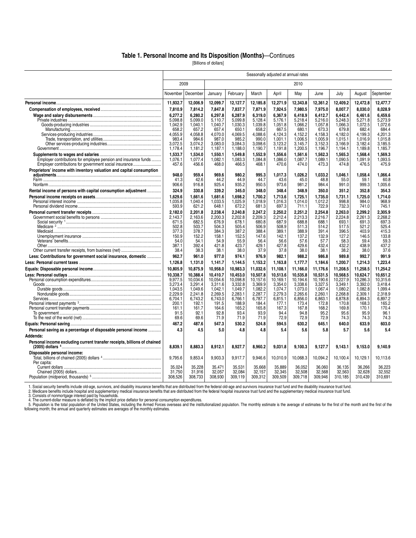#### **Table 1. Personal Income and Its Disposition (Months)**—Continues

[Billions of dollars]

|                                                                                                                           | Seasonally adjusted at annual rates |                  |                    |                    |                    |                  |                    |                  |                    |                  |                  |
|---------------------------------------------------------------------------------------------------------------------------|-------------------------------------|------------------|--------------------|--------------------|--------------------|------------------|--------------------|------------------|--------------------|------------------|------------------|
|                                                                                                                           |                                     | 2009             |                    |                    |                    |                  | 2010               |                  |                    |                  |                  |
|                                                                                                                           | November                            | December         | January            | February           | March              | April            | May                | June             | July               | August           | September        |
|                                                                                                                           | 11,932.7                            | 12,006.9         | 12,099.7           | 12,127.7           | 12,185.8           | 12,271.9         | 12,343.8           | 12,361.2         | 12,409.2           | 12,472.8         | 12,477.7         |
|                                                                                                                           | 7.810.9                             | 7,814.2          | 7.847.8            | 7,837.7            | 7,871.9            | 7,924.5          | 7,980.5            | 7,975.0          | 8.007.7            | 8.030.0          | 8.028.9          |
|                                                                                                                           | 6.277.2                             | 6.280.2          | 6.297.8            | 6.287.9            | 6,319.0            | 6,367.9          | 6.418.9            | 6.412.7          | 6.442.4            | 6.461.6          | 6.459.6          |
|                                                                                                                           | 5.098.8<br>1,042.9                  | 5.099.0          | 5.110.7<br>1,040.7 | 5.099.8<br>1,030.3 | 5.128.4<br>1,039.8 | 5.176.1          | 5.218.4<br>1,066.2 | 5.216.0          | 5.248.3<br>1,066.3 | 5.271.8          | 5.273.9          |
|                                                                                                                           | 658.2                               | 1,040.1<br>657.2 | 657.4              | 650.1              | 658.2              | 1,051.8<br>667.5 | 680.1              | 1,057.8<br>673.3 | 679.8              | 1,072.5<br>682.4 | 1,072.6<br>684.4 |
|                                                                                                                           | 4,055.9                             | 4,058.8          | 4.070.0            | 4.069.5            | 4,088.6            | 4.124.3          | 4.152.2            | 4.158.3          | 4.182.0            | 4.199.3          | 4.201.3          |
|                                                                                                                           | 983.4                               | 984.6            | 987.0              | 985.2              | 990.0              | 1,001.1          | 1,006.5            | 1,005.9          | 1,015.1            | 1,016.9          | 1,015.8          |
|                                                                                                                           | 3,072.5                             | 3,074.2          | 3,083.0            | 3,084.3            | 3,098.6            | 3,123.2          | 3,145.7            | 3,152.3          | 3,166.9            | 3,182.4          | 3,185.5          |
|                                                                                                                           | 1,178.4                             | 1,181.2          | 1,187.1            | 1,188.0            | 1,190.7            | 1,191.8          | 1,200.5            | 1,196.7          | 1,194.1            | 1,189.8          | 1,185.7          |
|                                                                                                                           | 1,533.7                             | 1,534.0          | 1,550.1            | 1,549.8            | 1,552.9            | 1,556.6          | 1,561.6            | 1,562.3          | 1,565.3            | 1,568.4          | 1,569.3          |
| Employer contributions for employee pension and insurance funds<br>Employer contributions for government social insurance | 1,076.1<br>457.6                    | 1,077.4<br>456.6 | 1,082.1<br>468.0   | 1,083.3<br>466.5   | 1,084.8<br>468.1   | 1,086.0<br>470.6 | 1,087.7<br>474.0   | 1,089.1<br>473.3 | 1,090.5<br>474.8   | 1,091.9<br>476.5 | 1,093.5<br>475.9 |
| Proprietors' income with inventory valuation and capital consumption                                                      |                                     |                  |                    |                    |                    |                  |                    |                  |                    |                  |                  |
|                                                                                                                           | 948.0                               | 959.4            | 969.6              | 980.2              | 995.3              | 1.017.3          | 1.026.2            | 1.033.2          | 1.046.1            | 1.058.4          | 1.066.4          |
|                                                                                                                           | 41.3                                | 42.6             | 44.2               | 44.9               | 44.7               | 43.6             | 45.0               | 48.8             | 55.0               | 59.1             | 60.8             |
|                                                                                                                           | 906.6                               | 916.8            | 925.4              | 935.2              | 950.5              | 973.6            | 981.2              | 984.4            | 991.0              | 999.3            | 1,005.6          |
| Rental income of persons with capital consumption adjustment                                                              | 324.9                               | 330.8            | 339.2              | 345.0              | 348.0              | 348.4            | 348.9              | 350.0            | 351.2              | 352.8            | 354.3            |
|                                                                                                                           | 1,629.6                             | 1,661.6          | 1,681.6            | 1,698.2            | 1,700.2            | 1,713.6          | 1,725.1            | 1,735.0          | 1,731.1            | 1,725.0          | 1,714.0          |
|                                                                                                                           | 1,035.8                             | 1,040.4          | 1,033.5            | 1,025.9            | 1,018.9            | 1,016.3          | 1,014.0            | 1,012.2          | 998.8              | 984.0            | 968.9            |
|                                                                                                                           | 593.9                               | 621.2            | 648.1              | 672.2              | 681.3              | 697.3            | 711.1              | 722.9            | 732.3              | 741.0            | 745.1            |
|                                                                                                                           | 2,182.0                             | 2.201.8          | 2,238.4            | 2,240.8            | 2,247.2            | 2,250.2          | 2,251.2            | 2,254.8          | 2.263.0            | 2,299.2          | 2,305.9          |
|                                                                                                                           | 2,143.7<br>671.5                    | 2,163.6<br>682.5 | 2,200.3<br>676.9   | 2,202.8<br>678.1   | 2,209.3<br>680.8   | 2,212.4<br>687.9 | 2,213.3<br>688.8   | 2,216.7<br>688.1 | 2,224.8<br>693.1   | 2,261.3<br>691.3 | 2,268.2<br>697.3 |
|                                                                                                                           | 502.8                               | 503.7            | 504.3              | 505.4              | 506.9              | 508.9            | 511.3              | 514.2            | 517.5              | 521.2            | 525.4            |
|                                                                                                                           | 377.3                               | 378.7            | 384.3              | 387.2              | 388.4              | 389.1            | 388.9              | 391.4            | 396.5              | 403.9            | 415.3            |
|                                                                                                                           | 150.9                               | 152.2            | 158.1              | 152.5              | 147.6              | 142.1            | 137.2              | 132.9            | 127.2              | 146.5            | 133.8            |
|                                                                                                                           | 54.0                                | 54.1             | 54.9               | 55.9               | 56.4               | 56.6             | 57.6               | 57.7             | 58.3               | 59.4             | 59.3             |
|                                                                                                                           | 387.1<br>38.4                       | 392.4<br>38.3    | 421.8<br>38.1      | 423.7<br>38.0      | 429.1<br>37.9      | 427.8<br>37.8    | 429.6<br>38.0      | 432.4<br>38.1    | 432.2<br>38.2      | 438.9<br>38.0    | 437.2<br>37.6    |
|                                                                                                                           | 962.7                               | 961.0            |                    | 974.1              |                    |                  | 988.2              | 986.8            | 989.8              | 992.7            | 991.9            |
| Less: Contributions for government social insurance, domestic                                                             | 1,126.8                             | 1,131.0          | 977.0<br>1,141.7   | 1,144.5            | 976.9<br>1,153.2   | 982.1<br>1,163.8 | 1,177.7            | 1,184.6          | 1,200.7            | 1,214.3          | 1,223.4          |
|                                                                                                                           | 10,805.9                            | 10,875.9         | 10,958.0           | 10,983.3           | 11,032.6           | 11,108.1         | 11,166.0           | 11,176.6         | 11,208.5           | 11,258.5         | 11,254.2         |
|                                                                                                                           | 10,338.7                            | 10.388.4         | 10.410.7           | 10.453.0           | 10.507.8           | 10.513.6         | 10.535.8           | 10.531.5         | 10.568.5           | 10.624.7         | 10.651.2         |
|                                                                                                                           | 9,977.5                             | 10,034.6         | 10.054.6           | 10,098.8           | 10,157.6           | 10.169.1         | 10.194.6           | 10,190.6         | 10,227.9           | 10,286.3         | 10.315.6         |
|                                                                                                                           | 3,273.4                             | 3,291.4          | 3.311.6            | 3,332.8            | 3,369.9            | 3,354.0          | 3,338.6            | 3,327.5          | 3,349.1            | 3,392.0          | 3,418.4          |
|                                                                                                                           | 1.043.5                             | 1.049.6          | 1.042.1            | 1.049.7            | 1.082.2            | 1.074.7          | 1.073.0            | 1.067.4          | 1.080.2            | 1.082.8          | 1.099.4          |
|                                                                                                                           | 2.229.9                             | 2.241.8          | 2.269.5            | 2,283.1            | 2,287.7            | 2,279.3          | 2.265.6            | 2.260.1          | 2.268.8            | 2.309.1          | 2.318.9          |
|                                                                                                                           | 6.704.1<br>200.1                    | 6.743.2<br>192.1 | 6.743.0<br>191.5   | 6.766.1<br>188.9   | 6,787.7<br>184.4   | 6,815.1<br>177.1 | 6.856.0<br>173.4   | 6.863.1<br>172.8 | 6.878.8<br>170.8   | 6.894.3<br>168.3 | 6.897.2<br>165.2 |
|                                                                                                                           | 161.1                               | 161.7            | 164.6              | 165.2              | 165.8              | 167.3            | 167.8              | 168.2            | 169.8              | 170.1            | 170.4            |
|                                                                                                                           | 91.5                                | 92.1             | 92.8               | 93.4               | 93.9               | 94.4             | 94.8               | 95.2             | 95.6               | 95.9             | 96.1             |
|                                                                                                                           | 69.6                                | 69.6             | 71.9               | 71.9               | 71.9               | 72.9             | 72.9               | 72.9             | 74.3               | 74.3             | 74.3             |
|                                                                                                                           | 467.2                               | 487.6            | 547.3              | 530.2              | 524.8              | 594.5            | 630.2              | 645.1            | 640.0              | 633.9            | 603.0            |
| Personal saving as a percentage of disposable personal income                                                             | 4.3                                 | 4.5              | 5.0                | 4.8                | 4.8                | 5.4              | 5.6                | 5.8              | 5.7                | 5.6              | 5.4              |
| Addenda:                                                                                                                  |                                     |                  |                    |                    |                    |                  |                    |                  |                    |                  |                  |
| Personal income excluding current transfer receipts, billions of chained                                                  | 8,839.1                             | 8,883.3          | 8,912.1            | 8,927.7            | 8,960.2            | 9,031.8          | 9,100.3            | 9,127.7          | 9,143.1            | 9,153.0          | 9.140.9          |
| Disposable personal income:                                                                                               | 9,795.6                             | 9,853.4          | 9,903.3            | 9,917.7            | 9,946.6            | 10,010.9         | 10,068.3           | 10,094.2         | 10,100.4           | 10,129.1         | 10,113.6         |
| Per capita:                                                                                                               |                                     |                  |                    |                    |                    |                  |                    |                  |                    |                  |                  |
|                                                                                                                           | 35.024                              | 35,228           | 35.471             | 35.531             | 35,668             | 35,889           | 36,052             | 36.060           | 36.135             | 36,266           | 36,223           |
|                                                                                                                           | 31,750                              | 31,916           | 32,057             | 32.084             | 32,157             | 32,345           | 32,508             | 32.568           | 32,563             | 32.628           | 32,552           |
|                                                                                                                           | 308,526                             | 308,733          | 308,930            | 309,119            | 309,312            | 309,509          | 309,718            | 309,946          | 310,185            | 310,439          | 310,691          |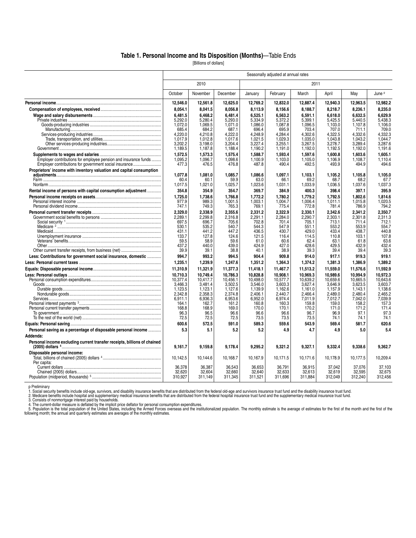#### **Table 1. Personal Income and Its Disposition (Months)**—Table Ends

[Billions of dollars]

|                                                                          | Seasonally adjusted at annual rates |                    |                    |                    |                    |                    |                    |                    |                    |  |  |
|--------------------------------------------------------------------------|-------------------------------------|--------------------|--------------------|--------------------|--------------------|--------------------|--------------------|--------------------|--------------------|--|--|
|                                                                          |                                     | 2010               |                    |                    |                    | 2011               |                    |                    |                    |  |  |
|                                                                          | October                             | November           | December           | January            | February           | March              | April              | May                | June <sup>p</sup>  |  |  |
|                                                                          | 12.546.0                            | 12,561.8           | 12,625.0           | 12,769.2           | 12,832.0           | 12,887.4           | 12,940.3           | 12,963.5           | 12,982.2           |  |  |
|                                                                          | 8,054.1                             | 8,041.5            | 8,056.8            | 8,113.9            | 8,156.6            | 8,188.7            | 8,218.7            | 8,236.1            | 8,235.0            |  |  |
|                                                                          | 6.481.5                             | 6.468.2            | 6.481.4            | 6,525.1            | 6.563.2            | 6.591.1            | 6.618.0            | 6,632.5            | 6.629.9            |  |  |
|                                                                          | 5.292.0                             | 5.280.4            | 5.293.0            | 5.334.9            | 5.372.2            | 5.399.1            | 5.425.5            | 5.440.5            | 5.438.3            |  |  |
|                                                                          | 1,072.0                             | 1,069.5            | 1,071.0            | 1.086.0            | 1,087.8            | 1.096.5            | 1,103.0            | 1.107.8            | 1,106.0            |  |  |
|                                                                          | 685.4                               | 684.2              | 687.1              | 696.4              | 695.9              | 703.4              | 707.0              | 711.1              | 709.0              |  |  |
|                                                                          | 4.220.0<br>1.017.9                  | 4,210.8<br>1,012.8 | 4.222.0<br>1,017.6 | 4.248.9<br>1,021.5 | 4,284.4<br>1,029.3 | 4,302.6<br>1.035.0 | 4,322.5<br>1,043.8 | 4,332.6<br>1,043.2 | 4,332.3<br>1,044.7 |  |  |
|                                                                          | 3.202.2                             | 3.198.0            | 3.204.4            | 3.227.4            | 3.255.1            | 3.267.5            | 3.278.7            | 3.289.4            | 3.287.6            |  |  |
|                                                                          | 1,189.5                             | 1,187.8            | 1,188.4            | 1,190.2            | 1,191.0            | 1,192.0            | 1,192.5            | 1,192.0            | 1,191.6            |  |  |
|                                                                          | 1,572.5                             | 1,573.3            | 1,575.4            | 1,588.7            | 1.593.4            | 1,597.6            | 1,600.8            | 1,603.6            | 1,605.1            |  |  |
| Employer contributions for employee pension and insurance funds          | 1.095.2                             | 1,096.7            | 1.098.6            | 1.100.9            | 1.103.0            | 1.105.0            | 1,106.9            | 1.108.7            | 1.110.4            |  |  |
| Employer contributions for government social insurance                   | 477.3                               | 476.5              | 476.8              | 487.8              | 490.4              | 492.5              | 493.9              | 494.9              | 494.6              |  |  |
| Proprietors' income with inventory valuation and capital consumption     |                                     |                    |                    |                    |                    |                    |                    |                    |                    |  |  |
|                                                                          | 1,077.8                             | 1,081.0            | 1,085.7            | 1.086.6            | 1.097.1            | 1.103.1            | 1,105.2            | 1,105.8            | 1,105.0            |  |  |
|                                                                          | 60.4                                | 60.1               | 59.9               | 63.0               | 66.1               | 69.2               | 68.7               | 68.2               | 67.7               |  |  |
|                                                                          | 1,017.5                             | 1,021.0            | 1,025.7            | 1,023.6            | 1,031.1            | 1,033.9            | 1,036.5            | 1,037.6            | 1,037.3            |  |  |
| Rental income of persons with capital consumption adjustment             | 354.8                               | 354.9              | 354.7              | 369.7              | 384.9              | 400.3              | 398.4              | 397.1              | 395.9              |  |  |
|                                                                          | 1.725.0                             | 1.738.6            | 1.766.8            | 1.772.2            | 1.780.2            | 1.779.2            | 1.792.5            | 1.802.6            | 1.814.6            |  |  |
|                                                                          | 977.9<br>747.1                      | 989.3              | 1.001.5<br>765.3   | 1.003.1<br>769.1   | 1.004.7<br>775.4   | 1.006.4<br>772.8   | 1.011.1<br>781.4   | 1.015.8<br>786.9   | 1.020.5<br>794.2   |  |  |
|                                                                          |                                     | 749.3              |                    |                    |                    |                    |                    |                    |                    |  |  |
|                                                                          | 2.329.0<br>2.289.1                  | 2,338.9<br>2.299.8 | 2.355.6<br>2.316.8 | 2,331.2<br>2.291.1 | 2.322.9<br>2.284.0 | 2,330.1<br>2.290.7 | 2.342.6<br>2.303.1 | 2.341.2<br>2.301.8 | 2.350.7<br>2.311.3 |  |  |
|                                                                          | 697.5                               | 696.7              | 705.6              | 702.8              | 701.4              | 705.1              | 713.1              | 711.4              | 712.1              |  |  |
|                                                                          | 530.1                               | 535.2              | 540.7              | 544.3              | 547.9              | 551.1              | 553.2              | 553.9              | 554.7              |  |  |
|                                                                          | 431.1                               | 441.2              | 447.2              | 436.5              | 430.7              | 429.0              | 433.4              | 438.7              | 440.8              |  |  |
|                                                                          | 133.7                               | 127.8              | 124.6              | 121.5              | 116.4              | 114.5              | 110.8              | 103.1              | 107.8              |  |  |
|                                                                          | 59.5                                | 58.9               | 59.6               | 61.0               | 60.6               | 62.4               | 63.1               | 61.8               | 63.6               |  |  |
|                                                                          | 437.2                               | 440.0              | 439.0              | 424.9              | 427.0              | 428.6              | 429.5              | 432.9              | 432.4              |  |  |
|                                                                          | 39.9                                | 39.1               | 38.8               | 40.1               | 38.9               | 39.3               | 39.4               | 39.4               | 39.3               |  |  |
| Less: Contributions for government social insurance, domestic            | 994.7                               | 993.2              | 994.5              | 904.4              | 909.8              | 914.0              | 917.1              | 919.3              | 919.1              |  |  |
|                                                                          | 1,235.1                             | 1,239.9            | 1,247.6            | 1,351.2            | 1,364.3            | 1,374.2            | 1,381.3            | 1,386.9            | 1,389.2            |  |  |
|                                                                          | 11,310.9                            | 11,321.9           | 11,377.3           | 11,418.1           | 11,467.7           | 11,513.2           | 11,559.0           | 11,576.6           | 11,592.9           |  |  |
|                                                                          | 10.710.3                            | 10.749.4           | 10.786.3           | 10.828.8           | 10.908.1           | 10.969.3           | 10.989.6           | 10.994.9           | 10.972.3           |  |  |
|                                                                          | 10,377.4                            | 10,417.7           | 10,456.1           | 10.498.0           | 10,577.7           | 10,639.2           | 10,659.6           | 10,665.5           | 10.643.6           |  |  |
|                                                                          | 3,466.3<br>1.123.5                  | 3,481.4<br>1,123.1 | 3,502.5<br>1,127.6 | 3,546.0<br>1,139.9 | 3,603.3<br>1,162.6 | 3,627.4<br>1.161.0 | 3,646.9<br>1,157.9 | 3,623.5<br>1,143.1 | 3,603.7<br>1,138.6 |  |  |
|                                                                          | 2,342.8                             | 2,358.3            | 2,374.8            | 2,406.1            | 2.440.7            | 2.466.4            | 2,489.0            | 2.480.4            | 2.465.2            |  |  |
|                                                                          | 6.911.1                             | 6.936.3            | 6.953.6            | 6.952.0            | 6.974.4            | 7.011.9            | 7.012.7            | 7.042.0            | 7.039.9            |  |  |
|                                                                          | 164.1                               | 162.7              | 161.2              | 160.8              | 160.3              | 159.8              | 159.0              | 158.2              | 157.3              |  |  |
|                                                                          | 168.8                               | 168.9              | 169.0              | 170.0              | 170.1              | 170.2              | 171.0              | 171.2              | 171.4              |  |  |
|                                                                          | 96.3                                | 96.5               | 96.6               | 96.6               | 96.6               | 96.7               | 96.9               | 97.1               | 97.3               |  |  |
|                                                                          | 72.5                                | 72.5               | 72.5               | 73.5               | 73.5               | 73.5               | 74.1               | 74.1               | 74.1               |  |  |
|                                                                          | 600.6                               | 572.5              | 591.0              | 589.3              | 559.6              | 543.9              | 569.4              | 581.7              | 620.6              |  |  |
| Personal saving as a percentage of disposable personal income            | 5.3                                 | 5.1                | 5.2                | 5.2                | 4.9                | 4.7                | 4.9                | 5.0                | 5.4                |  |  |
| Addenda:                                                                 |                                     |                    |                    |                    |                    |                    |                    |                    |                    |  |  |
| Personal income excluding current transfer receipts, billions of chained | 9,161.7                             | 9,159.8            | 9,178.4            | 9,295.2            | 9,321.2            | 9,327.1            | 9,332.4            | 9,338.6            | 9,362.7            |  |  |
| Disposable personal income:                                              |                                     |                    |                    |                    |                    |                    |                    |                    |                    |  |  |
| Per capita:                                                              | 10.142.5                            | 10.144.6           | 10.168.7           | 10,167.9           | 10,171.5           | 10.171.6           | 10.178.9           | 10.177.5           | 10.209.4           |  |  |
|                                                                          | 36.378                              | 36,387             | 36.543             | 36.653             | 36.791             | 36.915             | 37.042             | 37,076             | 37,103             |  |  |
|                                                                          | 32.620<br>310.927                   | 32.604<br>311.149  | 32.660<br>311.345  | 32.640             | 32.633<br>311.696  | 32.613<br>311.884  | 32.619             | 32.595<br>312.240  | 32.675             |  |  |
|                                                                          |                                     |                    |                    | 311,521            |                    |                    | 312,049            |                    | 312,456            |  |  |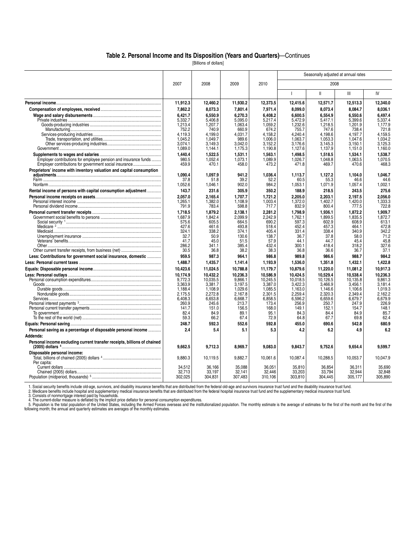#### **Table 2. Personal Income and Its Disposition (Years and Quarters)**—Continues

[Billions of dollars]

|                                                                          |                    |                    |                    |                    |                    | Seasonally adjusted at annual rates |                    |                    |
|--------------------------------------------------------------------------|--------------------|--------------------|--------------------|--------------------|--------------------|-------------------------------------|--------------------|--------------------|
|                                                                          | 2007               | 2008               | 2009               | 2010               |                    | 2008                                |                    |                    |
|                                                                          |                    |                    |                    |                    | $\mathbf{I}$       | $\mathbf{H}$                        | III                | IV                 |
|                                                                          | 11.912.3           | 12,460.2           | 11,930.2           | 12,373.5           | 12,415.6           | 12,571.7                            | 12,513.3           | 12,340.0           |
|                                                                          | 7,862.2            | 8,073.3            | 7,801.4            | 7,971.4            | 8,099.0            | 8,073.4                             | 8,084.7            | 8,036.1            |
|                                                                          | 6.421.7            | 6.550.9            | 6.270.3            | 6.408.2            | 6.600.5            | 6.554.9                             | 6.550.6            | 6.497.4            |
|                                                                          | 5.332.7            | 5.406.8            | 5,095.0            | 5.217.4            | 5.472.9            | 5.417.1                             | 5.399.6            | 5.337.4            |
|                                                                          | 1,213.4            | 1,207.7            | 1,063.4            | 1,059.2            | 1,232.6            | 1,218.5                             | 1,201.9            | 1,177.9            |
|                                                                          | 752.2<br>4.119.3   | 740.9<br>4.199.0   | 660.9<br>4,031.7   | 674.2<br>4.158.2   | 755.7<br>4.240.4   | 747.6<br>4.198.6                    | 738.4<br>4.197.7   | 721.8<br>4,159.5   |
|                                                                          | 1,045.2            | 1,049.7            | 989.6              | 1,006.0            | 1,063.7            | 1,053.3                             | 1,047.6            | 1,034.2            |
|                                                                          | 3.074.1            | 3,149.3            | 3,042.0            | 3,152.2            | 3,176.6            | 3,145.3                             | 3.150.1            | 3,125.3            |
|                                                                          | 1,089.0            | 1,144.1            | 1,175.3            | 1,190.8            | 1,127.6            | 1,137.9                             | 1,151.0            | 1,160.0            |
|                                                                          | 1.440.4            | 1.522.5            | 1.531.1            | 1.563.1            | 1.498.5            | 1.518.5                             | 1.534.1            | 1.538.7            |
| Employer contributions for employee pension and insurance funds          | 980.5              | 1,052.4            | 1,073.1            | 1,089.9            | 1,026.7            | 1.048.8                             | 1,063.5            | 1,070.5            |
| Employer contributions for government social insurance                   | 459.9              | 470.1              | 458.0              | 473.2              | 471.8              | 469.7                               | 470.6              | 468.3              |
| Proprietors' income with inventory valuation and capital consumption     |                    |                    |                    |                    |                    |                                     |                    |                    |
|                                                                          | 1.090.4            | 1.097.9            | 941.2<br>39.2      | 1.036.4<br>52.2    | 1.113.7            | 1.127.2                             | 1.104.0            | 1.046.7<br>44.6    |
|                                                                          | 37.8<br>1,052.6    | 51.8<br>1,046.1    | 902.0              | 984.2              | 60.5<br>1,053.1    | 55.3<br>1,071.9                     | 46.6<br>1,057.4    | 1,002.1            |
| Rental income of persons with capital consumption adjustment             | 143.7              | 231.6              | 305.9              | 350.2              | 188.9              | 218.5                               | 243.5              | 275.6              |
|                                                                          | 2.057.0            | 2.165.4            | 1,707.7            | 1.721.2            | 2.205.0            | 2.203.1                             | 2.197.5            | 2.056.0            |
|                                                                          | 1.265.1            | 1.382.0            | 1.108.9            | 1.003.4            | 1.372.0            | 1.402.7                             | 1.420.0            | 1.333.3            |
|                                                                          | 791.9              | 783.4              | 598.8              | 717.7              | 832.9              | 800.4                               | 777.5              | 722.8              |
|                                                                          | 1.718.5            | 1.879.2            | 2,138.1            | 2.281.2            | 1,798.9            | 1.936.1                             | 1,872.2            | 1.909.7            |
|                                                                          | 1,687.9            | 1,842.4            | 2,099.9            | 2.242.9            | 1,762.1            | 1,899.5                             | 1,835.5            | 1.872.7            |
|                                                                          | 575.6              | 605.5              | 664.5              | 690.2              | 597.3              | 602.9                               | 608.9              | 613.1              |
|                                                                          | 427.6              | 461.6              | 493.8              | 518.4              | 452.4              | 457.3                               | 464.1              | 472.8              |
|                                                                          | 324.1              | 338.2              | 374.1              | 405.4              | 331.4              | 338.4                               | 340.9              | 342.2              |
|                                                                          | 32.7<br>41.7       | 50.9<br>45.0       | 130.6<br>51.5      | 138.7<br>57.9      | 36.7<br>44.1       | 37.8<br>44.7                        | 58.0<br>45.4       | 71.2<br>45.8       |
|                                                                          | 286.2              | 341.1              | 385.4              | 432.4              | 300.1              | 418.4                               | 318.2              | 327.6              |
|                                                                          | 30.5               | 36.8               | 38.2               | 38.3               | 36.8               | 36.6                                | 36.7               | 37.1               |
| Less: Contributions for government social insurance, domestic            | 959.5              | 987.3              | 964.1              | 986.8              | 989.8              | 986.6                               | 988.7              | 984.2              |
|                                                                          | 1.488.7            | 1.435.7            | 1,141.4            | 1.193.9            | 1,536.0            | 1,351.8                             | 1,432.1            | 1.422.8            |
|                                                                          | 10.423.6           | 11.024.5           | 10.788.8           | 11,179.7           | 10.879.6           | 11.220.0                            | 11.081.2           | 10.917.3           |
|                                                                          | 10,174.9           | 10.432.2           | 10,236.3           | 10,586.9           | 10.424.5           | 10.529.4                            | 10.538.4           | 10.236.3           |
|                                                                          | 9,772.3            | 10.035.5           | 9,866.1            | 10.245.5           | 10.018.5           | 10,126.5                            | 10.135.8           | 9.861.3            |
|                                                                          | 3,363.9            | 3,381.7            | 3,197.5            | 3,387.0            | 3,422.3            | 3,466.9                             | 3,456.1            | 3,181.4            |
|                                                                          | 1,188.4            | 1,108.9<br>2.272.8 | 1,029.6<br>2.167.8 | 1,085.5<br>2.301.5 | 1,163.0<br>2.259.4 | 1.146.6<br>2.320.3                  | 1,106.6<br>2.349.4 | 1,019.3<br>2.162.2 |
|                                                                          | 2.175.5<br>6,408.3 | 6,653.8            | 6,668.7            | 6,858.5            | 6,596.2            | 6,659.6                             | 6,679.7            | 6,679.9            |
|                                                                          | 260.9              | 245.6              | 213.7              | 173.4              | 256.9              | 250.7                               | 247.9              | 226.9              |
|                                                                          | 141.7              | 151.0              | 156.5              | 168.0              | 149.1              | 152.1                               | 154.7              | 148.1              |
|                                                                          | 82.4               | 84.9               | 89.1               | 95.1               | 84.3               | 84.4                                | 84.9               | 85.7               |
|                                                                          | 59.3               | 66.2               | 67.4               | 72.9               | 64.8               | 67.7                                | 69.8               | 62.4               |
|                                                                          | 248.7              | 592.3              | 552.6              | 592.8              | 455.0              | 690.6                               | 542.8              | 680.9              |
| Personal saving as a percentage of disposable personal income            | 2.4                | 5.4                | 5.1                | 5.3                | 4.2                | 6.2                                 | 4.9                | 6.2                |
| Addenda:                                                                 |                    |                    |                    |                    |                    |                                     |                    |                    |
| Personal income excluding current transfer receipts, billions of chained | 9,662.5            | 9,712.3            | 8,969.7            | 9,083.0            | 9,843.7            | 9,752.6                             | 9,654.4            | 9.599.7            |
| Disposable personal income:                                              |                    |                    |                    |                    |                    |                                     |                    |                    |
|                                                                          | 9,880.3            | 10,119.5           | 9,882.7            | 10,061.6           | 10,087.4           | 10,288.5                            | 10,053.7           | 10,047.9           |
| Per capita:                                                              | 34,512             | 36,166             | 35,088             | 36,051             | 35,810             | 36,854                              | 36,311             | 35,690             |
|                                                                          | 32.713             | 33.197             | 32.141             | 32.446             | 33.203             | 33,794                              | 32,944             | 32.848             |
|                                                                          | 302.025            | 304.831            | 307.483            | 310.106            | 303.810            | 304.445                             | 305.177            | 305.890            |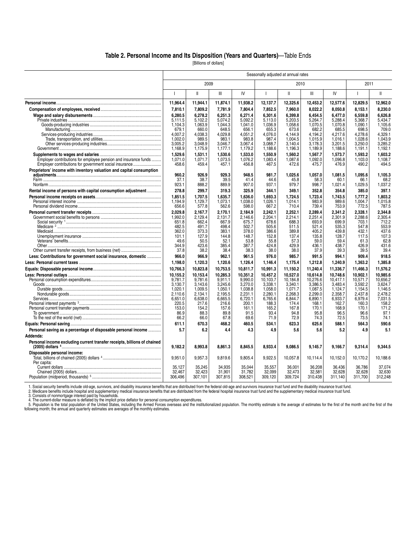#### **Table 2. Personal Income and Its Disposition (Years and Quarters)**—Table Ends

[Billions of dollars]

|                                                                          | Seasonally adjusted at annual rates |                    |                    |                    |                    |                    |                    |                    |                          |                    |  |  |
|--------------------------------------------------------------------------|-------------------------------------|--------------------|--------------------|--------------------|--------------------|--------------------|--------------------|--------------------|--------------------------|--------------------|--|--|
|                                                                          |                                     | 2009               |                    |                    |                    | 2010               |                    |                    | 2011                     |                    |  |  |
|                                                                          | $\overline{1}$                      | $\mathbf{H}$       | Ш                  | IV                 | $\overline{1}$     | Ш                  | Ш                  | IV                 | $\overline{\phantom{a}}$ | $\mathbf{II}$      |  |  |
|                                                                          | 11,964.4                            | 11,944.1           | 11,874.1           | 11,938.2           | 12,137.7           | 12,325.6           | 12,453.2           | 12,577.6           | 12,829.5                 | 12,962.0           |  |  |
|                                                                          | 7.810.1                             | 7.809.2            | 7.781.9            | 7.804.4            | 7.852.5            | 7.960.0            | 8.022.2            | 8.050.8            | 8.153.1                  | 8.230.0            |  |  |
|                                                                          | 6,280.5                             | 6,278.2            | 6,251.3            | 6,271.4            | 6,301.6            | 6,399.8            | 6.454.5            | 6,477.0            | 6,559.8                  | 6,626.8            |  |  |
|                                                                          | 5,111.5                             | 5,102.2            | 5.074.2            | 5,092.2            | 5,113.0            | 5,203.5            | 5,264.7            | 5,288.4            | 5,368.7                  | 5,434.7            |  |  |
|                                                                          | 1,104.3                             | 1,063.9            | 1,044.3            | 1,041.0            | 1,036.9            | 1,058.6            | 1,070.5            | 1,070.8            | 1,090.1                  | 1,105.6            |  |  |
|                                                                          | 679.1<br>4.007.2                    | 660.0<br>4.038.3   | 648.5<br>4.029.8   | 656.1<br>4.051.2   | 655.3<br>4.076.0   | 673.6<br>4.144.9   | 682.2<br>4.194.2   | 685.5<br>4.217.6   | 698.5<br>4.278.6         | 709.0<br>4.329.1   |  |  |
|                                                                          | 1,002.0                             | 989.5              | 983.1              | 983.8              | 987.4              | 1,004.5            | 1,015.9            | 1,016.1            | 1,028.6                  | 1,043.9            |  |  |
|                                                                          | 3.005.2                             | 3,048.9            | 3.046.7            | 3.067.4            | 3,088.7            | 3.140.4            | 3,178.3            | 3,201.5            | 3,250.0                  | 3,285.2            |  |  |
|                                                                          | 1,168.9                             | 1,175.9            | 1,177.1            | 1,179.2            | 1,188.6            | 1,196.3            | 1,189.9            | 1,188.6            | 1,191.1                  | 1,192.1            |  |  |
|                                                                          | 1,529.6                             | 1,531.1            | 1,530.6            | 1,533.0            | 1,550.9            | 1,560.2            | 1,567.7            | 1,573.7            | 1,593.2                  | 1,603.2            |  |  |
| Employer contributions for employee pension and insurance funds          | 1,071.0                             | 1,071.7            | 1,073.5            | 1,076.2            | 1,083.4            | 1,087.6            | 1,092.0            | 1,096.8            | 1,103.0                  | 1,108.7            |  |  |
| Employer contributions for government social insurance                   | 458.6                               | 459.4              | 457.1              | 456.8              | 467.5              | 472.6              | 475.7              | 476.9              | 490.2                    | 494.5              |  |  |
| Proprietors' income with inventory valuation and capital consumption     |                                     |                    |                    |                    |                    |                    |                    |                    |                          |                    |  |  |
|                                                                          | 960.2                               | 926.9              | 929.3              | 948.5              | 981.7              | 1,025.6            | 1,057.0            | 1,081.5            | 1,095.6                  | 1,105.3            |  |  |
|                                                                          | 37.1                                | 38.7               | 39.5               | 41.4               | 44.6               | 45.8               | 58.3               | 60.1               | 66.1                     | 68.2               |  |  |
|                                                                          | 923.1                               | 888.2              | 889.9              | 907.0              | 937.1              | 979.7              | 998.7              | 1,021.4            | 1,029.5                  | 1,037.2            |  |  |
| Rental income of persons with capital consumption adjustment             | 278.8                               | 299.7              | 319.3              | 325.9              | 344.1              | 349.1              | 352.8              | 354.8              | 385.0                    | 397.1              |  |  |
|                                                                          | 1.851.5                             | 1,707.5            | 1,635.7            | 1,636.0            | 1,693.3            | 1.724.5            | 1,723.4            | 1,743.5            | 1.777.2                  | 1,803.2            |  |  |
|                                                                          | 1.194.9                             | 1,129.7            | 1.073.1            | 1.038.0            | 1.026.1            | 1.014.1            | 983.9              | 989.6              | 1.004.7                  | 1,015.8            |  |  |
|                                                                          | 656.6                               | 577.8              | 562.6              | 598.0              | 667.2              | 710.4              | 739.4              | 753.9              | 772.5                    | 787.5              |  |  |
|                                                                          | 2,029.8                             | 2,167.7            | 2.170.1            | 2.184.9            | 2,242.1            | 2,252.1            | 2,289.4            | 2.341.2            | 2,328.1                  | 2.344.8            |  |  |
|                                                                          | 1.992.0<br>651.8                    | 2.129.4<br>662.4   | 2,131.7<br>667.9   | 2.146.6<br>675.7   | 2.204.1<br>678.6   | 2.214.1<br>688.3   | 2.251.4<br>693.9   | 2.301.9<br>699.9   | 2.288.6                  | 2.305.4<br>712.2   |  |  |
|                                                                          | 482.5                               | 491.7              | 498.4              | 502.7              | 505.6              | 511.5              | 521.4              | 535.3              | 703.1<br>547.8           | 553.9              |  |  |
|                                                                          | 362.0                               | 373.3              | 383.1              | 378.0              | 386.6              | 389.8              | 405.2              | 439.8              | 432.1                    | 437.6              |  |  |
|                                                                          | 101.1                               | 127.9              | 144.8              | 148.7              | 152.8              | 137.4              | 135.8              | 128.7              | 117.5                    | 107.3              |  |  |
|                                                                          | 49.6                                | 50.5               | 52.1               | 53.8               | 55.8               | 57.3               | 59.0               | 59.4               | 61.3                     | 62.8               |  |  |
|                                                                          | 344.9                               | 423.6              | 385.4              | 387.7              | 424.8              | 429.9              | 436.1              | 438.7              | 426.9                    | 431.6              |  |  |
|                                                                          | 37.8                                | 38.2               | 38.4               | 38.3               | 38.0               | 38.0               | 37.9               | 39.3               | 39.5                     | 39.4               |  |  |
| Less: Contributions for government social insurance, domestic            | 966.0                               | 966.9              | 962.1              | 961.5              | 976.0              | 985.7              | 991.5              | 994.1              | 909.4                    | 918.5              |  |  |
|                                                                          | 1.198.0                             | 1.120.3            | 1.120.6            | 1.126.4            | 1,146.4            | 1.175.4            | 1.212.8            | 1.240.9            | 1.363.2                  | 1.385.8            |  |  |
|                                                                          | 10,766.3                            | 10,823.8           | 10,753.5           | 10,811.7           | 10,991.3           | 11,150.2           | 11,240.4           | 11,336.7           | 11,466.3                 | 11,576.2           |  |  |
|                                                                          | 10,155.2                            | 10,153.4           | 10.285.3           | 10.351.2           | 10.457.2           | 10.527.0           | 10.614.8           | 10.748.6           | 10.902.1                 | 10.985.6           |  |  |
|                                                                          | 9,781.7                             | 9,781.6            | 9,911.1            | 9,990.0            | 10,103.7           | 10,184.8           | 10,276.6           | 10,417.1           | 10,571.7                 | 10,656.2           |  |  |
|                                                                          | 3,130.7                             | 3,143.6            | 3,245.6            | 3,270.0            | 3,338.1            | 3,340.1            | 3,386.5            | 3,483.4            | 3,592.2                  | 3,624.7            |  |  |
|                                                                          | 1,020.1<br>2,110.6                  | 1,009.5<br>2,134.1 | 1,050.1<br>2,195.5 | 1,038.8<br>2,231.1 | 1,058.0<br>2,280.1 | 1,071.7<br>2,268.3 | 1,087.5<br>2,299.0 | 1.124.7<br>2,358.7 | 1,154.5<br>2,437.8       | 1,146.5<br>2,478.2 |  |  |
|                                                                          | 6,651.0                             | 6,638.0            | 6,665.5            | 6,720.1            | 6,765.6            | 6,844.7            | 6,890.1            | 6,933.7            | 6,979.4                  | 7,031.5            |  |  |
|                                                                          | 220.5                               | 217.6              | 216.6              | 200.1              | 188.3              | 174.4              | 168.1              | 162.7              | 160.3                    | 158.2              |  |  |
|                                                                          | 153.0                               | 154.2              | 157.6              | 161.1              | 165.2              | 167.8              | 170.1              | 168.9              | 170.1                    | 171.2              |  |  |
|                                                                          | 86.9                                | 88.3               | 89.8               | 91.5               | 93.4               | 94.8               | 95.8               | 96.5               | 96.6                     | 97.1               |  |  |
|                                                                          | 66.2                                | 66.0               | 67.8               | 69.6               | 71.9               | 72.9               | 74.3               | 72.5               | 73.5                     | 74.1               |  |  |
|                                                                          | 611.1                               | 670.3              | 468.2              | 460.5              | 534.1              | 623.3              | 625.6              | 588.1              | 564.3                    | 590.6              |  |  |
| Personal saving as a percentage of disposable personal income            | 5.7                                 | 6.2                | 4.4                | 4.3                | 4.9                | 5.6                | 5.6                | 5.2                | 4.9                      | 5.1                |  |  |
| Addenda:                                                                 |                                     |                    |                    |                    |                    |                    |                    |                    |                          |                    |  |  |
| Personal income excluding current transfer receipts, billions of chained | 9,182.2                             | 8,993.8            | 8,861.3            | 8,845.5            | 8,933.4            | 9,086.5            | 9,145.7            | 9,166.7            | 9,314.4                  | 9.344.5            |  |  |
| Disposable personal income:                                              |                                     |                    |                    |                    |                    |                    |                    |                    |                          |                    |  |  |
|                                                                          | 9,951.0                             | 9,957.3            | 9,819.6            | 9,805.4            | 9,922.5            | 10,057.8           | 10,114.4           | 10,152.0           | 10,170.2                 | 10,188.6           |  |  |
| Per capita:                                                              |                                     |                    |                    |                    |                    |                    |                    |                    |                          |                    |  |  |
|                                                                          | 35,127                              | 35,245             | 34,935             | 35,044             | 35,557             | 36,001             | 36,208             | 36,436             | 36,786                   | 37,074             |  |  |
|                                                                          | 32.467                              | 32.423             | 31,901             | 31,782             | 32,099             | 32.473             | 32,581             | 32.628             | 32.628                   | 32,630             |  |  |
|                                                                          | 306.496                             | 307,101            | 307,815            | 308.521            | 309.120            | 309.724            | 310.438            | 311.140            | 311,700                  | 312.248            |  |  |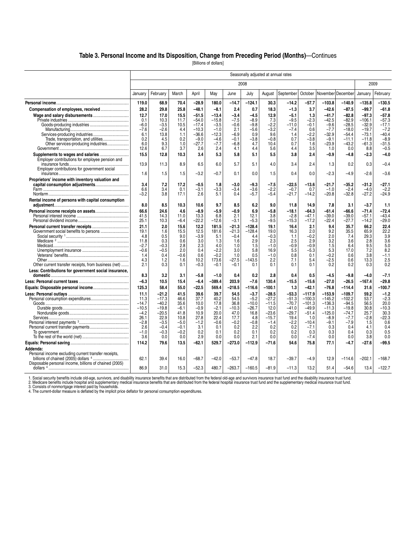#### **Table 3. Personal Income and Its Disposition, Change from Preceding Period (Months)**—Continues

[Billions of dollars]

|                                                                                      |             |             |            |               |               |            | Seasonally adjusted at annual rates |            |            |            |                   |               |               |                  |
|--------------------------------------------------------------------------------------|-------------|-------------|------------|---------------|---------------|------------|-------------------------------------|------------|------------|------------|-------------------|---------------|---------------|------------------|
|                                                                                      |             |             |            |               |               |            | 2008                                |            |            |            |                   |               |               | 2009             |
|                                                                                      | January     | February    | March      | April         | May           | June       | July                                | August     | September  | October    | November December |               | January       | February         |
|                                                                                      | 119.0       | 68.9        | 70.4       | $-28.9$       | 180.0         | $-14.7$    | $-124.1$                            | 30.3       | $-14.2$    | $-57.7$    | $-103.8$          | $-140.9$      | $-135.8$      | $-130.5$         |
| Compensation of employees, received                                                  | 28.2        | 29.8        | 25.8       | $-48.1$       | $-8.1$        | 2.4        | 0.7                                 | 18.3       | $-1.3$     | 3.7        | $-42.6$           | $-87.5$       | $-99.7$       | $-61.8$          |
|                                                                                      | 12.7        | 17.0        | 15.5       | $-51.5$       | -13.4         | $-3.4$     | $-4.5$                              | 12.9       | $-5.1$     | 1.3        | $-41.7$           | $-82.8$       | $-97.3$       | $-57.8$          |
|                                                                                      | 0.1         | 10.3        | 11.7       | $-54.0$       | $-15.8$       | $-7.5$     | $-8.9$                              | 7.3        | $-9.5$     | $-2.3$     | $-42.5$           | $-82.9$       | $-106.1$      | $-57.3$          |
|                                                                                      | $-6.0$      | $-3.5$      | 10.5       | $-17.4$       | $-3.5$        | $-0.6$     | $-9.8$                              | $-2.2$     | $-11.0$    | $-0.1$     | $-9.6$            | $-28.5$       | $-32.9$       | $-17.1$          |
|                                                                                      | $-7.6$      | $-2.6$      | 4.4        | $-10.3$       | $-1.0$        | 2.1        | $-5.6$                              | $-3.2$     | $-7.4$     | 0.6        | $-7.7$            | $-18.0$       | $-19.7$       | $-7.2$           |
|                                                                                      | 6.1         | 13.8        | 1.1        | $-36.6$       | $-12.3$       | $-6.9$     | 0.9                                 | 9.6        | 1.4        | $-2.2$     | $-32.9$           | $-54.4$       | $-73.1$       | $-40.4$          |
| Trade, transportation, and utilities                                                 | 0.2         | 4.5         | 0.2        | $-9.0$        | $-4.6$        | $-0.1$     | $-3.8$                              | $-0.8$     | 0.7        | $-3.8$     | $-9.1$            | $-11.1$       | $-11.8$       | $-8.9$           |
| Other services-producing industries                                                  | 6.0         | 9.3         | 1.0        | $-27.7$       | $-7.7$        | $-6.8$     | 4.7                                 | 10.4       | 0.7        | 1.6        | -23.9             | $-43.2$       | $-61.3$       | $-31.5$          |
|                                                                                      | 12.6        | 6.7         | 3.7        | 2.6           | 2.4           | 4.1        | 4.4                                 | 5.6        | 4.4        | 3.5        | 1.0               | 0.0           | 8.8           | $-0.5$           |
| Supplements to wages and salaries<br>Employer contributions for employee pension and | 15.5        | 12.8        | 10.3       | 3.4           | 5.3           | 5.8        | 5.1                                 | 5.5        | 3.8        | 2.4        | $-0.9$            | $-4.8$        | $-2.3$        | $-4.0$           |
| Employer contributions for government social                                         | 13.9<br>1.6 | 11.3<br>1.5 | 8.9<br>1.5 | 6.5<br>$-3.2$ | 6.0<br>$-0.7$ | 5.7<br>0.1 | 5.1<br>0.0                          | 4.0<br>1.5 | 3.4<br>0.4 | 2.4<br>0.0 | 1.3<br>$-2.3$     | 0.2<br>$-4.9$ | 0.3<br>$-2.6$ | $-0.4$<br>$-3.6$ |
| Proprietors' income with inventory valuation and<br>capital consumption adjustments  | 3.4         | 7.2         | 17.2       | $-0.5$        | 1.8           | $-3.0$     | $-9.3$                              | -7.5       | $-22.5$    | $-13.6$    | $-21.7$           | $-35.2$       | $-31.2$       | $-27.1$          |
|                                                                                      | 6.6         | 3.4         | 0.1        | $-3.1$        | $-3.3$        | $-3.4$     | $-3.6$                              | -2.2       | $-0.7$     | 0.7        | $-1.0$            | $-2.4$        | $-4.0$        | $-2.2$           |
|                                                                                      | $-3.2$      | 3.8         | 17.1       | 2.6           | 5.1           | 0.4        | $-5.7$                              | $-5.4$     | $-21.7$    | $-14.2$    | $-20.8$           | $-32.8$       | $-27.2$       | $-24.9$          |
| Rental income of persons with capital consumption                                    | 8.0         | 8.5         | 10.3       | 10.6          | 9.7           | 8.5        | 6.2                                 | 9.0        | 11.8       | 14.9       | 7.8               | 3.1           | $-3.7$        | 1.1              |
|                                                                                      | 66.6        | 24.6        | 4.6        | $-8.9$        | $-5.9$        | $-0.9$     | 6.9                                 | $-5.8$     | $-18.1$    | $-64.3$    | $-61.4$           | $-66.6$       | $-71.4$       | $-72.4$          |
|                                                                                      | 41.5        | 14.3        | 11.0       | 13.3          | 6.8           | 2.1        | 12.1                                | 3.8        | $-2.8$     | $-47.1$    | $-39.0$           | $-39.0$       | $-57.1$       | $-43.4$          |
|                                                                                      | 25.1        | 10.3        | -6.4       | $-22.2$       | -12.6         | $-3.1$     | $-5.3$                              | $-9.5$     | $-15.3$    | $-17.2$    | $-22.4$           | $-27.7$       | $-14.2$       | $-29.0$          |
|                                                                                      | 21.1        | 2.0         | 15.6       | 12.2          | 181.5         | $-21.3$    | $-128.4$                            | 19.1       | 16.4       | 2.1        | 9.4               | 35.7          | 66.2          | 22.4             |
|                                                                                      | 19.1        | 1.6         | 15.5       | 12.5          | 181.6         | $-21.3$    | $-128.4$                            | 19.0       | 16.3       | 2.0        | 9.2               | 35.5          | 65.9          | 22.2             |
|                                                                                      | 4.8         | 0.5         | 9.0        | $-3.9$        | 5.1           | $-0.4$     | 4.4                                 | $-0.3$     | 1.1        | $-0.2$     | 2.0               | 7.4           | 29.3          | 3.9              |
|                                                                                      | 11.8        | 0.3         | 0.6        | 3.0           | 1.3           | 1.6        | 2.9                                 | 2.3        | 2.5        | 2.9        | 3.2               | 3.6           | 2.8           | 3.6              |
|                                                                                      | $-2.7$      | $-0.3$      | 2.8        | 2.3           | 4.0           | 1.0        | 1.5                                 | $-1.0$     | $-0.9$     | $-0.9$     | 1.5               | 6.4           | 9.5           | 5.0              |
|                                                                                      | $-0.6$      | $-0.5$      | 2.0        | 0.4           | $-2.2$        | 3.0        | 5.8                                 | 16.9       | 5.5        | $-5.3$     | 5.3               | 17.0          | 7.2           | 8.2              |
|                                                                                      | 1.4         | 0.4         | -0.6       | 0.6           | $-0.2$        | 1.0        | 0.5                                 | $-1.0$     | 0.8        | 0.1        | -0.2              | 0.6           | 3.8           | $-1.1$           |
|                                                                                      | 4.3         | 1.2         | 1.6        | 10.2          | 173.6         | $-27.5$    | $-143.5$                            | 2.2        | 7.1        | 5.4        | $-2.5$            | 0.6           | 13.3          | 2.5              |
| Other current transfer receipts, from business (net)                                 | 2.1         | 0.3         | 0.1        | $-0.3$        | $-0.1$        | $-0.1$     | 0.1                                 | 0.1        | 0.1        | 0.1        | 0.2               | 0.2           | 0.3           | 0.2              |
| Less: Contributions for government social insurance,                                 | 8.3         | 3.2         | 3.1        | $-5.8$        | $-1.0$        | 0.4        | 0.2                                 | 2.8        | 0.4        | 0.5        | $-4.5$            | $-9.8$        | $-4.0$        | $-7.1$           |
|                                                                                      | $-6.3$      | 10.5        | 15.4       | $-6.4$        | $-389.4$      | 203.9      | $-7.6$                              | 130.4      | $-15.5$    | $-15.6$    | $-27.0$           | $-26.5$       | $-167.4$      | $-29.8$          |
|                                                                                      | 125.3       | 58.4        | 55.0       | $-22.5$       | 569.4         | $-218.5$   | $-116.6$                            | $-100.1$   | 1.3        | $-42.1$    | $-76.8$           | $-114.4$      | 31.6          | $-100.7$         |
|                                                                                      | 11.1        | $-21.2$     | 41.5       | 39.6          | 39.7          | 54.5       | $-3.7$                              | $-28.5$    | $-53.3$    | $-117.9$   | $-153.9$          | $-109.7$      | 59.2          | $-1.2$           |
|                                                                                      | 11.3        | $-17.3$     | 46.6       | 37.7          | 40.2          | 54.5       | $-5.2$                              | $-27.2$    | $-51.3$    | $-100.3$   | $-145.2$          | $-102.2$      | 53.7          | $-2.3$           |
|                                                                                      | $-14.7$     | $-40.2$     | 35.6       | 10.0          | 17.8          | 36.8       | $-10.0$                             | $-11.5$    | $-70.7$    | $-101.3$   | $-136.3$          | $-94.5$       | 56.5          | 20.0             |
|                                                                                      | $-10.5$     | $-19.8$     | $-6.1$     | $-0.9$        | $-2.1$        | $-10.3$    | $-26.7$                             | 12.0       | $-41.0$    | $-49.9$    | $-11.3$           | $-19.8$       | 30.8          | $-10.3$          |
|                                                                                      | $-4.2$      | $-20.5$     | 41.8       | 10.9          | 20.0          | 47.0       | 16.8                                | $-23.6$    | $-29.7$    | $-51.4$    | $-125.0$          | $-74.7$       | 25.7          | 30.3             |
|                                                                                      | 26.1        | 22.9        | 10.8       | 27.8          | 22.4          | 17.7       | 4.8                                 | $-15.7$    | 19.4       | 1.0        | $-8.9$            | $-7.7$        | $-2.8$        | $-22.3$          |
|                                                                                      | $-2.8$      | $-3.5$      | $-5.0$     | $-1.2$        | $-0.6$        | $-0.2$     | $-0.8$                              | $-1.4$     | $-2.2$     | $-10.4$    | $-9.1$            | $-7.9$        | 1.5           | 0.6              |
|                                                                                      | 2.6         | $-0.4$      | $-0.1$     | 3.1           | 0.1           | 0.2        | 2.2                                 | 0.2        | 0.2        | $-7.1$     | 0.3               | 0.4           | 4.1           | 0.4              |
|                                                                                      | $-1.0$      | $-0.3$      | $-0.2$     | 0.2           | 0.1           | 0.2        | 0.1                                 | 0.2        | 0.2        | 0.3        | 0.3               | 0.4           | 0.3           | 0.5              |
|                                                                                      | 3.6         | 0.0         | 0.0        | 2.9           | 0.0           | 0.0        | 2.1                                 | 0.0        | 0.0        | $-7.4$     | 0.0               | 0.0           | 3.8           | 0.0              |
|                                                                                      | 114.2       | 79.6        | 13.5       | $-62.1$       | 529.7         | $-273.0$   | $-112.9$                            | $-71.6$    | 54.6       | 75.8       | 77.1              | $-4.7$        | $-27.6$       | $-99.5$          |
| Addenda:                                                                             |             |             |            |               |               |            |                                     |            |            |            |                   |               |               |                  |
| Personal income excluding current transfer receipts,                                 |             |             |            |               |               |            |                                     |            |            |            |                   |               |               |                  |
|                                                                                      | 62.1        | 39.4        | 16.0       | $-68.7$       | $-42.0$       | $-53.7$    | $-47.8$                             | 18.7       | -39.7      | $-4.9$     | 12.9              | $-114.6$      | $-202.1$      | $-168.7$         |
| Disposable personal income, billions of chained (2005)                               |             |             |            |               |               |            |                                     |            |            |            |                   |               |               |                  |
|                                                                                      | 86.9        | 31.0        | 15.3       | $-52.3$       | 480.7         | $-263.7$   | $-160.5$                            | -81.9      | $-11.3$    | 13.2       | 51.4              | -54.6         | 13.4          | $-122.7$         |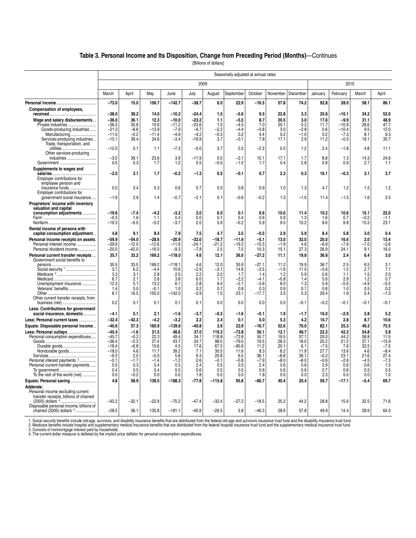#### **Table 3. Personal Income and Its Disposition, Change from Preceding Period (Months)**—Continues

[Billions of dollars]

|                                         | Seasonally adjusted at annual rates |         |         |                  |               |          |           |         |          |          |         |          |        |            |
|-----------------------------------------|-------------------------------------|---------|---------|------------------|---------------|----------|-----------|---------|----------|----------|---------|----------|--------|------------|
|                                         |                                     |         |         |                  | 2009          |          |           |         |          |          |         | 2010     |        |            |
|                                         | March                               | April   | May     | June             | July          | August   | September | October | November | December | January | February | March  | April      |
|                                         | $-73.0$                             | 15.0    | 156.7   | $-142.7$         | $-38.7$       | 6.0      | 22.9      | $-16.5$ | 57.8     | 74.2     | 92.8    | 28.0     | 58.1   | 86.1       |
| Compensation of employees,              |                                     |         |         |                  |               |          |           |         |          |          |         |          |        |            |
|                                         | $-38.0$                             | 39.2    | 14.0    | $-10.2$          | -24.4         | 1.5      | $-5.6$    | 9.5     | 22.8     | 3.3      | 33.6    | $-10.1$  | 34.2   | 52.6       |
| Wage and salary disbursements           | $-36.0$                             | 36.1    | 12.3    | $-10.0$          | -23.2         | 1.1      | $-5.5$    | 8.7     | 20.5     | 3.0      | 17.6    | $-9.9$   | 31.1   | 48.9       |
| Private industries                      | $-36.5$                             | 30.8    | 10.6    | $-11.2$          | $-23.6$       | 1.5      | -4.5      | 7.0     | 20.1     | 0.2      | 11.7    | $-10.9$  | 28.6   | 47.7       |
| Goods-producing industries              | $-21.3$                             | $-8.6$  | $-13.9$ | $-7.9$           | $-6.7$        | $-2.2$   | -4.4      | $-0.8$  | 3.0      | $-2.8$   | 0.6     | $-10.4$  | 9.5    | 12.0       |
| Manufacturing                           | $-11.0$                             | $-0.2$  | $-11.4$ | $-4.9$           | $-4.2$        | $-0.3$   | 0.2       | 4.4     | 5.2      | $-1.0$   | 0.2     | $-7.3$   | 8.1    | 9.3        |
| Services-producing industries           | $-15.1$                             | 39.4    | 24.6    | $-3.4$           | $-16.9$       | 3.7      | $-0.1$    | 7.8     | 17.1     | 2.9      | 11.2    | $-0.5$   | 19.1   | 35.7       |
| Trade, transportation, and              |                                     |         |         |                  |               |          |           |         |          |          |         |          |        |            |
|                                         | $-12.0$                             | 0.1     | 1.1     | $-7.3$           | $-5.0$        | 3.7      | 2.0       | $-2.3$  | 0.0      | 1.2      | 2.4     | $-1.8$   | 4.8    | 11.1       |
| Other services-producing                |                                     |         |         |                  |               |          |           |         |          |          |         |          |        |            |
| industries                              | $-3.0$                              | 39.1    | 23.6    | 3.9              | $-11.9$       | 0.0      | $-2.1$    | 10.1    | 17.1     | 1.7      | 8.8     | 1.3      | 14.3   | 24.6       |
|                                         | 0.5                                 | 5.3     | 1.7     | 1.2              | 0.5           | -0.5     | $-1.0$    | 1.7     | 0.4      | 2.8      | 5.9     | 0.9      | 2.7    | 1.1        |
| Supplements to wages and                |                                     |         |         |                  |               |          |           |         |          |          |         |          |        |            |
|                                         | $-2.0$                              | 3.1     | 1.7     | $-0.2$           | $-1.2$        | 0.5      | $-0.1$    | 0.7     | 2.3      | 0.3      | 16.1    | $-0.3$   | 3.1    | 3.7        |
| Employer contributions for              |                                     |         |         |                  |               |          |           |         |          |          |         |          |        |            |
| employee pension and                    |                                     |         |         |                  |               |          |           |         |          |          |         |          |        |            |
| insurance funds                         | 0.0                                 | 0.4     | 0.3     | 0.6              | 0.7           | 0.5      | 0.8       | 0.9     | 1.0      | 1.3      | 4.7     | 1.2      | 1.5    | 1.2        |
| Employer contributions for              |                                     |         |         |                  |               |          |           |         |          |          |         |          |        |            |
| government social insurance             | $-1.9$                              | 2.6     | 1.4     | -0.7             | -2.1          | 0.1      | $-0.9$    | $-0.2$  | 1.3      | $-1.0$   | 11.4    | $-1.5$   | 1.6    | 2.5        |
| Proprietors' income with inventory      |                                     |         |         |                  |               |          |           |         |          |          |         |          |        |            |
| valuation and capital                   |                                     |         |         |                  |               |          |           |         |          |          |         |          |        |            |
| consumption adjustments                 | $-19.6$                             | $-7.4$  | $-4.2$  | -3.2             | 2.0           | 6.0      | 0.1       | 6.6     | 10.0     | 11.4     | 10.2    | 10.6     | 15.1   | 22.0       |
|                                         | $-0.3$                              | 1.6     | 1.1     | 0.4              | 0.0           | 0.1      | 0.4       | 0.6     | 0.9      | 1.3      | 1.6     | 0.7      | $-0.2$ | $-1.1$     |
|                                         | $-19.3$                             | $-9.0$  | $-5.2$  | $-3.7$           | 2.0           | 5.9      | $-0.2$    | 5.9     | 9.0      | 10.2     | 8.6     | 9.8      | 15.3   | 23.1       |
| Rental income of persons with           |                                     |         |         |                  |               |          |           |         |          |          |         |          |        |            |
| capital consumption adjustment          | 4.8                                 | 9.1     | 8.4     | 7.9              | 7.5           | 4.7      | 2.5       | $-0.5$  | 2.9      | 5.9      | 8.4     | 5.8      | 3.0    | 0.4        |
| Personal income receipts on assets.     | $-59.9$                             | $-54.0$ | $-28.6$ | $-20.9$          | $-32.0$       | $-18.7$  | $-11.6$   | $-5.1$  | 13.0     | 32.0     | 20.0    | 16.6     | 2.0    | 13.4       |
| Personal interest income                | $-39.9$                             | $-12.0$ | $-12.6$ | $-11.6$          | $-24.1$       | $-21.2$  | -19.2     | $-15.5$ | $-1.9$   | 4.6      | -6.9    | $-7.6$   | $-7.0$ | $-2.6$     |
| Personal dividend income                | $-20.0$                             | $-42.0$ | $-16.0$ | $-9.3$           | $-7.8$        | 2.5      | 7.5       | 10.3    | 15.1     | 27.3     | 26.9    | 24.1     | 9.1    | 16.0       |
|                                         |                                     |         |         |                  |               |          |           |         |          |          |         |          |        |            |
| Personal current transfer receipts      | 35.7                                | 33.2    | 169.2   | $-118.0$         | 4.6           | 12.1     | 36.0      | $-27.2$ | 11.1     | 19.8     | 36.6    | 2.4      | 6.4    | 3.0        |
| Government social benefits to           | 35.5                                | 33.0    | 169.2   |                  |               | 12.0     | 35.9      | $-27.1$ | 11.2     | 19.9     | 36.7    | 2.5      | 6.5    |            |
| Social security 1                       | 3.7                                 | 6.2     | $-4.4$  | $-118.1$<br>10.6 | 4.6<br>$-2.9$ | $-3.1$   | 14.6      | $-3.5$  | $-1.6$   | 11.0     | $-5.6$  | 1.2      | 2.7    | 3.1<br>7.1 |
|                                         | 3.3                                 | 3.1     | 2.8     | 2.5              | 2.2           | 2.0      | 1.7       | 1.4     | 1.2      | 0.9      | 0.6     | 1.1      | 1.5    | 2.0        |
|                                         | 6.7                                 | 2.1     | 2.6     | 3.8              | 6.0           | 1.7      | $-2.2$    | $-4.1$  | $-0.8$   | 1.4      | 5.6     | 2.9      | 1.2    | 0.7        |
| Unemployment insurance                  | 12.3                                | 5.1     | 13.2    | 6.1              | 2.8           | 9.4      | $-2.1$    | $-3.6$  | 8.0      | 1.3      | 5.9     | $-5.6$   | $-4.9$ | $-5.5$     |
| Veterans' benefits                      | 1.4                                 | 0.0     | $-0.1$  | 1.0              | 0.2           | 0.7      | 0.8       | 0.3     | 0.9      | 0.1      | 0.8     | 1.0      | 0.5    | 0.2        |
|                                         | 8.1                                 | 16.5    | 155.0   | $-142.0$         | $-3.9$        | 1.5      | 23.1      | $-17.7$ | 3.5      | 5.3      | 29.4    | 1.9      | 5.4    | $-1.3$     |
| Other current transfer receipts, from   |                                     |         |         |                  |               |          |           |         |          |          |         |          |        |            |
| business (net)                          | 0.2                                 | 0.1     | 0.1     | 0.1              | 0.1           | 0.0      | 0.0       | 0.0     | 0.0      | $-0.1$   | $-0.2$  | $-0.1$   | $-0.1$ | $-0.1$     |
| Less: Contributions for government      |                                     |         |         |                  |               |          |           |         |          |          |         |          |        |            |
| social insurance, domestic              | $-4.1$                              | 5.1     | 2.1     | $-1.6$           | $-3.7$        | $-0.3$   | $-1.6$    | $-0.1$  | 1.9      | $-1.7$   | 16.0    | $-2.9$   | 2.8    | 5.2        |
|                                         | $-32.4$                             | $-42.3$ | $-4.2$  | $-3.2$           | 2.2           | 2.4      | 0.1       |         |          | 4.2      | 10.7    | 2.8      | 8.7    | 10.6       |
| Less: Personal current taxes            |                                     |         |         |                  |               |          |           | 0.0     | 5.3      |          |         |          |        |            |
| Equals: Disposable personal income      | $-40.6$                             | 57.3    | 160.9   | $-139.6$         | $-40.8$       | 3.6      | 22.9      | $-16.7$ | 52.6     | 70.0     | 82.1    | 25.3     | 49.3   | 75.5       |
| Less: Personal outlays                  | $-45.4$                             | $-1.6$  | 21.5    | 48.6             | 37.0          | 119.3    | $-72.8$   | 50.1    | 12.1     | 49.7     | 22.3    | 42.3     | 54.8   | 5.8        |
| Personal consumption expenditures       | $-45.7$                             | $-0.2$  | 22.3    | 49.4             | 34.1          | 118.8    | $-72.6$   | 55.7    | 19.5     | 57.1     | 20.0    | 44.2     | 58.8   | 11.5       |
|                                         | $-36.4$                             | $-2.3$  | 27.4    | 43.7             | 24.7          | 98.0     | $-79.0$   | 19.5    | 28.3     | 18.0     | 20.2    | 21.2     | 37.1   | $-15.9$    |
| Durable goods                           | $-18.4$                             | $-6.8$  | 15.6    | 4.5              | 17.6          | 67.5     | $-90.6$   | 11.2    | 20.1     | 6.1      | $-7.5$  | 7.6      | 32.5   | $-7.5$     |
| Nondurable goods                        | $-18.0$                             | 4.6     | 11.7    | 39.2             | 7.1           | 30.5     | 11.6      | 8.3     | 8.2      | 11.9     | 27.7    | 13.6     | 4.6    | $-8.4$     |
|                                         | $-9.3$                              | 2.0     | $-5.0$  | 5.8              | 9.3           | 20.8     | 6.5       | 36.1    | $-8.8$   | 39.1     | $-0.2$  | 23.1     | 21.6   | 27.4       |
| Personal interest payments 3            | $-0.1$                              | $-1.7$  | $-1.4$  | $-1.2$           | 0.6           | $-0.1$   | $-0.8$    | $-7.9$  | $-8.0$   | $-8.0$   | $-0.6$  | $-2.6$   | $-4.5$ | $-7.3$     |
| Personal current transfer payments      | 0.5                                 | 0.3     | 0.4     | 0.5              | 2.4           | 0.5      | 0.5       | 2.4     | 0.6      | 0.6      | 2.9     | 0.6      | 0.6    | 1.5        |
|                                         | 0.4                                 | 0.5     | 0.4     | 0.5              | 0.6           | 0.5      | 0.5       | 0.6     | 0.6      | 0.6      | 0.7     | 0.6      | 0.5    | 0.5        |
| To the rest of the world (net)          | 0.0                                 | $-0.2$  | 0.0     | 0.0              | 1.8           | 0.0      | 0.0       | 1.8     | 0.0      | 0.0      | 2.3     | 0.0      | 0.0    | 1.0        |
| Equals: Personal saving                 | 4.8                                 | 58.9    | 139.5   | $-188.3$         | $-77.8$       | $-115.8$ | 95.8      | $-66.7$ | 40.4     | 20.4     | 59.7    | $-17.1$  | $-5.4$ | 69.7       |
| Addenda:                                |                                     |         |         |                  |               |          |           |         |          |          |         |          |        |            |
| Personal income excluding current       |                                     |         |         |                  |               |          |           |         |          |          |         |          |        |            |
| transfer receipts, billions of chained  |                                     |         |         |                  |               |          |           |         |          |          |         |          |        |            |
|                                         | $-92.2$                             | $-32.1$ | $-22.9$ | $-70.2$          | $-47.4$       | $-32.4$  | $-27.2$   | $-18.5$ | 25.2     | 44.2     | 28.8    | 15.6     | 32.5   | 71.6       |
| Disposable personal income, billions of |                                     |         |         |                  |               |          |           |         |          |          |         |          |        |            |
| chained (2005) dollars 4                | $-28.5$                             | 36.1    | 135.8   | $-181.1$         | $-45.9$       | $-26.5$  | 3.8       | $-46.3$ | 28.6     | 57.8     | 49.9    | 14.4     | 28.9   | 64.3       |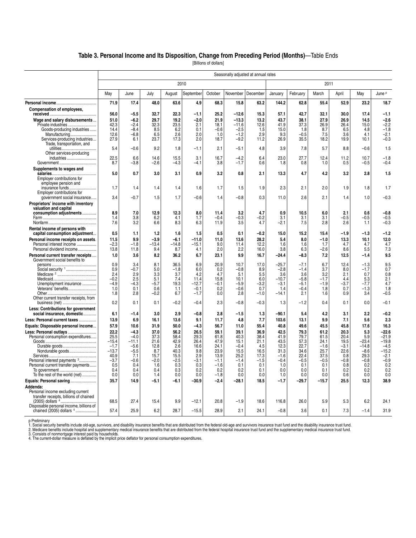#### **Table 3. Personal Income and Its Disposition, Change from Preceding Period (Months)**—Table Ends

[Billions of dollars]

|                                                                       |                   |                  |                |                |                   |               |                  | Seasonally adjusted at annual rates |               |                  |                |                |                   |                   |
|-----------------------------------------------------------------------|-------------------|------------------|----------------|----------------|-------------------|---------------|------------------|-------------------------------------|---------------|------------------|----------------|----------------|-------------------|-------------------|
|                                                                       |                   |                  |                | 2010           |                   |               |                  |                                     |               |                  | 2011           |                |                   |                   |
|                                                                       | May               | June             | July           | August         | September         | October       | November         | December                            | January       | February         | March          | April          | May               | June P            |
|                                                                       | 71.9              | 17.4             | 48.0           | 63.6           | 4.9               | 68.3          | 15.8             | 63.2                                | 144.2         | 62.8             | 55.4           | 52.9           | 23.2              | 18.7              |
| Compensation of employees,                                            | 56.0              | $-5.5$           | 32.7           | 22.3           | $-1.1$            | 25.2          | $-12.6$          | 15.3                                | 57.1          | 42.7             | 32.1           | 30.0           | 17.4              | $-1.1$            |
| Wage and salary disbursements                                         | 51.0              | $-6.2$           | 29.7           | 19.2           | $-2.0$            | 21.9          | $-13.3$          | 13.2                                | 43.7          | 38.1             | 27.9           | 26.9           | 14.5              | $-2.6$            |
| Private industries                                                    | 42.3              | $-2.4$           | 32.3           | 23.5           | 2.1               | 18.1          | $-11.6$          | 12.6                                | 41.9          | 37.3             | 26.9           | 26.4           | 15.0              | $-2.2$            |
| Goods-producing industries                                            | 14.4              | $-8.4$           | 8.5            | 6.2            | 0.1               | $-0.6$        | $-2.5$           | 1.5                                 | 15.0          | 1.8              | 8.7            | 6.5            | 4.8               | $-1.8$            |
|                                                                       | 12.6              | $-6.8$           | 6.5            | 2.6            | 2.0               | 1.0           | $-1.2$           | 2.9                                 | 9.3           | $-0.5$           | 7.5            | 3.6            | 4.1               | $-2.1$            |
| Services-producing industries<br>Trade, transportation, and           | 27.9              | 6.1              | 23.7           | 17.3           | 2.0               | 18.7          | $-9.2$           | 11.2                                | 26.9          | 35.5             | 18.2           | 19.9           | 10.1              | $-0.3$            |
|                                                                       | 5.4               | $-0.6$           | 9.2            | 1.8            | $-1.1$            | 2.1           | $-5.1$           | 4.8                                 | 3.9           | 7.8              | 5.7            | 8.8            | $-0.6$            | 1.5               |
| Other services-producing                                              |                   |                  |                |                |                   |               |                  |                                     |               |                  |                |                |                   |                   |
| industries                                                            | 22.5              | 6.6              | 14.6           | 15.5           | 3.1               | 16.7          | $-4.2$           | 6.4                                 | 23.0          | 27.7             | 12.4           | 11.2           | 10.7              | $-1.8$            |
|                                                                       | 8.7               | $-3.8$           | $-2.6$         | $-4.3$         | $-4.1$            | 3.8           | $-1.7$           | 0.6                                 | 1.8           | 0.8              | 1.0            | 0.5            | $-0.5$            | $-0.4$            |
| Supplements to wages and                                              |                   |                  |                |                |                   |               |                  |                                     |               |                  |                |                |                   |                   |
|                                                                       | 5.0               | 0.7              | 3.0            | 3.1            | 0.9               | 3.2           | 0.8              | 2.1                                 | 13.3          | 4.7              | 4.2            | 3.2            | 2.8               | 1.5               |
| Employer contributions for                                            |                   |                  |                |                |                   |               |                  |                                     |               |                  |                |                |                   |                   |
| employee pension and<br>insurance funds                               | 1.7               | 1.4              | 1.4            | 1.4            | 1.6               | 1.7           | 1.5              | 1.9                                 | 2.3           | 2.1              | 2.0            | 1.9            | 1.8               | 1.7               |
| Employer contributions for                                            |                   |                  |                |                |                   |               |                  |                                     |               |                  |                |                |                   |                   |
| government social insurance                                           | 3.4               | $-0.7$           | 1.5            | 1.7            | $-0.6$            | 1.4           | $-0.8$           | 0.3                                 | 11.0          | 2.6              | 2.1            | 1.4            | 1.0               | $-0.3$            |
| Proprietors' income with inventory                                    |                   |                  |                |                |                   |               |                  |                                     |               |                  |                |                |                   |                   |
| valuation and capital                                                 |                   |                  |                |                |                   |               |                  |                                     |               |                  |                |                |                   |                   |
| consumption adjustments                                               | 8.9               | 7.0              | 12.9           | 12.3           | 8.0               | 11.4          | 3.2              | 4.7                                 | 0.9           | 10.5             | 6.0            | 2.1            | 0.6               | $-0.8$            |
|                                                                       | 1.4               | 3.8              | 6.2            | 4.1            | 1.7               | -0.4          | $-0.3$           | $-0.2$                              | 3.1           | 3.1              | 3.1            | $-0.5$         | -0.5              | $-0.5$            |
|                                                                       | 7.6               | 3.2              | 6.6            | 8.3            | 6.3               | 11.9          | 3.5              | 4.7                                 | $-2.1$        | 7.5              | 2.8            | 2.6            | 1.1               | -0.3              |
| Rental income of persons with                                         |                   |                  |                |                |                   |               |                  |                                     |               |                  |                |                |                   |                   |
| capital consumption adjustment                                        | 0.5               | 1.1              | 1.2            | 1.6            | 1.5               | 0.5           | 0.1              | $-0.2$                              | 15.0          | 15.2             | 15.4           | $-1.9$         | $-1.3$            | $-1.2$            |
| Personal income receipts on assets.                                   | 11.5              | 9.9              | $-3.9$         | $-6.1$         | $-11.0$           | 11.0          | 13.6             | 28.2                                | 5.4           | 8.0              | $-1.0$         | 13.3           | 10.1              | 12.0              |
| Personal interest income<br>Personal dividend income                  | $-2.3$<br>13.8    | $-1.8$<br>11.8   | $-13.4$<br>9.4 | $-14.8$<br>8.7 | $-15.1$<br>4.1    | 9.0<br>2.0    | 11.4<br>2.2      | 12.2<br>16.0                        | 1.6<br>3.8    | 1.6<br>6.3       | 1.7<br>$-2.6$  | 4.7<br>8.6     | 4.7<br>5.5        | 4.7<br>7.3        |
|                                                                       | 1.0               |                  |                |                |                   |               | 9.9              | 16.7                                |               |                  | 7.2            | 12.5           |                   |                   |
| Personal current transfer receipts<br>Government social benefits to   |                   | 3.6              | 8.2            | 36.2           | 6.7               | 23.1          |                  |                                     | $-24.4$       | $-8.3$           |                |                | $-1.4$            | 9.5               |
|                                                                       | 0.9               | 3.4              | 8.1            | 36.5           | 6.9               | 20.9          | 10.7             | 17.0                                | $-25.7$       | $-7.1$           | 6.7            | 12.4           | $-1.3$            | 9.5               |
| Social security 1                                                     | 0.9               | $-0.7$           | 5.0            | $-1.8$         | 6.0               | 0.2           | $-0.8$           | 8.9                                 | $-2.8$        | $-1.4$           | 3.7            | 8.0            | $-1.7$            | 0.7               |
|                                                                       | 2.4               | 2.9              | 3.3            | 3.7            | 4.2               | 4.7           | 5.1              | 5.5                                 | 3.6           | 3.6              | 3.2            | 2.1            | 0.7               | 0.8               |
|                                                                       | $-0.2$            | 2.5              | 5.1            | 7.4            | 11.4              | 15.8          | 10.1             | 6.0                                 | $-10.7$       | $-5.8$           | $-1.7$         | 4.4            | 5.3               | 2.1               |
| Unemployment insurance<br>Veterans' benefits                          | $-4.9$<br>1.0     | $-4.3$<br>0.1    | $-5.7$<br>0.6  | 19.3<br>1.1    | $-12.7$<br>$-0.1$ | $-0.1$<br>0.2 | $-5.9$<br>$-0.6$ | $-3.2$<br>0.7                       | $-3.1$<br>1.4 | $-5.1$<br>$-0.4$ | $-1.9$<br>1.8  | $-3.7$<br>0.7  | $-7.7$<br>$-1.3$  | 4.7<br>1.8        |
|                                                                       | 1.8               | 2.8              | $-0.2$         | 6.7            | $-1.7$            | 0.0           | 2.8              | $-1.0$                              | $-14.1$       | 2.1              | 1.6            | 0.9            | 3.4               | $-0.5$            |
| Other current transfer receipts, from                                 |                   |                  |                |                |                   |               |                  |                                     |               |                  |                |                |                   |                   |
| business (net)                                                        | 0.2               | 0.1              | 0.1            | $-0.2$         | $-0.4$            | 2.3           | $-0.8$           | $-0.3$                              | 1.3           | $-1.2$           | 0.4            | 0.1            | 0.0               | $-0.1$            |
| Less: Contributions for government                                    |                   |                  |                |                |                   |               |                  |                                     |               |                  |                |                |                   |                   |
| social insurance, domestic                                            | 6.1               | -1.4             | 3.0            | 2.9            | $-0.8$            | 2.8           | $-1.5$           | 1.3                                 | $-90.1$       | 5.4              | 4.2            | 3.1            | 2.2               | $-0.2$            |
| Less: Personal current taxes                                          | 13.9              | 6.9              | 16.1           | 13.6           | 9.1               | 11.7          | 4.8              | 7.7                                 | 103.6         | 13.1             | 9.9            | 7.1            | 5.6               | 2.3               |
| Equals: Disposable personal income                                    | 57.9              | 10.6             | 31.9           | 50.0           | $-4.3$            | 56.7          | 11.0             | 55.4                                | 40.8          | 49.6             | 45.5           | 45.8           | 17.6              | 16.3              |
| Less: Personal outlays                                                | 22.2              | $-4.3$           | 37.0           | 56.2           | 26.5              | 59.1          | 39.1             | 36.9                                | 42.5          | 79.3             | 61.2           | 20.3           | 5.3               | $-22.6$           |
| Personal consumption expenditures                                     | 25.5              | $-4.0$           | 37.3           | 58.4           | 29.3              | 61.8          | 40.3             | 38.4                                | 41.9          | 79.7             | 61.5           | 20.4           | 5.9               | $-21.9$           |
|                                                                       | $-15.4$           | $-11.1$          | 21.6           | 42.9           | 26.4              | 47.9          | 15.1             | 21.1                                | 43.5          | 57.3             | 24.1           | 19.5           | $-23.4$           | $-19.8$           |
| Durable goods                                                         | $-1.7$<br>$-13.7$ | $-5.6$<br>$-5.5$ | 12.8<br>8.7    | 2.6<br>40.3    | 16.6<br>9.8       | 24.1<br>23.9  | $-0.4$<br>15.5   | 4.5<br>16.5                         | 12.3<br>31.3  | 22.7<br>34.6     | $-1.6$<br>25.7 | $-3.1$<br>22.6 | $-14.8$<br>$-8.6$ | $-4.5$<br>$-15.2$ |
| Nondurable goods                                                      | 40.9              | 7.1              | 15.7           | 15.5           | 2.9               | 13.9          | 25.2             | 17.3                                | $-1.6$        | 22.4             | 37.5           | 0.8            | 29.3              | $-2.1$            |
| Personal interest payments 3                                          | $-3.7$            | $-0.6$           | $-2.0$         | $-2.5$         | -3.1              | $-1.1$        | $-1.4$           | $-1.5$                              | $-0.4$        | $-0.5$           | $-0.5$         | $-0.8$         | $-0.8$            | $-0.9$            |
| Personal current transfer payments                                    | 0.5               | 0.4              | 1.6            | 0.3            | 0.3               | $-1.6$        | 0.1              | 0.1                                 | 1.0           | 0.1              | 0.1            | 0.8            | 0.2               | 0.2               |
|                                                                       | 0.4               | 0.4              | 0.4            | 0.3            | 0.2               | 0.2           | 0.2              | 0.1                                 | 0.0           | 0.0              | 0.1            | 0.2            | 0.2               | 0.2               |
| To the rest of the world (net)                                        | 0.0               | 0.0              | 1.4            | 0.0            | 0.0               | $-1.8$        | 0.0              | 0.0                                 | 1.0           | 0.0              | 0.0            | 0.6            | 0.0               | 0.0               |
| Equals: Personal saving                                               | 35.7              | 14.9             | $-5.1$         | -6.1           | $-30.9$           | $-2.4$        | $-28.1$          | 18.5                                | $-1.7$        | $-29.7$          | $-15.7$        | 25.5           | 12.3              | 38.9              |
| Addenda:                                                              |                   |                  |                |                |                   |               |                  |                                     |               |                  |                |                |                   |                   |
| Personal income excluding current                                     |                   |                  |                |                |                   |               |                  |                                     |               |                  |                |                |                   |                   |
| transfer receipts, billions of chained<br>(2005) dollars <sup>4</sup> | 68.5              | 27.4             | 15.4           | 9.9            | $-12.1$           | 20.8          | $-1.9$           | 18.6                                | 116.8         | 26.0             | 5.9            | 5.3            | 6.2               | 24.1              |
| Disposable personal income, billions of                               |                   |                  |                |                |                   |               |                  |                                     |               |                  |                |                |                   |                   |
| chained (2005) dollars 4                                              | 57.4              | 25.9             | 6.2            | 28.7           | $-15.5$           | 28.9          | 2.1              | 24.1                                | $-0.8$        | 3.6              | 0.1            | 7.3            | $-1.4$            | 31.9              |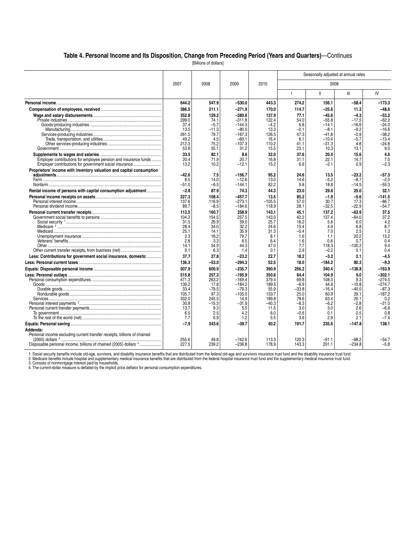#### **Table 4. Personal Income and Its Disposition, Change from Preceding Period (Years and Quarters)**—Continues

[Billions of dollars]

|                                                                                                                           |                                                                                          |                                                                                             |                                                                                                             |                                                                                             |                                                                                            | Seasonally adjusted at annual rates                                                       |                                                                                             |                                                                                                                  |
|---------------------------------------------------------------------------------------------------------------------------|------------------------------------------------------------------------------------------|---------------------------------------------------------------------------------------------|-------------------------------------------------------------------------------------------------------------|---------------------------------------------------------------------------------------------|--------------------------------------------------------------------------------------------|-------------------------------------------------------------------------------------------|---------------------------------------------------------------------------------------------|------------------------------------------------------------------------------------------------------------------|
|                                                                                                                           | 2007                                                                                     | 2008                                                                                        | 2009                                                                                                        | 2010                                                                                        |                                                                                            | 2008                                                                                      |                                                                                             |                                                                                                                  |
|                                                                                                                           |                                                                                          |                                                                                             |                                                                                                             |                                                                                             |                                                                                            | $\mathbf{I}$                                                                              | $\mathbf{III}$                                                                              | IV                                                                                                               |
|                                                                                                                           | 644.2                                                                                    | 547.9                                                                                       | $-530.0$                                                                                                    | 443.3                                                                                       | 274.2                                                                                      | 156.1                                                                                     | $-58.4$                                                                                     | -173.3                                                                                                           |
|                                                                                                                           | 386.5                                                                                    | 211.1                                                                                       | $-271.9$                                                                                                    | 170.0                                                                                       | 114.7                                                                                      | $-25.6$                                                                                   | 11.3                                                                                        | $-48.6$                                                                                                          |
|                                                                                                                           | 352.8<br>299.0<br>37.4<br>13.5<br>261.5                                                  | 129.2<br>74.1<br>$-5.7$<br>-11.3<br>79.7                                                    | $-280.6$<br>$-311.8$<br>$-144.3$<br>$-80.0$<br>$-167.3$                                                     | 137.9<br>122.4<br>$-4.2$<br>13.3<br>126.5                                                   | 77.1<br>54.0<br>6.8<br>-0.1<br>47.3                                                        | $-45.6$<br>$-55.8$<br>$-14.1$<br>$-8.1$<br>$-41.8$                                        | $-4.3$<br>$-17.5$<br>$-16.6$<br>$-9.2$<br>$-0.9$                                            | $-53.2$<br>$-62.2$<br>$-24.0$<br>$-16.6$<br>$-38.2$                                                              |
|                                                                                                                           | 49.2<br>212.3<br>53.8                                                                    | 4.5<br>75.2<br>55.1                                                                         | $-60.1$<br>$-107.3$<br>31.2                                                                                 | 16.4<br>110.2<br>15.5                                                                       | 6.1<br>41.1<br>23.1                                                                        | $-10.4$<br>$-31.3$<br>10.3                                                                | $-5.7$<br>4.8<br>13.1                                                                       | $-13.4$<br>$-24.8$<br>9.0                                                                                        |
| Employer contributions for employee pension and insurance funds<br>Employer contributions for government social insurance | 33.5<br>20.4<br>13.2                                                                     | 82.1<br>71.9<br>10.2                                                                        | 8.6<br>20.7<br>$-12.1$                                                                                      | 32.0<br>16.8<br>15.2                                                                        | 37.6<br>31.1<br>6.6                                                                        | 20.0<br>22.1<br>-2.1                                                                      | 15.6<br>14.7<br>0.9                                                                         | 4.6<br>7.0<br>$-2.3$                                                                                             |
| Proprietors' income with inventory valuation and capital consumption                                                      | $-42.6$<br>8.5<br>$-51.0$                                                                | 7.5<br>14.0<br>$-6.5$                                                                       | $-156.7$<br>$-12.6$<br>$-144.1$                                                                             | 95.2<br>13.0<br>82.2                                                                        | 24.6<br>14.6<br>9.8                                                                        | 13.5<br>$-5.2$<br>18.8                                                                    | $-23.2$<br>$-8.7$<br>$-14.5$                                                                | -57.3<br>$-2.0$<br>$-55.3$                                                                                       |
| Rental income of persons with capital consumption adjustment                                                              | $-2.8$                                                                                   | 87.9                                                                                        | 74.3                                                                                                        | 44.3                                                                                        | 23.0                                                                                       | 29.6                                                                                      | 25.0                                                                                        | 32.1                                                                                                             |
|                                                                                                                           | 227.3<br>137.6<br>89.7                                                                   | 108.4<br>116.9<br>$-8.5$                                                                    | -457.7<br>$-273.1$<br>$-184.6$                                                                              | 13.5<br>$-105.5$<br>118.9                                                                   | 85.2<br>57.0<br>28.1                                                                       | -1.9<br>30.7<br>$-32.5$                                                                   | $-5.6$<br>17.3<br>–22.9                                                                     | $-141.5$<br>$-86.7$<br>$-54.7$                                                                                   |
|                                                                                                                           | 113.5<br>104.3<br>31.5<br>28.4<br>25.1<br>2.3<br>2.8<br>14.1                             | 160.7<br>154.5<br>29.9<br>34.0<br>14.1<br>18.2<br>3.3<br>54.9                               | 258.9<br>257.5<br>59.0<br>32.2<br>35.9<br>79.7<br>6.5<br>44.3                                               | 143.1<br>143.0<br>25.7<br>24.6<br>31.3<br>8.1<br>6.4<br>47.0                                | 45.1<br>42.2<br>16.2<br>15.4<br>$-0.4$<br>1.6<br>1.6<br>7.7                                | 137.2<br>137.4<br>5.6<br>4.9<br>7.0<br>1.1<br>0.6<br>118.3                                | $-63.9$<br>$-64.0$<br>6.0<br>6.8<br>2.5<br>20.2<br>0.7<br>$-100.2$                          | 37.5<br>37.2<br>4.2<br>8.7<br>1.3<br>13.2<br>0.4<br>9.4                                                          |
|                                                                                                                           | 9.1                                                                                      | 6.3                                                                                         | 1.4                                                                                                         | 0.1                                                                                         | 2.9                                                                                        | $-0.2$                                                                                    | 0.1                                                                                         | 0.4                                                                                                              |
| Less: Contributions for government social insurance, domestic                                                             | 37.7                                                                                     | 27.8                                                                                        | $-23.2$                                                                                                     | 22.7                                                                                        | 18.2                                                                                       | $-3.2$                                                                                    | 2.1                                                                                         | $-4.5$                                                                                                           |
|                                                                                                                           | 136.3                                                                                    | $-53.0$                                                                                     | $-294.3$                                                                                                    | 52.5                                                                                        | 18.0                                                                                       | $-184.2$                                                                                  | 80.3                                                                                        | $-9.3$                                                                                                           |
|                                                                                                                           | 507.9<br>515.8<br>471.3<br>139.2<br>33.4<br>105.7<br>332.0<br>30.8<br>13.7<br>6.0<br>7.7 | 600.9<br>257.3<br>263.2<br>17.8<br>$-79.5$<br>97.3<br>245.5<br>$-15.3$<br>9.3<br>2.5<br>6.9 | $-235.7$<br>$-195.9$<br>$-169.4$<br>$-184.2$<br>$-79.3$<br>$-105.0$<br>14.9<br>$-31.9$<br>5.5<br>4.2<br>1.2 | 390.9<br>350.6<br>379.4<br>189.5<br>55.9<br>133.7<br>189.8<br>$-40.3$<br>11.5<br>6.0<br>5.5 | 256.2<br>64.4<br>69.8<br>$-8.9$<br>$-33.8$<br>25.0<br>78.6<br>$-8.3$<br>3.0<br>-0.6<br>3.6 | 340.4<br>104.9<br>108.0<br>44.6<br>$-16.4$<br>60.9<br>63.4<br>$-6.2$<br>3.0<br>0.1<br>2.9 | $-138.8$<br>9.0<br>9.3<br>$-10.8$<br>$-40.0$<br>29.1<br>20.1<br>$-2.8$<br>2.6<br>0.5<br>2.1 | $-163.9$<br>$-302.1$<br>$-274.5$<br>$-274.7$<br>$-87.3$<br>$-187.2$<br>0.2<br>$-21.0$<br>$-6.6$<br>0.8<br>$-7.4$ |
|                                                                                                                           | $-7.9$                                                                                   | 343.6                                                                                       | $-39.7$                                                                                                     | 40.2                                                                                        | 191.7                                                                                      | 235.6                                                                                     | $-147.8$                                                                                    | 138.1                                                                                                            |
| Addenda:<br>Personal income excluding current transfer receipts, billions of chained                                      | 255.6<br>227.5                                                                           | 49.8<br>239.2                                                                               | $-742.6$<br>$-236.8$                                                                                        | 113.3<br>178.9                                                                              | 120.3<br>143.3                                                                             | $-91.1$<br>201.1                                                                          | -98.2<br>$-234.8$                                                                           | -54.7<br>$-5.8$                                                                                                  |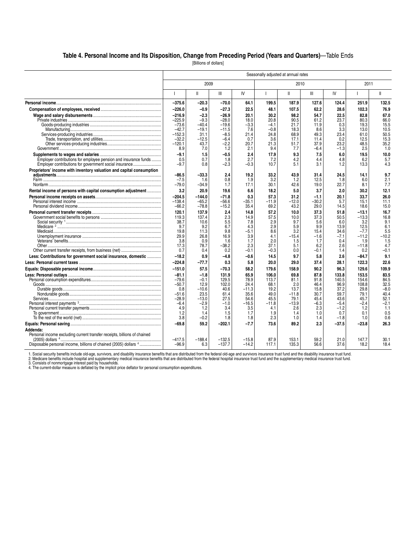#### **Table 4. Personal Income and Its Disposition, Change from Preceding Period (Years and Quarters)**—Table Ends

[Billions of dollars]

|                                                                          | Seasonally adjusted at annual rates |                 |                   |                 |                |                 |                |                |                   |                |  |  |
|--------------------------------------------------------------------------|-------------------------------------|-----------------|-------------------|-----------------|----------------|-----------------|----------------|----------------|-------------------|----------------|--|--|
|                                                                          |                                     | 2009            |                   |                 |                | 2010            |                |                | 2011              |                |  |  |
|                                                                          |                                     | $\mathbf{II}$   | Ш                 | IV              | T              | $\mathbf{II}$   | Ш              | IV             |                   | $\mathsf{I}$   |  |  |
|                                                                          | $-375.6$                            | $-20.3$         | $-70.0$           | 64.1            | 199.5          | 187.9           | 127.6          | 124.4          | 251.9             | 132.5          |  |  |
|                                                                          | $-226.0$                            | $-0.9$          | $-27.3$           | 22.5            | 48.1           | 107.5           | 62.2           | 28.6           | 102.3             | 76.9           |  |  |
|                                                                          | $-216.9$                            | $-2.3$          | $-26.9$           | 20.1            | 30.2           | 98.2            | 54.7           | 22.5           | 82.8              | 67.0           |  |  |
|                                                                          | $-225.9$                            | $-9.3$          | $-28.0$           | 18.0            | 20.8           | 90.5            | 61.2           | 23.7           | 80.3              | 66.0           |  |  |
|                                                                          | $-73.6$                             | -40.4           | $-19.6$           | -3.3            | -4.1           | 21.7            | 11.9           | 0.3            | 19.3              | 15.5           |  |  |
|                                                                          | $-42.7$<br>$-152.3$                 | $-19.1$<br>31.1 | $-11.5$<br>$-8.5$ | 7.6<br>21.4     | $-0.8$<br>24.8 | 18.3<br>68.9    | 8.6<br>49.3    | 3.3<br>23.4    | 13.0<br>61.0      | 10.5<br>50.5   |  |  |
|                                                                          | $-32.2$                             | $-12.5$         | $-6.4$            | 0.7             | 3.6            | 17.1            | 11.4           | 0.2            | 12.5              | 15.3           |  |  |
|                                                                          | $-120.1$                            | 43.7            | $-2.2$            | 20.7            | 21.3           | 51.7            | 37.9           | 23.2           | 48.5              | 35.2           |  |  |
|                                                                          | 8.9                                 | 7.0             | 1.2               | 2.1             | 9.4            | 7.7             | $-6.4$         | $-1.3$         | 2.5               | 1.0            |  |  |
|                                                                          | $-9.1$                              | 1.5             | $-0.5$            | 2.4             | 17.9           | 9.3             | 7.5            | 6.0            | 19.5              | 10.0           |  |  |
| Employer contributions for employee pension and insurance funds          | 0.5                                 | 0.7             | 1.8               | 2.7             | 7.2            | 4.2             | 4.4            | 4.8            | 6.2               | 5.7            |  |  |
| Employer contributions for government social insurance                   | -9.7                                | 0.8             | $-2.3$            | -0.3            | 10.7           | 5.1             | 3.1            | 1.2            | 13.3              | 4.3            |  |  |
| Proprietors' income with inventory valuation and capital consumption     |                                     |                 |                   |                 |                |                 |                |                |                   |                |  |  |
|                                                                          | $-86.5$<br>$-7.5$                   | $-33.3$<br>1.6  | 2.4<br>0.8        | 19.2<br>1.9     | 33.2<br>3.2    | 43.9<br>1.2     | 31.4<br>12.5   | 24.5<br>1.8    | 14.1<br>6.0       | 9.7<br>2.1     |  |  |
|                                                                          | $-79.0$                             | $-34.9$         | 1.7               | 17.1            | 30.1           | 42.6            | 19.0           | 22.7           | 8.1               | 7.7            |  |  |
| Rental income of persons with capital consumption adjustment             | 3.2                                 | 20.9            | 19.6              | 6.6             | 18.2           | 5.0             | 3.7            | 2.0            | 30.2              | 12.1           |  |  |
|                                                                          | $-204.5$                            | $-144.0$        | $-71.8$           | 0.3             | 57.3           | 31.2            | $-1.1$         | 20.1           | 33.7              | 26.0           |  |  |
|                                                                          | $-138.4$                            | $-65.2$         | $-56.6$           | $-35.1$         | $-11.9$        | $-12.0$         | $-30.2$        | 5.7            | 15.1              | 11.1           |  |  |
|                                                                          | $-66.2$                             | $-78.8$         | $-15.2$           | 35.4            | 69.2           | 43.2            | 29.0           | 14.5           | 18.6              | 15.0           |  |  |
|                                                                          | 120.1                               | 137.9           | 2.4               | 14.8            | 57.2           | 10.0            | 37.3           | 51.8           | $-13.1$           | 16.7           |  |  |
|                                                                          | 119.3                               | 137.4           | 2.3               | 14.9            | 57.5           | 10.0            | 37.3           | 50.5           | $-13.3$           | 16.8           |  |  |
|                                                                          | 38.7                                | 10.6            | 5.5               | 7.8             | 2.9            | 9.7             | 5.6            | 6.0            | 3.2               | 9.1            |  |  |
|                                                                          | 9.7                                 | 9.2             | 6.7               | 4.3             | 2.9            | 5.9<br>3.2      | 9.9            | 13.9           | 12.5              | 6.1<br>5.5     |  |  |
|                                                                          | 19.8<br>29.9                        | 11.3<br>26.8    | 9.8<br>16.9       | $-5.1$<br>3.9   | 8.6<br>4.1     | $-15.4$         | 15.4<br>$-1.6$ | 34.6<br>$-7.1$ | $-7.7$<br>$-11.2$ | $-10.2$        |  |  |
|                                                                          | 3.8                                 | 0.9             | 1.6               | 1.7             | 2.0            | 1.5             | 1.7            | 0.4            | 1.9               | 1.5            |  |  |
|                                                                          | 17.3                                | 78.7            | $-38.2$           | 2.3             | 37.1           | 5.1             | 6.2            | 2.6            | $-11.8$           | 4.7            |  |  |
|                                                                          | 0.7                                 | 0.4             | 0.2               | $-0.1$          | $-0.3$         | 0.0             | $-0.1$         | 1.4            | 0.2               | $-0.1$         |  |  |
| Less: Contributions for government social insurance, domestic            | $-18.2$                             | 0.9             | $-4.8$            | $-0.6$          | 14.5           | 9.7             | 5.8            | 2.6            | $-84.7$           | 9.1            |  |  |
|                                                                          | $-224.8$                            | -77.7           | 0.3               | 5.8             | 20.0           | 29.0            | 37.4           | 28.1           | 122.3             | 22.6           |  |  |
|                                                                          | $-151.0$                            | 57.5            | $-70.3$           | 58.2            | 179.6          | 158.9           | 90.2           | 96.3           | 129.6             | 109.9          |  |  |
|                                                                          | $-81.1$                             | $-1.8$          | 131.9             | 65.9            | 106.0          | 69.8            | 87.8           | 133.8          | 153.5             | 83.5           |  |  |
|                                                                          | $-79.6$                             | $-0.1$          | 129.5             | 78.9            | 113.7          | 81.1            | 91.8           | 140.5          | 154.6             | 84.5           |  |  |
|                                                                          | $-50.7$                             | 12.9            | 102.0             | 24.4            | 68.1           | 2.0             | 46.4           | 96.9           | 108.8             | 32.5           |  |  |
|                                                                          | 0.8<br>$-51.6$                      | $-10.6$<br>23.5 | 40.6<br>61.4      | $-11.3$<br>35.6 | 19.2<br>49.0   | 13.7<br>$-11.8$ | 15.8<br>30.7   | 37.2<br>59.7   | 29.8<br>79.1      | $-8.0$<br>40.4 |  |  |
|                                                                          | $-28.9$                             | $-13.0$         | 27.5              | 54.6            | 45.5           | 79.1            | 45.4           | 43.6           | 45.7              | 52.1           |  |  |
|                                                                          | $-6.4$                              | $-2.9$          | $-1.0$            | $-16.5$         | $-11.8$        | $-13.9$         | -6.3           | $-5.4$         | $-2.4$            | $-2.1$         |  |  |
|                                                                          | 4.9                                 | 1.2             | 3.4               | 3.5             | 4.1            | 2.6             | 2.3            | $-1.2$         | 1.2               | 1.1            |  |  |
|                                                                          | 1.2                                 | 1.4             | 1.5               | 1.7             | 1.9            | 1.4             | 1.0            | 0.7            | 0.1               | 0.5            |  |  |
|                                                                          | 3.8                                 | $-0.2$          | 1.8               | 1.8             | 2.3            | 1.0             | 1.4            | $-1.8$         | 1.0               | 0.6            |  |  |
|                                                                          | $-69.8$                             | 59.2            | $-202.1$          | -7.7            | 73.6           | 89.2            | 2.3            | -37.5          | $-23.8$           | 26.3           |  |  |
| Addenda:                                                                 |                                     |                 |                   |                 |                |                 |                |                |                   |                |  |  |
| Personal income excluding current transfer receipts, billions of chained | $-417.5$                            | $-188.4$        | $-132.5$          | $-15.8$         | 87.9           | 153.1           | 59.2           | 21.0           | 147.7             | 30.1           |  |  |
| Disposable personal income, billions of chained (2005) dollars 4         | $-96.9$                             | 6.3             | $-137.7$          | $-14.2$         | 117.1          | 135.3           | 56.6           | 37.6           | 18.2              | 18.4           |  |  |
|                                                                          |                                     |                 |                   |                 |                |                 |                |                |                   |                |  |  |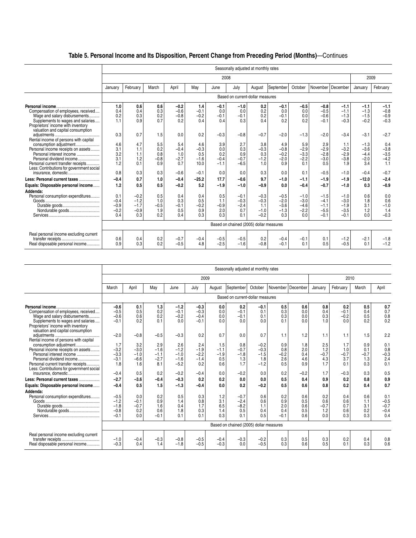## **Table 5. Personal Income and Its Disposition, Percent Change from Preceding Period (Months)**—Continues

|                                           |         | Seasonally adjusted at monthly rates |        |        |         |        |                                         |        |           |         |          |          |         |               |
|-------------------------------------------|---------|--------------------------------------|--------|--------|---------|--------|-----------------------------------------|--------|-----------|---------|----------|----------|---------|---------------|
|                                           |         |                                      |        |        |         | 2008   |                                         |        |           |         |          |          | 2009    |               |
|                                           | January | February                             | March  | April  | May     | June   | July                                    | August | September | October | November | December | January | February      |
|                                           |         |                                      |        |        |         |        | Based on current-dollar measures        |        |           |         |          |          |         |               |
| Personal income                           | 1.0     | 0.6                                  | 0.6    | $-0.2$ | 1.4     | $-0.1$ | $-1.0$                                  | 0.2    | $-0.1$    | $-0.5$  | $-0.8$   | $-1.1$   | $-1.1$  | $-1.1$        |
| Compensation of employees, received       | 0.4     | 0.4                                  | 0.3    | $-0.6$ | $-0.1$  | 0.0    | 0.0                                     | 0.2    | 0.0       | 0.0     | $-0.5$   | $-1.1$   | $-1.3$  | $-0.8$        |
| Wage and salary disbursements             | 0.2     | 0.3                                  | 0.2    | $-0.8$ | $-0.2$  | $-0.1$ | $-0.1$                                  | 0.2    | $-0.1$    | 0.0     | $-0.6$   | $-1.3$   | $-1.5$  | $-0.9$        |
| Supplements to wages and salaries         | 1.1     | 0.9                                  | 0.7    | 0.2    | 0.4     | 0.4    | 0.3                                     | 0.4    | 0.2       | 0.2     | $-0.1$   | $-0.3$   | $-0.2$  | $-0.3$        |
| Proprietors' income with inventory        |         |                                      |        |        |         |        |                                         |        |           |         |          |          |         |               |
| valuation and capital consumption         |         |                                      |        |        |         |        |                                         |        |           |         |          |          |         |               |
|                                           | 0.3     | 0.7                                  | 1.5    | 0.0    | 0.2     | $-0.3$ | $-0.8$                                  | $-0.7$ | $-2.0$    | $-1.3$  | $-2.0$   | $-3.4$   | $-3.1$  | $-2.7$        |
| Rental income of persons with capital     |         |                                      |        |        |         |        |                                         |        |           |         |          |          |         |               |
| consumption adjustment                    | 4.6     | 4.7                                  | 5.5    | 5.4    | 4.6     | 3.9    | 2.7                                     | 3.8    | 4.9       | 5.9     | 2.9      | 1.1      | $-1.3$  | 0.4           |
| Personal income receipts on assets        | 3.1     | 1.1                                  | 0.2    | $-0.4$ | $-0.3$  | 0.0    | 0.3                                     | $-0.3$ | $-0.8$    | $-2.9$  | $-2.9$   | $-3.2$   | $-3.6$  | $-3.8$        |
| Personal interest income                  | 3.2     | 1.1                                  | 0.8    | 1.0    | 0.5     | 0.2    | 0.9                                     | 0.3    | $-0.2$    | $-3.3$  | $-2.8$   | $-2.9$   | $-4.4$  | $-3.5$        |
| Personal dividend income                  | 3.1     | 1.2<br>0.1                           | $-0.8$ | $-2.7$ | $-1.6$  | $-0.4$ | $-0.7$                                  | $-1.2$ | $-2.0$    | $-2.2$  | $-3.0$   | $-3.8$   | $-2.0$  | $-4.2$<br>1.1 |
| Personal current transfer receipts        | 1.2     |                                      | 0.9    | 0.7    | 10.0    | $-1.1$ | $-6.5$                                  | 1.0    | 0.9       | 0.1     | 0.5      | 1.9      | 3.4     |               |
| Less: Contributions for government social |         |                                      |        |        |         |        |                                         |        |           |         |          |          |         |               |
|                                           | 0.8     | 0.3                                  | 0.3    | $-0.6$ | $-0.1$  | 0.0    | 0.0                                     | 0.3    | 0.0       | 0.1     | $-0.5$   | $-1.0$   | $-0.4$  | $-0.7$        |
| Less: Personal current taxes              | $-0.4$  | 0.7                                  | 1.0    | $-0.4$ | $-25.2$ | 17.7   | $-0.6$                                  | 9.7    | $-1.0$    | $-1.1$  | $-1.9$   | $-1.9$   | $-12.0$ | $-2.4$        |
| Equals: Disposable personal income        | 1.2     | 0.5                                  | 0.5    | $-0.2$ | 5.2     | $-1.9$ | $-1.0$                                  | $-0.9$ | 0.0       | $-0.4$  | $-0.7$   | $-1.0$   | 0.3     | $-0.9$        |
| Addenda:                                  |         |                                      |        |        |         |        |                                         |        |           |         |          |          |         |               |
| Personal consumption expenditures         | 0.1     | $-0.2$                               | 0.5    | 0.4    | 0.4     | 0.5    | $-0.1$                                  | $-0.3$ | $-0.5$    | $-1.0$  | $-1.5$   | $-1.0$   | 0.6     | 0.0           |
|                                           | $-0.4$  | $-1.2$                               | 1.0    | 0.3    | 0.5     | 1.1    | $-0.3$                                  | $-0.3$ | $-2.0$    | $-3.0$  | $-4.1$   | $-3.0$   | 1.8     | 0.6           |
| Durable goods                             | $-0.9$  | $-1.7$                               | $-0.5$ | $-0.1$ | $-0.2$  | $-0.9$ | $-2.4$                                  | 1.1    | $-3.6$    | $-4.6$  | $-1.1$   | $-1.9$   | 3.1     | $-1.0$        |
| Nondurable goods                          | $-0.2$  | $-0.9$                               | 1.9    | 0.5    | 0.9     | 2.0    | 0.7                                     | $-1.0$ | $-1.3$    | $-2.2$  | $-5.5$   | $-3.5$   | 1.2     | 1.4           |
|                                           | 0.4     | 0.3                                  | 0.2    | 0.4    | 0.3     | 0.3    | 0.1                                     | $-0.2$ | 0.3       | 0.0     | $-0.1$   | $-0.1$   | 0.0     | $-0.3$        |
|                                           |         |                                      |        |        |         |        | Based on chained (2005) dollar measures |        |           |         |          |          |         |               |
|                                           |         |                                      |        |        |         |        |                                         |        |           |         |          |          |         |               |
| Real personal income excluding current    |         |                                      |        |        |         |        |                                         |        |           |         |          |          |         |               |
|                                           | 0.6     | 0.4                                  | 0.2    | $-0.7$ | $-0.4$  | $-0.5$ | $-0.5$                                  | 0.2    | $-0.4$    | $-0.1$  | 0.1      | $-1.2$   | $-2.1$  | $-1.8$        |
| Real disposable personal income           | 0.9     | 0.3                                  | 0.2    | $-0.5$ | 4.8     | $-2.5$ | $-1.6$                                  | $-0.8$ | $-0.1$    | 0.1     | 0.5      | $-0.5$   | 0.1     | $-1.2$        |

|                                                                                                              |               |            |            |                  |               |            | Seasonally adjusted at monthly rates    |               |            |                   |            |               |            |              |
|--------------------------------------------------------------------------------------------------------------|---------------|------------|------------|------------------|---------------|------------|-----------------------------------------|---------------|------------|-------------------|------------|---------------|------------|--------------|
|                                                                                                              |               |            |            |                  | 2009          |            |                                         |               |            |                   |            | 2010          |            |              |
|                                                                                                              | March         | April      | May        | June             | July          | August     | September                               | October       |            | November December | January    | February      | March      | April        |
|                                                                                                              |               |            |            |                  |               |            | Based on current-dollar measures        |               |            |                   |            |               |            |              |
| Personal income.                                                                                             | $-0.6$        | 0.1        | 1.3        | $-1.2$           | $-0.3$        | 0.0        | 0.2                                     | $-0.1$        | 0.5        | 0.6               | 0.8        | 0.2           | 0.5        | 0.7          |
| Compensation of employees, received                                                                          | $-0.5$        | 0.5        | 0.2        | $-0.1$           | $-0.3$        | 0.0        | $-0.1$                                  | 0.1           | 0.3        | 0.0               | 0.4        | $-0.1$        | 0.4        | $0.7 \\ 0.8$ |
| Wage and salary disbursements                                                                                | $-0.6$        | 0.6        | 0.2        | $-0.2$           | $-0.4$        | 0.0        | $-0.1$                                  | 0.1           | 0.3        | 0.0               | 0.3        | $-0.2$        | 0.5        | 0.2          |
| Supplements to wages and salaries<br>Proprietors' income with inventory<br>valuation and capital consumption | $-0.1$        | 0.2        | 0.1        | 0.0              | $-0.1$        | 0.0        | 0.0                                     | 0.0           | 0.1        | 0.0               | 1.0        | 0.0           | 0.2        |              |
|                                                                                                              | $-2.0$        | $-0.8$     | $-0.5$     | $-0.3$           | 0.2           | 0.7        | 0.0                                     | 0.7           | 1.1        | 1.2               | 1.1        | 1.1           | 1.5        | 2.2          |
| Rental income of persons with capital                                                                        |               |            |            |                  |               |            |                                         |               |            |                   |            |               |            |              |
|                                                                                                              | 1.7           | 3.2        | 2.9        | 2.6              | 2.4           | 1.5        | 0.8                                     | $-0.2$        | 0.9        | 1.8               | 2.5        | 1.7           | 0.9        | 0.1          |
| Personal income receipts on assets                                                                           | $-3.2$        | $-3.0$     | $-1.6$     | $-1.2$           | $-1.9$        | $-1.1$     | $-0.7$                                  | $-0.3$        | 0.8        | 2.0               | 1.2        | 1.0           | 0.1        | 0.8          |
| Personal interest income                                                                                     | $-3.3$        | $-1.0$     | $-1.1$     | $-1.0$           | $-2.2$        | $-1.9$     | $-1.8$                                  | $-1.5$        | $-0.2$     | 0.4               | $-0.7$     | $-0.7$        | $-0.7$     | $-0.3$       |
| Personal dividend income                                                                                     | $-3.1$        | $-6.6$     | $-2.7$     | $-1.6$           | $-1.4$        | 0.5        | 1.3                                     | 1.8           | 2.6        | 4.6               | 4.3        | 3.7           | 1.3        | 2.4          |
| Personal current transfer receipts<br>Less: Contributions for government social<br>insurance, domestic       | 1.8<br>$-0.4$ | 1.6<br>0.5 | 8.1<br>0.2 | $-5.2$<br>$-0.2$ | 0.2<br>$-0.4$ | 0.6<br>0.0 | 1.7<br>$-0.2$                           | $-1.2$<br>0.0 | 0.5<br>0.2 | 0.9<br>$-0.2$     | 1.7<br>1.7 | 0.1<br>$-0.3$ | 0.3<br>0.3 | 0.1<br>0.5   |
|                                                                                                              |               |            |            |                  |               |            |                                         |               |            |                   |            |               |            |              |
| Less: Personal current taxes                                                                                 | $-2.7$        | $-3.6$     | $-0.4$     | $-0.3$           | 0.2           | 0.2        | 0.0                                     | 0.0           | 0.5        | 0.4               | 0.9        | 0.2           | 0.8        | 0.9          |
| Equals: Disposable personal income                                                                           | $-0.4$        | 0.5        | 1.5        | $-1.3$           | $-0.4$        | 0.0        | 0.2                                     | $-0.2$        | 0.5        | 0.6               | 0.8        | 0.2           | 0.4        | 0.7          |
| Addenda:                                                                                                     |               |            |            |                  |               |            |                                         |               |            |                   |            |               |            |              |
| Personal consumption expenditures                                                                            | $-0.5$        | 0.0        | 0.2        | 0.5              | 0.3           | 1.2        | $-0.7$                                  | 0.6           | 0.2        | 0.6               | 0.2        | 0.4           | 0.6        | 0.1          |
|                                                                                                              | $-1.2$        | $-0.1$     | 0.9        | 1.4              | 0.8           | 3.1        | $-2.4$                                  | 0.6           | 0.9        | 0.5               | 0.6        | 0.6           | 1.1        | $-0.5$       |
|                                                                                                              | $-1.8$        | $-0.7$     | 1.6        | 0.4              | 1.7           | 6.5        | $-8.2$                                  | 1.1           | 2.0        | 0.6               | $-0.7$     | 0.7           | 3.1        | $-0.7$       |
| Nondurable goods                                                                                             | $-0.8$        | 0.2        | 0.6        | 1.8              | 0.3           | 1.4        | 0.5                                     | 0.4           | 0.4        | 0.5               | 1.2        | 0.6           | 0.2        | $-0.4$       |
|                                                                                                              | $-0.1$        | 0.0        | $-0.1$     | 0.1              | 0.1           | 0.3        | 0.1                                     | 0.5           | $-0.1$     | 0.6               | 0.0        | 0.3           | 0.3        | 0.4          |
|                                                                                                              |               |            |            |                  |               |            | Based on chained (2005) dollar measures |               |            |                   |            |               |            |              |
| Real personal income excluding current                                                                       |               |            |            |                  |               |            |                                         |               |            |                   |            |               |            |              |
|                                                                                                              | $-1.0$        | $-0.4$     | $-0.3$     | $-0.8$           | $-0.5$        | $-0.4$     | $-0.3$                                  | $-0.2$        | 0.3        | 0.5               | 0.3        | 0.2           | 0.4        | 0.8          |
| Real disposable personal income                                                                              | $-0.3$        | 0.4        | 1.4        | $-1.8$           | $-0.5$        | $-0.3$     | 0.0                                     | $-0.5$        | 0.3        | 0.6               | 0.5        | 0.1           | 0.3        | 0.6          |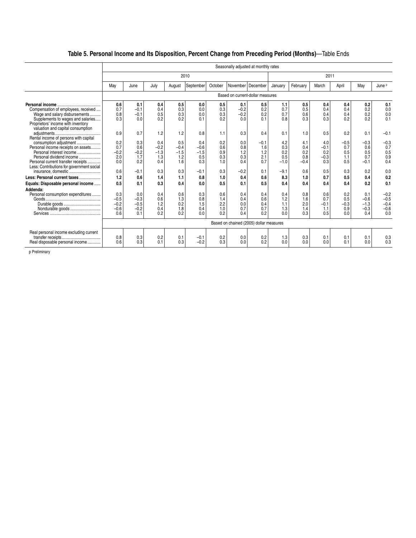# **Table 5. Personal Income and Its Disposition, Percent Change from Preceding Period (Months)**—Table Ends

|                                           |            |            |               |            |            |            |            | Seasonally adjusted at monthly rates    |                |               |               |            |               |               |
|-------------------------------------------|------------|------------|---------------|------------|------------|------------|------------|-----------------------------------------|----------------|---------------|---------------|------------|---------------|---------------|
|                                           |            |            |               |            | 2010       |            |            |                                         |                |               | 2011          |            |               |               |
|                                           | May        | June       | July          | August     | September  | October    |            | November   December                     | January        | February      | March         | April      | May           | June P        |
|                                           |            |            |               |            |            |            |            | Based on current-dollar measures        |                |               |               |            |               |               |
|                                           | 0.6        | 0.1        | 0.4           | 0.5        | 0.0        | 0.5        | 0.1        | 0.5                                     | 1.1            | 0.5           | 0.4           | 0.4        | 0.2           | 0.1           |
| Compensation of employees, received       | 0.7        | $-0.1$     | 0.4           | 0.3        | 0.0        | 0.3        | $-0.2$     | 0.2                                     | 0.7            | 0.5           | 0.4           | 0.4        | 0.2           | 0.0           |
| Wage and salary disbursements             | 0.8        | $-0.1$     | 0.5           | 0.3        | 0.0        | 0.3        | $-0.2$     | 0.2                                     | 0.7            | 0.6           | 0.4           | 0.4        | 0.2           | 0.0           |
| Supplements to wages and salaries         | 0.3        | 0.0        | 0.2           | 0.2        | 0.1        | 0.2        | 0.0        | 0.1                                     | 0.8            | 0.3           | 0.3           | 0.2        | 0.2           | 0.1           |
| Proprietors' income with inventory        |            |            |               |            |            |            |            |                                         |                |               |               |            |               |               |
| valuation and capital consumption         |            |            |               |            |            |            |            |                                         |                |               |               |            |               |               |
|                                           | 0.9        | 0.7        | 1.2           | 1.2        | 0.8        | 1.1        | 0.3        | 0.4                                     | 0.1            | 1.0           | 0.5           | 0.2        | 0.1           | $-0.1$        |
| Rental income of persons with capital     |            |            |               |            |            |            |            |                                         |                |               |               |            |               |               |
| consumption adjustment                    | 0.2<br>0.7 | 0.3        | 0.4<br>$-0.2$ | 0.5        | 0.4        | 0.2        | 0.0        | $-0.1$                                  | 4.2<br>0.3     | 4.1           | 4.0           | $-0.5$     | $-0.3$<br>0.6 | $-0.3$<br>0.7 |
| Personal income receipts on assets        |            | 0.6        | $-1.3$        | $-0.4$     | $-0.6$     | 0.6        | 0.8        | 1.6                                     |                | 0.4           | $-0.1$        | 0.7        |               |               |
| Personal interest income                  | $-0.2$     | $-0.2$     |               | $-1.5$     | $-1.5$     | 0.9        | 1.2        | 1.2                                     | 0.2            | 0.2           | 0.2           | 0.5        | 0.5           | 0.5           |
| Personal dividend income                  | 2.0<br>0.0 | 1.7<br>0.2 | 1.3<br>0.4    | 1.2<br>1.6 | 0.5<br>0.3 | 0.3<br>1.0 | 0.3<br>0.4 | 2.1<br>0.7                              | 0.5<br>$-1.0$  | 0.8<br>$-0.4$ | $-0.3$<br>0.3 | 1.1<br>0.5 | 0.7<br>$-0.1$ | 0.9<br>0.4    |
| Personal current transfer receipts        |            |            |               |            |            |            |            |                                         |                |               |               |            |               |               |
| Less: Contributions for government social | 0.6        | $-0.1$     | 0.3           | 0.3        | $-0.1$     | 0.3        | $-0.2$     |                                         | $-9.1$         | 0.6           | 0.5           | 0.3        | 0.2           | 0.0           |
|                                           |            |            |               |            |            |            |            | 0.1                                     |                |               |               |            |               |               |
| Less: Personal current taxes              | 1.2        | 0.6        | 1.4           | 1.1        | 0.8        | 1.0        | 0.4        | 0.6                                     | 8.3            | 1.0           | 0.7           | 0.5        | 0.4           | 0.2           |
| Equals: Disposable personal income        | 0.5        | 0.1        | 0.3           | 0.4        | 0.0        | 0.5        | 0.1        | 0.5                                     | 0.4            | 0.4           | 0.4           | 0.4        | 0.2           | 0.1           |
| Addenda:                                  |            |            |               |            |            |            |            |                                         |                |               |               |            |               |               |
| Personal consumption expenditures         | 0.3        | 0.0        | 0.4           | 0.6        | 0.3        | 0.6        | 0.4        | 0.4                                     | 0.4            | 0.8           | 0.6           | 0.2        | 0.1           | $-0.2$        |
|                                           | $-0.5$     | $-0.3$     | 0.6           | 1.3        | 0.8        | 1.4        | 0.4        | 0.6                                     | 1.2            | 1.6           | 0.7           | 0.5        | $-0.6$        | $-0.5$        |
| Durable goods                             | $-0.2$     | $-0.5$     | 1.2           | 0.2        | 1.5        | 2.2        | 0.0        | 0.4                                     | 1.1            | 2.0           | $-0.1$        | $-0.3$     | $-1.3$        | $-0.4$        |
| Nondurable goods                          | $-0.6$     | $-0.2$     | 0.4           | 1.8        | 0.4        | 1.0        | 0.7        | 0.7                                     | 1.3            | 1.4           | 1.1           | 0.9        | $-0.3$        | $-0.6$        |
|                                           | 0.6        | 0.1        | 0.2           | 0.2        | 0.0        | 0.2        | 0.4        | 0.2                                     | 0 <sub>0</sub> | 0.3           | 0.5           | 0.0        | 0.4           | 0.0           |
|                                           |            |            |               |            |            |            |            | Based on chained (2005) dollar measures |                |               |               |            |               |               |
|                                           |            |            |               |            |            |            |            |                                         |                |               |               |            |               |               |
| Real personal income excluding current    |            |            |               |            |            |            |            |                                         |                |               |               |            |               |               |
|                                           | 0.8        | 0.3        | 0.2           | 0.1        | $-0.1$     | 0.2        | 0.0        | 0.2                                     | 1.3            | 0.3           | 0.1           | 0.1        | 0.1           | 0.3           |
| Real disposable personal income           | 0.6        | 0.3        | 0.1           | 0.3        | $-0.2$     | 0.3        | 0.0        | 0.2                                     | 0.0            | 0.0           | 0.0           | 0.1        | 0.0           | 0.3           |
|                                           |            |            |               |            |            |            |            |                                         |                |               |               |            |               |               |

p Preliminary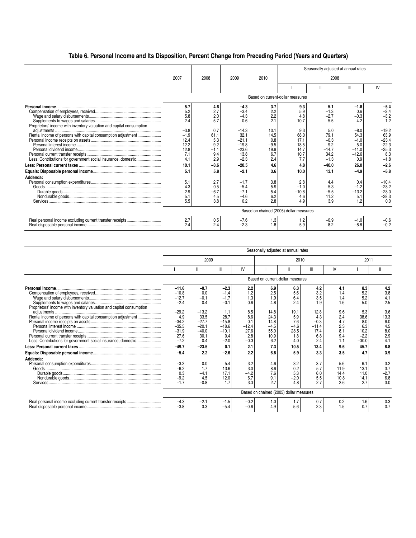### **Table 6. Personal Income and Its Disposition, Percent Change from Preceding Period (Years and Quarters)**

|                                                                                                                                                   |                                                                                                   |                                                                                                |                                                                                                                              |                                                                                               |                                                                                                |                                                                                                                | Seasonally adjusted at annual rates                                                                              |                                                                                                                            |
|---------------------------------------------------------------------------------------------------------------------------------------------------|---------------------------------------------------------------------------------------------------|------------------------------------------------------------------------------------------------|------------------------------------------------------------------------------------------------------------------------------|-----------------------------------------------------------------------------------------------|------------------------------------------------------------------------------------------------|----------------------------------------------------------------------------------------------------------------|------------------------------------------------------------------------------------------------------------------|----------------------------------------------------------------------------------------------------------------------------|
|                                                                                                                                                   | 2007                                                                                              | 2008                                                                                           | 2009                                                                                                                         | 2010                                                                                          |                                                                                                | 2008                                                                                                           |                                                                                                                  |                                                                                                                            |
|                                                                                                                                                   |                                                                                                   |                                                                                                |                                                                                                                              |                                                                                               |                                                                                                | Ш                                                                                                              | Ш                                                                                                                | IV                                                                                                                         |
|                                                                                                                                                   |                                                                                                   |                                                                                                |                                                                                                                              | Based on current-dollar measures                                                              |                                                                                                |                                                                                                                |                                                                                                                  |                                                                                                                            |
| Proprietors' income with inventory valuation and capital consumption<br>Less: Contributions for government social insurance, domestic<br>Addenda: | 5.7<br>5.2<br>5.8<br>2.4<br>$-3.8$<br>$-1.9$<br>12.4<br>12.2<br>12.8<br>7.1<br>4.1<br>10.1<br>5.1 | 4.6<br>2.7<br>2.0<br>5.7<br>0.7<br>61.1<br>5.3<br>9.2<br>$-1.1$<br>9.4<br>2.9<br>$-3.6$<br>5.8 | $-4.3$<br>$-3.4$<br>$-4.3$<br>0.6<br>$-14.3$<br>32.1<br>$-21.1$<br>$-19.8$<br>$-23.6$<br>13.8<br>$-2.3$<br>$-20.5$<br>$-2.1$ | 3.7<br>2.2<br>2.2<br>2.1<br>10.1<br>14.5<br>0.8<br>$-9.5$<br>19.9<br>6.7<br>2.4<br>4.6<br>3.6 | 9.3<br>5.9<br>4.8<br>10.7<br>9.3<br>68.0<br>17.1<br>18.5<br>14.7<br>10.7<br>7.7<br>4.8<br>10.0 | 5.1<br>$-1.3$<br>$-2.7$<br>5.5<br>5.0<br>79.1<br>$-0.3$<br>9.2<br>$-14.7$<br>34.2<br>$-1.3$<br>$-40.0$<br>13.1 | $-1.8$<br>0.6<br>$-0.3$<br>4.2<br>$-8.0$<br>54.3<br>$-1.0$<br>5.0<br>$-11.0$<br>$-12.6$<br>0.9<br>26.0<br>$-4.9$ | $-5.4$<br>$-2.4$<br>$-3.2$<br>1.2<br>$-19.2$<br>63.9<br>$-23.4$<br>$-22.3$<br>$-25.3$<br>8.3<br>$-1.8$<br>$-2.6$<br>$-5.8$ |
|                                                                                                                                                   | 5.1<br>4.3<br>2.9<br>5.1<br>5.5                                                                   | 2.7<br>0.5<br>$-6.7$<br>4.5<br>3.8                                                             | $-1.7$<br>$-5.4$<br>$-7.1$<br>$-4.6$<br>0.2                                                                                  | 3.8<br>5.9<br>5.4<br>6.2<br>2.8                                                               | 2.8<br>$-1.0$<br>$-10.8$<br>4.6<br>4.9                                                         | 4.4<br>5.3<br>$-5.5$<br>11.2<br>3.9                                                                            | 0.4<br>$-1.2$<br>$-13.2$<br>5.1<br>1.2                                                                           | $-10.4$<br>$-28.2$<br>$-28.0$<br>$-28.3$<br>0.0                                                                            |
|                                                                                                                                                   |                                                                                                   |                                                                                                |                                                                                                                              | Based on chained (2005) dollar measures                                                       |                                                                                                |                                                                                                                |                                                                                                                  |                                                                                                                            |
| Real personal income excluding current transfer receipts                                                                                          | 2.7<br>2.4                                                                                        | 0.5<br>2.4                                                                                     | $-7.6$<br>$-2.3$                                                                                                             | 1.3<br>1.8                                                                                    | 1.2<br>5.9                                                                                     | $-0.9$<br>8.2                                                                                                  | $-1.0$<br>$-8.8$                                                                                                 | $-0.6$<br>$-0.2$                                                                                                           |

|                                                                                          |                                                                                                    |                                                                                            |                                                                                             |                                                                         |                                                                            | Seasonally adjusted at annual rates                                     |                                                                             |                                                                    |                                                                         |                                                                     |  |
|------------------------------------------------------------------------------------------|----------------------------------------------------------------------------------------------------|--------------------------------------------------------------------------------------------|---------------------------------------------------------------------------------------------|-------------------------------------------------------------------------|----------------------------------------------------------------------------|-------------------------------------------------------------------------|-----------------------------------------------------------------------------|--------------------------------------------------------------------|-------------------------------------------------------------------------|---------------------------------------------------------------------|--|
|                                                                                          |                                                                                                    | 2009                                                                                       |                                                                                             |                                                                         |                                                                            | 2010                                                                    |                                                                             |                                                                    | 2011                                                                    |                                                                     |  |
|                                                                                          |                                                                                                    | Ш                                                                                          | Ш                                                                                           | IV                                                                      |                                                                            | $\mathsf{I}$                                                            | Ш                                                                           | IV                                                                 |                                                                         | Ш                                                                   |  |
|                                                                                          |                                                                                                    |                                                                                            |                                                                                             |                                                                         |                                                                            | Based on current-dollar measures                                        |                                                                             |                                                                    |                                                                         |                                                                     |  |
| Personal income.<br>Proprietors' income with inventory valuation and capital consumption | $-11.6$<br>$-10.8$<br>$-12.7$<br>$-2.4$<br>$-29.2$<br>4.9<br>$-34.2$<br>$-35.5$<br>$-31.9$<br>27.6 | $-0.7$<br>0.0<br>$-0.1$<br>0.4<br>$-13.2$<br>33.5<br>$-27.7$<br>$-20.1$<br>$-40.0$<br>30.1 | $-2.3$<br>$-1.4$<br>$-1.7$<br>$-0.1$<br>1.1<br>28.7<br>$-15.8$<br>$-18.6$<br>$-10.1$<br>0.4 | 2.2<br>1.2<br>1.3<br>0.6<br>8.5<br>8.6<br>0.1<br>$-12.4$<br>27.6<br>2.8 | 6.9<br>2.5<br>1.9<br>4.8<br>14.8<br>24.3<br>14.8<br>$-4.5$<br>55.0<br>10.9 | 6.3<br>5.6<br>6.4<br>2.4<br>19.1<br>5.9<br>7.6<br>$-4.6$<br>28.5<br>1.8 | 4.2<br>3.2<br>3.5<br>1.9<br>12.8<br>4.3<br>$-0.3$<br>$-11.4$<br>17.4<br>6.8 | 4.1<br>1.4<br>1.4<br>1.6<br>9.6<br>2.4<br>4.7<br>2.3<br>8.1<br>9.4 | 8.3<br>5.2<br>5.2<br>5.0<br>5.3<br>38.6<br>8.0<br>6.3<br>10.2<br>$-2.2$ | 4.2<br>3.8<br>4.1<br>2.5<br>3.6<br>13.3<br>6.0<br>4.5<br>8.0<br>2.9 |  |
| Less: Contributions for government social insurance, domestic                            | $-7.2$<br>$-49.7$                                                                                  | 0.4<br>$-23.5$                                                                             | $-2.0$<br>0.1                                                                               | $-0.3$<br>2.1                                                           | 6.2<br>7.3                                                                 | 4.0<br>10.5                                                             | 2.4<br>13.4                                                                 | 1.1<br>9.6                                                         | $-30.0$<br>45.7                                                         | 4.1<br>6.8                                                          |  |
|                                                                                          | $-5.4$                                                                                             | 2.2                                                                                        | $-2.6$                                                                                      | 2.2                                                                     | 6.8                                                                        | 5.9                                                                     | 3.3                                                                         | 3.5                                                                | 4.7                                                                     | 3.9                                                                 |  |
| Addenda:                                                                                 | $-3.2$<br>$-6.2$<br>$-9.3$<br>$-1.7$                                                               | 0.0<br>1.7<br>$-4.1$<br>4.5<br>$-0.8$                                                      | 5.4<br>13.6<br>17.1<br>12.0<br>1.7                                                          | 3.2<br>3.0<br>$-4.2$<br>6.7<br>3.3                                      | 4.6<br>8.6<br>7.6<br>9.1<br>2.7                                            | 3.2<br>0.2<br>5.3<br>$-2.0$<br>4.8                                      | 3.7<br>5.7<br>6.0<br>5.5<br>2.7                                             | 5.6<br>11.9<br>14.4<br>10.8<br>2.6                                 | 6.1<br>13.1<br>11.0<br>14.1<br>27                                       | 3.2<br>3.7<br>$-2.7$<br>6.8<br>3.0                                  |  |
|                                                                                          | Based on chained (2005) dollar measures                                                            |                                                                                            |                                                                                             |                                                                         |                                                                            |                                                                         |                                                                             |                                                                    |                                                                         |                                                                     |  |
| Real personal income excluding current transfer receipts                                 | $-4.3$<br>$-3.8$                                                                                   | $-2.7$<br>0.3                                                                              | $-1.5$<br>$-5.4$                                                                            | $-0.2$<br>$-0.6$                                                        | 1.0<br>4.9                                                                 | 1.7<br>5.6                                                              | 0.7<br>2.3                                                                  | 0.2<br>1.5                                                         | 1.6                                                                     | 0.3<br>0.7                                                          |  |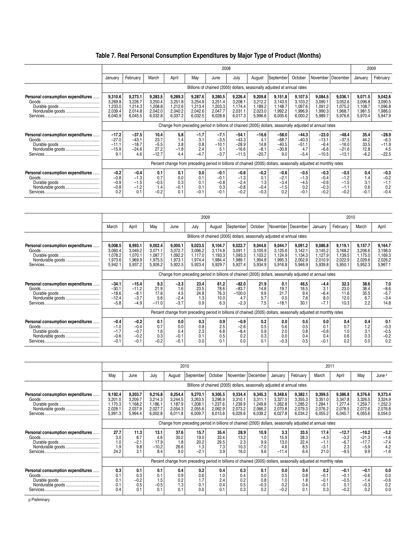### **Table 7. Real Personal Consumption Expenditures by Major Type of Product (Months)**

|                                                       |                                                     |                                                                                                         |                                                     |                                                     |                                                     | 2008                                                |                                                     |                                                     |                                                                                                                  |                                                     |                                                     |                                                     | 2009                                                |                                                     |  |
|-------------------------------------------------------|-----------------------------------------------------|---------------------------------------------------------------------------------------------------------|-----------------------------------------------------|-----------------------------------------------------|-----------------------------------------------------|-----------------------------------------------------|-----------------------------------------------------|-----------------------------------------------------|------------------------------------------------------------------------------------------------------------------|-----------------------------------------------------|-----------------------------------------------------|-----------------------------------------------------|-----------------------------------------------------|-----------------------------------------------------|--|
|                                                       | January                                             | February                                                                                                | March                                               | April                                               | Mav                                                 | June                                                | July                                                | August                                              | September                                                                                                        | October                                             | November                                            | December                                            | January                                             | February                                            |  |
|                                                       |                                                     |                                                                                                         |                                                     |                                                     |                                                     |                                                     |                                                     |                                                     | Billions of chained (2005) dollars, seasonally adjusted at annual rates                                          |                                                     |                                                     |                                                     |                                                     |                                                     |  |
| Personal consumption expenditures<br>Nondurable goods | 9,310.6<br>3,269.8<br>1,233.0<br>2,039.4<br>6,040.9 | 9,273.1<br>3,226.7<br>1,214.3<br>2,014.8<br>6,045.5                                                     | 9,283.5<br>3,250.4<br>1,208.8<br>2,042.0<br>6,032.8 | 9,289.3<br>3,251.8<br>1,212.6<br>2,040.2<br>6,037.2 | 9,287.6<br>3,254.9<br>1,213.4<br>2,042.6<br>6,032.5 | 9,280.5<br>3,251.4<br>1,203.3<br>2,047.7<br>6,028.8 | 9,226.4<br>3,208.1<br>1,174.4<br>2,031.1<br>6,017.3 | 9,209.8<br>3,212.2<br>1,189.2<br>2,023.0<br>5,996.6 | 9,151.8<br>3,143.5<br>1,148.7<br>1,992.2<br>6,005.6                                                              | 9,107.5<br>3,103.2<br>1,097.6<br>1,996.9<br>6,000.2 | 9,084.5<br>3,090.1<br>1,091.2<br>1,990.3<br>5,989.7 | 9,036.1<br>3,052.6<br>1,075.2<br>1,968.7<br>5,976.6 | 9,071.5<br>3,096.8<br>1,108.7<br>1,981.5<br>5,970.4 | 9,042.6<br>3,090.5<br>1,096.8<br>1,986.0<br>5,947.9 |  |
|                                                       |                                                     | Change from preceding period in billions of chained (2005) dollars, seasonally adjusted at annual rates |                                                     |                                                     |                                                     |                                                     |                                                     |                                                     |                                                                                                                  |                                                     |                                                     |                                                     |                                                     |                                                     |  |
| Personal consumption expenditures<br>Nondurable goods | $-17.2$<br>$-27.0$<br>$-11.1$<br>$-15.9$<br>9.1     | $-37.5$<br>$-43.1$<br>$-18.7$<br>$-24.6$<br>4.6                                                         | 10.4<br>23.7<br>$-5.5$<br>27.2<br>$-12.7$           | 5.8<br>1.4<br>3.8<br>$-1.8$<br>4.4                  | $-1.7$<br>3.1<br>0.8<br>2.4<br>$-4.7$               | $-7.1$<br>$-3.5$<br>$-10.1$<br>5.1<br>$-3.7$        | $-54.1$<br>$-43.3$<br>$-28.9$<br>$-16.6$<br>$-11.5$ | $-16.6$<br>4.1<br>14.8<br>$-8.1$<br>$-20.7$         | $-58.0$<br>$-68.7$<br>$-40.5$<br>$-30.8$<br>9.0                                                                  | $-44.3$<br>$-40.3$<br>$-51.1$<br>4.7<br>$-5.4$      | $-23.0$<br>$-13.1$<br>$-6.4$<br>$-6.6$<br>$-10.5$   | $-48.4$<br>$-37.5$<br>$-16.0$<br>$-21.6$<br>$-13.1$ | 35.4<br>44.2<br>33.5<br>12.8<br>$-6.2$              | $-28.9$<br>$-6.3$<br>$-11.9$<br>4.5<br>$-22.5$      |  |
|                                                       |                                                     |                                                                                                         |                                                     |                                                     |                                                     |                                                     |                                                     |                                                     | Percent change from preceding period in billions of chained (2005) dollars, seasonally adjusted at monthly rates |                                                     |                                                     |                                                     |                                                     |                                                     |  |
| Personal consumption expenditures<br>Nondurable goods | $-0.2$<br>$-0.8$<br>$-0.9$<br>$-0.8$<br>0.2         | $-0.4$<br>$-1.3$<br>$-1.5$<br>$-1.2$<br>0.1                                                             | 0.1<br>0.7<br>$-0.5$<br>1.4<br>$-0.2$               | 0.1<br>0.0<br>0.3<br>$-0.1$<br>0.1                  | 0.0<br>0.1<br>0.1<br>0.1<br>$-0.1$                  | $-0.1$<br>$-0.1$<br>$-0.8$<br>0.3<br>$-0.1$         | $-0.6$<br>$-1.3$<br>$-2.4$<br>$-0.8$<br>$-0.2$      | $-0.2$<br>0.1<br>1.3<br>$-0.4$<br>$-0.3$            | $-0.6$<br>$-2.1$<br>$-3.4$<br>$-1.5$<br>0.2                                                                      | $-0.5$<br>$-1.3$<br>$-4.5$<br>0.2                   | $-0.3$<br>$-0.4$<br>$-0.6$<br>$-0.3$<br>$-0.2$      | $-0.5$<br>$-1.2$<br>$-1.5$<br>$-0.2$                | 0.4<br>1.4<br>3.1<br>0.6<br>$-0.1$                  | $-0.3$<br>$-0.2$<br>$-1.1$<br>0.2<br>$-0.4$         |  |

|                                                       |                                                     |                                                   |                                                     |                                                     | 2009                                                |                                                     |                                                                                                                  |                                                     |                                                     |                                                     |                                                     | 2010                                                |                                                     |                                                     |
|-------------------------------------------------------|-----------------------------------------------------|---------------------------------------------------|-----------------------------------------------------|-----------------------------------------------------|-----------------------------------------------------|-----------------------------------------------------|------------------------------------------------------------------------------------------------------------------|-----------------------------------------------------|-----------------------------------------------------|-----------------------------------------------------|-----------------------------------------------------|-----------------------------------------------------|-----------------------------------------------------|-----------------------------------------------------|
|                                                       | March                                               | April                                             | May                                                 | June                                                | July                                                | August                                              | September                                                                                                        | October                                             |                                                     | November   December                                 | January                                             | February                                            | March                                               | April                                               |
|                                                       |                                                     |                                                   |                                                     |                                                     |                                                     |                                                     | Billions of chained (2005) dollars, seasonally adjusted at annual rates                                          |                                                     |                                                     |                                                     |                                                     |                                                     |                                                     |                                                     |
| Personal consumption expenditures<br>Nondurable goods | 9,008.5<br>3,060.4<br>1,078.2<br>1,973.6<br>5,942.1 | 8,993.1<br>3,049.2<br>,070.1<br>969.9.<br>5,937.2 | 9,002.4<br>3,071.1<br>1,087.7<br>1,975.5<br>5,926.2 | 9,000.1<br>3,072.7<br>1,092.2<br>1,973.1<br>5,922.5 | 9,023.5<br>3,096.2<br>1,117.0<br>1,974.4<br>5,923.4 | 9,104.7<br>3,174.8<br>1,193.3<br>1,984.4<br>5,929.7 | 9,022.7<br>3,091.1<br>0.093.3<br>1,989.1<br>5,927.4                                                              | 9,044.6<br>3,105.9<br>1,103.2<br>1,994.8<br>5,934.9 | 9,044.7<br>3,125.6<br>1,124.9<br>1,995.3<br>5,916.8 | 9,091.2<br>3,142.1<br>1,134.3<br>2,002.9<br>5,946.9 | 9,086.8<br>3,145.2<br>1,127.9<br>2,010.9<br>5,939.8 | 9,119.1<br>3,168.2<br>1,139.5<br>2,022.9<br>5,950.1 | 9,157.7<br>3,206.6<br>1,175.0<br>2,029.6<br>5,952.3 | 9,164.7<br>3,198.0<br>1,169.3<br>2,026.2<br>5,967.1 |
|                                                       |                                                     |                                                   |                                                     |                                                     |                                                     |                                                     | Change from preceding period in billions of chained (2005) dollars, seasonally adjusted at annual rates          |                                                     |                                                     |                                                     |                                                     |                                                     |                                                     |                                                     |
| Personal consumption expenditures<br>Nondurable goods | $-34.1$<br>$-30.1$<br>$-18.6$<br>$-12.4$<br>$-5.8$  | $-15.4$<br>$-11.2$<br>$-8.1$<br>$-3.7$<br>$-4.9$  | 9.3<br>21.9<br>17.6<br>5.6<br>$-11.0$               | $-2.3$<br>1.6<br>4.5<br>$-2.4$<br>$-3.7$            | 23.4<br>23.5<br>24.8<br>1.3<br>0.9                  | 81.2<br>78.6<br>76.3<br>10.0<br>6.3                 | $-82.0$<br>$-83.7$<br>$-100.0$<br>4.7<br>$-2.3$                                                                  | 21.9<br>14.8<br>9.9<br>5.7<br>7.5                   | 0.1<br>19.7<br>21.7<br>0.5<br>$-18.1$               | 46.5<br>16.5<br>9.4<br>7.6<br>30.1                  | $-4.4$<br>3.1<br>$-6.4$<br>8.0<br>$-7.1$            | 32.3<br>23.0<br>11.6<br>12.0<br>10.3                | 38.6<br>38.4<br>35.5<br>6.7<br>2.2                  | 7.0<br>$-8.6$<br>$-5.7$<br>$-3.4$<br>14.8           |
|                                                       |                                                     |                                                   |                                                     |                                                     |                                                     |                                                     | Percent change from preceding period in billions of chained (2005) dollars, seasonally adjusted at monthly rates |                                                     |                                                     |                                                     |                                                     |                                                     |                                                     |                                                     |
| Personal consumption expenditures<br>Nondurable goods | $-0.4$<br>$-1.0$<br>$-1.7$<br>$-0.6$<br>$-0.1$      | $-0.2$<br>$-0.4$<br>$-0.7$<br>$-0.2$<br>$-0.1$    | 0.1<br>0.7<br>1.6<br>0.3<br>$-0.2$                  | 0.0<br>0.0<br>0.4<br>$-0.1$<br>$-0.$                | 0.3<br>0.8<br>2.3<br>0.1<br>0.0                     | 0.9<br>2.5<br>6.8<br>0.5<br>0.1                     | $-0.9$<br>$-2.6$<br>$-8.4$<br>0.2<br>0.0                                                                         | 0.2<br>0.5<br>0.9<br>0.3<br>0.1                     | 0.0<br>0.6<br>2.0<br>0.0<br>$-0.3$                  | 0.5<br>0.5<br>0.8<br>0.4<br>0.5                     | 0.0<br>0.1<br>$-0.6$<br>0.4                         | 0.4<br>1.0<br>0.6<br>0.2                            | 0.4<br>1.2<br>3.1<br>0.3<br>0.0                     | 0.1<br>$-0.3$<br>$-0.5$<br>$-0.2$<br>0.2            |

|                                                       |                                                                                                         |                                                     |                                                     |                                                     | 2010                                                |                                                     |                                                     |                                                                         |                                                     |                                                     | 2011                                                                                                             |                                                     |                                                     |                                                     |
|-------------------------------------------------------|---------------------------------------------------------------------------------------------------------|-----------------------------------------------------|-----------------------------------------------------|-----------------------------------------------------|-----------------------------------------------------|-----------------------------------------------------|-----------------------------------------------------|-------------------------------------------------------------------------|-----------------------------------------------------|-----------------------------------------------------|------------------------------------------------------------------------------------------------------------------|-----------------------------------------------------|-----------------------------------------------------|-----------------------------------------------------|
|                                                       | Mav                                                                                                     | June                                                | July                                                | August                                              | September                                           | October                                             |                                                     | November December                                                       | January                                             | February                                            | March                                                                                                            | April                                               | May                                                 | June P                                              |
|                                                       |                                                                                                         |                                                     |                                                     |                                                     |                                                     |                                                     |                                                     | Billions of chained (2005) dollars, seasonally adjusted at annual rates |                                                     |                                                     |                                                                                                                  |                                                     |                                                     |                                                     |
| Personal consumption expenditures<br>Nondurable goods | 9,192.4<br>3,201.0<br>1,170.3<br>2,028.1<br>5,991.3                                                     | 9,203.7<br>3,209.7<br>1,168.2<br>2,037.9<br>5,994.4 | 9,216.8<br>3,214.3<br>1,186.1<br>2,027.7<br>6,002.8 | 9,254.4<br>3,244.5<br>1,187.9<br>2,054.3<br>6,011.8 | 9,270.1<br>3,263.5<br>1.208.1<br>2,055.6<br>6,009.7 | 9,305.5<br>3,296.9<br>1,237.6<br>2,062.9<br>6,013.6 | 9,334.4<br>3,310.1<br>1,239.9<br>2,073.2<br>6,029.6 | 9,345.3<br>3,311.1<br>1,249.8<br>2,066.2<br>6,039.2                     | 9,348.6<br>3,327.0<br>1,262.8<br>2,070.8<br>6,027.8 | 9,382.1<br>3,355.3<br>1,285.2<br>2,079.3<br>6,034.2 | 9,399.5<br>3,351.0<br>1.284.1<br>2,076.2<br>6,055.2                                                              | 9,386.8<br>3,347.8<br>1,277.4<br>2,078.5<br>6,045.7 | 9,376.6<br>3,326.5<br>1,259.7<br>2,072.6<br>6,055.6 | 9,373.4<br>3,324.9<br>1,252.3<br>2,076.8<br>6,054.0 |
|                                                       | Change from preceding period in billions of chained (2005) dollars, seasonally adjusted at annual rates |                                                     |                                                     |                                                     |                                                     |                                                     |                                                     |                                                                         |                                                     |                                                     |                                                                                                                  |                                                     |                                                     |                                                     |
| Personal consumption expenditures<br>Nondurable goods | 27.7<br>3.0<br>1.0<br>1.9<br>24.2                                                                       | 11.3<br>8.7<br>$-2.1$<br>9.8<br>3.1                 | 13.1<br>4.6<br>17.9<br>$-10.2$<br>8.4               | 37.6<br>30.2<br>1.8<br>26.6<br>9.0                  | 15.7<br>19.0<br>20.2<br>1.3<br>$-2.1$               | 35.4<br>33.4<br>29.5<br>7.3<br>3.9                  | 28.9<br>13.2<br>2.3<br>10.3<br>16.0                 | 10.9<br>1.0<br>9.9<br>$-7.0$<br>9.6                                     | 3.3<br>15.9<br>13.0<br>4.6<br>$-11.4$               | 33.5<br>28.3<br>22.4<br>8.5<br>6.4                  | 17.4<br>$-4.3$<br>$-1.1$<br>$-3.1$<br>21.0                                                                       | $-12.7$<br>$-3.2$<br>$-6.7$<br>2.3<br>$-9.5$        | $-10.2$<br>$-21.3$<br>$-17.7$<br>$-5.9$<br>9.9      | $-3.2$<br>$-1.6$<br>$-7.4$<br>4.2<br>$-1.6$         |
|                                                       |                                                                                                         |                                                     |                                                     |                                                     |                                                     |                                                     |                                                     |                                                                         |                                                     |                                                     | Percent change from preceding period in billions of chained (2005) dollars, seasonally adjusted at monthly rates |                                                     |                                                     |                                                     |
| Personal consumption expenditures<br>Nondurable goods | 0.3<br>0.1<br>0.1<br>0.1<br>0.4                                                                         | 0.1<br>0.3<br>$-0.2$<br>0.5<br>0.1                  | 0.1<br>0.1<br>1.5<br>$-0.5$<br>0.1                  | 0.4<br>0.9<br>0.2<br>1.3<br>0.1                     | 0.2<br>0.6<br>1.7<br>0.1<br>0.0                     | 0.4<br>1.0<br>2.4<br>0.4<br>0.1                     | 0.3<br>0.4<br>0.2<br>0.5<br>0.3                     | 0.1<br>0.0<br>0.8<br>$-0.3$<br>0.2                                      | 0.0<br>0.5<br>1.0<br>0.2<br>$-0.2$                  | 0.4<br>0.8<br>1.8<br>0.4<br>0.1                     | 0.2<br>-0.1<br>$-0.1$<br>$-0.1$<br>0.3                                                                           | $-0.1$<br>$-0.1$<br>$-0.5$<br>0.1<br>$-0.2$         | $-0.1$<br>$-0.6$<br>$-1.4$<br>$-0.3$<br>0.2         | 0.0<br>0.0<br>$-0.6$<br>0.2<br>0.0                  |

p Preliminary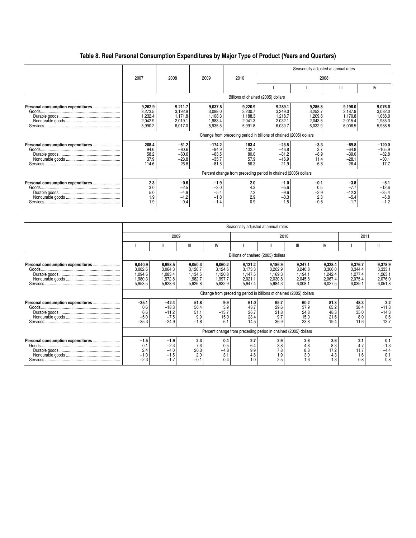# **Table 8. Real Personal Consumption Expenditures by Major Type of Product (Years and Quarters)**

|                                   |                                                     |                                                     |                                                      |                                                     |                                                                    | Seasonally adjusted at annual rates                |                                                     |                                                       |
|-----------------------------------|-----------------------------------------------------|-----------------------------------------------------|------------------------------------------------------|-----------------------------------------------------|--------------------------------------------------------------------|----------------------------------------------------|-----------------------------------------------------|-------------------------------------------------------|
|                                   | 2007                                                | 2008                                                | 2009                                                 | 2010                                                |                                                                    | 2008                                               |                                                     |                                                       |
|                                   |                                                     |                                                     |                                                      |                                                     |                                                                    |                                                    | $\mathbf{III}$                                      | IV                                                    |
|                                   |                                                     |                                                     |                                                      | Billions of chained (2005) dollars                  |                                                                    |                                                    |                                                     |                                                       |
|                                   | 9,262.9<br>3,273.5<br>1,232.4<br>2,042.9<br>5,990.2 | 9,211.7<br>3,192.9<br>1,171.8<br>2,019.1<br>6,017.0 | 9,037.5<br>3,098.0<br>1,108.3<br>1,983.4<br>5,935.5  | 9,220.9<br>3,230.7<br>1,188.3<br>2,041.3<br>5,991.8 | 9,289.1<br>3,249.0<br>1,218.7<br>2,032.1<br>6,039.7                | 9,285.8<br>3,252.7<br>8.099.<br>2,043.5<br>6,032.9 | 9,196.0<br>3,187.9<br>1,170.8<br>2,015.4<br>6,006.5 | 9,076.0<br>3,082.0<br>1,088.0<br>1,985.3<br>5,988.8   |
|                                   |                                                     |                                                     |                                                      |                                                     | Change from preceding period in billions of chained (2005) dollars |                                                    |                                                     |                                                       |
|                                   | 208.4<br>94.6<br>58.2<br>37.9<br>114.6              | $-51.2$<br>$-80.6$<br>$-60.6$<br>$-23.8$<br>26.8    | $-174.2$<br>$-94.9$<br>$-63.5$<br>$-35.7$<br>$-81.5$ | 183.4<br>132.7<br>80.0<br>57.9<br>56.3              | $-23.5$<br>$-46.8$<br>$-31.2$<br>$-16.9$<br>21.9                   | $-3.3$<br>3.7<br>$-8.9$<br>11.4<br>$-6.8$          | $-89.8$<br>$-64.8$<br>$-39.0$<br>$-28.1$<br>$-26.4$ | $-120.0$<br>$-105.9$<br>$-82.8$<br>$-30.1$<br>$-17.7$ |
|                                   |                                                     |                                                     |                                                      |                                                     | Percent change from preceding period in chained (2005) dollars     |                                                    |                                                     |                                                       |
| Personal consumption expenditures | 2.3<br>3.0<br>5.0<br>1.9<br>1.9                     | $-0.6$<br>$-2.5$<br>$-4.9$<br>$-1.2$<br>0.4         | $-1.9$<br>$-3.0$<br>$-5.4$<br>$-1.8$<br>$-1.4$       | 2.0<br>4.3<br>7.2<br>2.9<br>0.9                     | $-1.0$<br>$-5.6$<br>$-9.6$<br>$-3.3$<br>1.5                        | $-0.1$<br>0.5<br>$-2.9$<br>2.3<br>$-0.5$           | $-3.8$<br>$-7.7$<br>$-12.3$<br>$-5.4$<br>$-1.7$     | $-5.1$<br>$-12.6$<br>$-25.4$<br>$-5.8$<br>$-1.2$      |

|                                   |                                                                    |                                                     |                                                     |                                                     | Seasonally adjusted at annual rates                            |                                                     |                                                     |                                                     |                                                     |                                                     |  |  |  |
|-----------------------------------|--------------------------------------------------------------------|-----------------------------------------------------|-----------------------------------------------------|-----------------------------------------------------|----------------------------------------------------------------|-----------------------------------------------------|-----------------------------------------------------|-----------------------------------------------------|-----------------------------------------------------|-----------------------------------------------------|--|--|--|
|                                   |                                                                    |                                                     | 2009                                                |                                                     |                                                                |                                                     | 2010                                                |                                                     | 2011                                                |                                                     |  |  |  |
|                                   |                                                                    | Ш                                                   | Ш                                                   | IV                                                  |                                                                |                                                     | Ш                                                   | IV                                                  |                                                     |                                                     |  |  |  |
|                                   |                                                                    |                                                     |                                                     |                                                     | Billions of chained (2005) dollars                             |                                                     |                                                     |                                                     |                                                     |                                                     |  |  |  |
| Personal consumption expenditures | 9,040.9<br>3,082.6<br>1,094.6<br>1,980.3<br>5,953.5                | 8,998.5<br>3,064.3<br>1,083.4<br>1,972.8<br>5,928.6 | 9,050.3<br>3,120.7<br>1,134.5<br>1,982.7<br>5,926.8 | 9,060.2<br>3,124.6<br>1,120.8<br>1,997.7<br>5,932.9 | 9,121.2<br>3,173.3<br>1,147.5<br>2,021.1<br>5,947.4            | 9,186.9<br>3,202.9<br>1,169.3<br>2,030.8<br>5,984.3 | 9,247.1<br>3,240.8<br>1,194.1<br>2,045.8<br>6,008.1 | 9,328.4<br>3,306.0<br>1,242.4<br>2,067.4<br>6,027.5 | 9,376.7<br>3,344.4<br>1,277.4<br>2,075.4<br>6,039.1 | 9,378.9<br>3,333.1<br>1,263.1<br>2,076.0<br>6,051.8 |  |  |  |
|                                   | Change from preceding period in billions of chained (2005) dollars |                                                     |                                                     |                                                     |                                                                |                                                     |                                                     |                                                     |                                                     |                                                     |  |  |  |
| Personal consumption expenditures | $-35.1$<br>0.6<br>6.6<br>$-5.0$<br>$-35.3$                         | $-42.4$<br>$-18.3$<br>$-11.2$<br>$-7.5$<br>$-24.9$  | 51.8<br>56.4<br>51.1<br>9.9<br>$-1.8$               | 9.9<br>3.9<br>$-13.7$<br>15.0<br>6.1                | 61.0<br>48.7<br>26.7<br>23.4<br>14.5                           | 65.7<br>29.6<br>21.8<br>9.7<br>36.9                 | 60.2<br>37.9<br>24.8<br>15.0<br>23.8                | 81.3<br>65.2<br>48.3<br>21.6<br>19.4                | 48.3<br>38.4<br>35.0<br>8.0<br>11.6                 | 2.2<br>$-11.3$<br>$-14.3$<br>0.6<br>12.7            |  |  |  |
|                                   |                                                                    |                                                     |                                                     |                                                     | Percent change from preceding period in chained (2005) dollars |                                                     |                                                     |                                                     |                                                     |                                                     |  |  |  |
|                                   | $-1.5$<br>0.1<br>2.4<br>$-1.0$<br>$-2.3$                           | $-1.9$<br>$-2.3$<br>$-4.0$<br>$-1.5$<br>$-1.7$      | 2.3<br>7.6<br>20.3<br>2.0<br>$-0.1$                 | 0.4<br>0.5<br>$-4.8$<br>3.1<br>0.4                  | 2.7<br>6.4<br>9.9<br>4.8<br>1.0                                | 2.9<br>3.8<br>7.8<br>1.9<br>2.5                     | 2.6<br>4.8<br>8.8<br>3.0<br>1.6                     | 3.6<br>8.3<br>17.2<br>4.3<br>1.3                    | 2.1<br>4.7<br>11.7<br>1.6<br>0.8                    | 0.1<br>$-1.3$<br>$-4.4$<br>0.1<br>0.8               |  |  |  |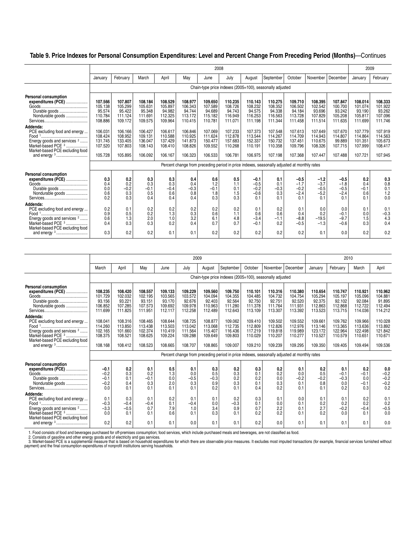#### **Table 9. Price Indexes for Personal Consumption Expenditures: Level and Percent Change From Preceding Period (Months)**—Continues

|                                                                                                                                                                              |                                                     |                                                     |                                                     |                                                     |                                                     | 2008                                                |                                                     |                                                     |                                                                                             |                                                     |                                                     |                                                    | 2009                                                |                                                     |
|------------------------------------------------------------------------------------------------------------------------------------------------------------------------------|-----------------------------------------------------|-----------------------------------------------------|-----------------------------------------------------|-----------------------------------------------------|-----------------------------------------------------|-----------------------------------------------------|-----------------------------------------------------|-----------------------------------------------------|---------------------------------------------------------------------------------------------|-----------------------------------------------------|-----------------------------------------------------|----------------------------------------------------|-----------------------------------------------------|-----------------------------------------------------|
|                                                                                                                                                                              | January                                             | February                                            | March                                               | April                                               | May                                                 | June                                                | July                                                | August                                              | September                                                                                   | October                                             | November                                            | December                                           | January                                             | February                                            |
|                                                                                                                                                                              |                                                     |                                                     |                                                     |                                                     |                                                     |                                                     |                                                     |                                                     | Chain-type price indexes (2005=100), seasonally adjusted                                    |                                                     |                                                     |                                                    |                                                     |                                                     |
| <b>Personal consumption</b><br>expenditures (PCE)<br>Durable goods<br>Nondurable goods                                                                                       | 107.566<br>105.138<br>95.574<br>110.784<br>108.886  | 107.807<br>105.299<br>95.422<br>111.124<br>109.172  | 108.184<br>105.631<br>95.348<br>111.691<br>109.575  | 108.529<br>105.897<br>94.982<br>112.325<br>109.964  | 108.977<br>106.343<br>94.744<br>113.172<br>110.415  | 109.650<br>107.589<br>94.689<br>115.182<br>110.781  | 110.235<br>108.726<br>94.743<br>116.949<br>111.071  | 110.143<br>108.232<br>94.575<br>116.253<br>111.198  | 110.275<br>108.352<br>94.338<br>116.563<br>111.344                                          | 109.710<br>106.502<br>94.184<br>113.728<br>111.458  | 108.395<br>102.542<br>93.696<br>107.829<br>111.514  | 107.847<br>100.700<br>93.242<br>105.208<br>111.635 | 108.014<br>101.074<br>93.190<br>105.817<br>111.699  | 108.333<br>101.922<br>93.262<br>107.096<br>111.746  |
| Addenda:<br>PCE excluding food and energy<br>Energy goods and services <sup>2</sup><br>Market-based PCE <sup>3</sup><br>Market-based PCE excluding food                      | 106.031<br>108.424<br>131.745<br>107.520<br>105.728 | 106.166<br>108.952<br>133.405<br>107.803<br>105.895 | 106.427<br>109.131<br>136.047<br>108.143<br>106.092 | 106.617<br>110.588<br>137.429<br>108.410<br>106.167 | 106.846<br>110.925<br>141.873<br>108.826<br>106.323 | 107.069<br>111.624<br>150.477<br>109.552<br>106.533 | 107.233<br>112.878<br>157.683<br>110.268<br>106.781 | 107.373<br>113.544<br>152.337<br>110.191<br>106.975 | 107.548<br>114.267<br>150.732<br>110.358<br>107.198                                         | 107.613<br>114.709<br>137.451<br>109.796<br>107.368 | 107.649<br>114.943<br>110.675<br>108.326<br>107.447 | 107.670<br>114.807<br>99.889<br>107.715<br>107.488 | 107.779<br>114.864<br>101.351<br>107.999<br>107.721 | 107.919<br>114.563<br>105.673<br>108.417<br>107.945 |
|                                                                                                                                                                              |                                                     |                                                     |                                                     |                                                     |                                                     |                                                     |                                                     |                                                     | Percent change from preceding period in price indexes, seasonally adjusted at monthly rates |                                                     |                                                     |                                                    |                                                     |                                                     |
| <b>Personal consumption</b><br>expenditures (PCE)<br>Durable goods<br>Nondurable goods                                                                                       | 0.3<br>0.4<br>0.0<br>0.6<br>0.2                     | 0.2<br>0.2<br>$-0.2$<br>0.3<br>0.3                  | 0.3<br>0.3<br>$-0.1$<br>0.5<br>0.4                  | 0.3<br>0.3<br>$-0.4$<br>0.6<br>0.4                  | 0.4<br>0.4<br>$-0.3$<br>0.8<br>0.4                  | 0.6<br>1.2<br>$-0.1$<br>1.8<br>0.3                  | 0.5<br>1.1<br>0.1<br>1.5<br>0.3                     | $-0.1$<br>$-0.5$<br>$-0.2$<br>$-0.6$<br>0.1         | 0.1<br>0.1<br>$-0.3$<br>0.3<br>0.1                                                          | $-0.5$<br>$-1.7$<br>$-0.2$<br>$-2.4$<br>0.1         | $-1.2$<br>$-3.7$<br>$-0.5$<br>$-5.2$<br>0.1         | $-0.5$<br>$-1.8$<br>$-0.5$<br>$-2.4$<br>0.1        | 0.2<br>0.4<br>$-0.1$<br>0.6<br>0.1                  | 0.3<br>0.8<br>0.1<br>1.2<br>0.0                     |
| Addenda:<br>PCE excluding food and energy<br>Food <sup>1</sup><br>Energy goods and services <sup>2</sup><br>Market-based PCE <sup>3</sup><br>Market-based PCE excluding food | 0.2<br>0.9<br>0.6<br>0.4                            | 0.1<br>0.5<br>1.3<br>0.3                            | 0.2<br>0.2<br>2.0<br>0.3                            | 0.2<br>1.3<br>1.0<br>0.2                            | 0.2<br>0.3<br>3.2<br>0.4                            | 0.2<br>0.6<br>6.1<br>0.7                            | 0.2<br>1.1<br>4.8<br>0.7                            | 0.1<br>0.6<br>$-3.4$<br>$-0.1$                      | 0.2<br>0.6<br>$-1.1$<br>0.2                                                                 | 0.1<br>0.4<br>$-8.8$<br>$-0.5$                      | 0.0<br>0.2<br>$-19.5$<br>$-1.3$                     | 0.0<br>$-0.1$<br>$-9.7$<br>$-0.6$                  | 0.1<br>0.0<br>1.5<br>0.3                            | 0.1<br>$-0.3$<br>4.3<br>0.4                         |
|                                                                                                                                                                              | 0.3                                                 | 0.2                                                 | 0.2                                                 | 0.1                                                 | 0.1                                                 | 0.2                                                 | 0.2                                                 | 0.2                                                 | 0.2                                                                                         | 0.2                                                 | 0.1                                                 | 0.0                                                | 0.2                                                 | 0.2                                                 |

|                                                                                                                                                                              |                                                               |                                                               |                                                               |                                                               | 2009                                                          |                                                               |                                                                                             |                                                               |                                                               |                                                               |                                                               |                                                               | 2010                                                          |                                                               |
|------------------------------------------------------------------------------------------------------------------------------------------------------------------------------|---------------------------------------------------------------|---------------------------------------------------------------|---------------------------------------------------------------|---------------------------------------------------------------|---------------------------------------------------------------|---------------------------------------------------------------|---------------------------------------------------------------------------------------------|---------------------------------------------------------------|---------------------------------------------------------------|---------------------------------------------------------------|---------------------------------------------------------------|---------------------------------------------------------------|---------------------------------------------------------------|---------------------------------------------------------------|
|                                                                                                                                                                              | March                                                         | April                                                         | May                                                           | June                                                          | July                                                          | August                                                        | September                                                                                   | October                                                       | November                                                      | December                                                      | January                                                       | February                                                      | March                                                         | April                                                         |
|                                                                                                                                                                              |                                                               |                                                               |                                                               |                                                               |                                                               |                                                               | Chain-type price indexes (2005=100), seasonally adjusted                                    |                                                               |                                                               |                                                               |                                                               |                                                               |                                                               |                                                               |
| Personal consumption<br>expenditures (PCE)<br>Durable goods<br>Nondurable goods<br>Addenda:                                                                                  | 108.235<br>101.729<br>93.156<br>106.852<br>111.699<br>108.041 | 108.420<br>102.032<br>93.221<br>107.285<br>111.825<br>108.316 | 108.557<br>102.195<br>93.151<br>107.573<br>111.951<br>108.465 | 109.133<br>103.565<br>93.170<br>109.692<br>112.117<br>108.644 | 109.229<br>103.572<br>92.676<br>109.978<br>112.258<br>108.725 | 109.560<br>104.094<br>92.403<br>110.963<br>112.489<br>108.877 | 109.750<br>104.355<br>92.564<br>111.280<br>112.643<br>109.062                               | 110.101<br>104.485<br>92.750<br>111.378<br>113.109<br>109.410 | 110.316<br>104.732<br>92.751<br>111.764<br>113.307<br>109.502 | 110.380<br>104.754<br>92.520<br>111.931<br>113.392<br>109.552 | 110.654<br>105.294<br>92.375<br>112.863<br>113.523<br>109.661 | 110.747<br>105.197<br>92.102<br>112.868<br>113.715<br>109.762 | 110.921<br>105.096<br>92.084<br>112.722<br>114.036<br>109.966 | 110.962<br>104.881<br>91.895<br>112.494<br>114.212<br>110.028 |
| PCE excluding food and energy<br>Energy goods and services <sup>2</sup><br>Market-based PCE 3<br>Market-based PCE excluding food                                             | 114.260<br>102.165<br>108.375<br>108.168                      | 113.850<br>101.660<br>108.521<br>108.412                      | 113.438<br>102.374<br>108.625<br>108.523                      | 113.503<br>110.419<br>109.224<br>108.665                      | 113.042<br>111.564<br>109.288<br>108.707                      | 113.068<br>115.407<br>109.649<br>108.865                      | 112.735<br>116.436<br>109.803<br>109.007                                                    | 112.809<br>117.219<br>110.029<br>109.210                      | 112.826<br>119.818<br>110.207<br>109.239                      | 112.976<br>119.989<br>110.277<br>109.295                      | 113.146<br>123.172<br>110.527<br>109.350                      | 113.365<br>122.964<br>110.579<br>109.405                      | 113.636<br>122.498<br>110.651<br>109.494                      | 113.892<br>121.842<br>110.671<br>109.536                      |
|                                                                                                                                                                              |                                                               |                                                               |                                                               |                                                               |                                                               |                                                               | Percent change from preceding period in price indexes, seasonally adjusted at monthly rates |                                                               |                                                               |                                                               |                                                               |                                                               |                                                               |                                                               |
| Personal consumption<br>expenditures (PCE)<br>Durable goods<br>Nondurable goods                                                                                              | $-0.1$<br>$-0.2$<br>$-0.1$<br>$-0.2$<br>0.0                   | 0.2<br>0.3<br>0.1<br>0.4<br>0.1                               | 0.1<br>0.2<br>$-0.1$<br>0.3<br>0.1                            | 0.5<br>1.3<br>0.0<br>2.0<br>0.1                               | 0.1<br>0.0<br>$-0.5$<br>0.3<br>0.1                            | 0.3<br>0.5<br>$-0.3$<br>0.9<br>0.2                            | 0.2<br>0.3<br>0.2<br>0.3<br>0.1                                                             | 0.3<br>0.1<br>0.2<br>0.1<br>0.4                               | 0.2<br>0.2<br>0.0<br>0.3<br>0.2                               | 0.1<br>0.0<br>$-0.2$<br>0.1<br>0.1                            | 0.2<br>0.5<br>$-0.2$<br>0.8<br>0.1                            | 0.1<br>$-0.1$<br>$-0.3$<br>0.0<br>0.2                         | 0.2<br>$-0.1$<br>0.0<br>$-0.1$<br>0.3                         | 0.0<br>$-0.2$<br>$-0.2$<br>$-0.2$<br>0.2                      |
| Addenda:<br>PCE excluding food and energy<br>Food <sup>1</sup><br>Energy goods and services <sup>2</sup><br>Market-based PCE <sup>3</sup><br>Market-based PCE excluding food | 0.1<br>$-0.3$<br>$-3.3$<br>0.0                                | 0.3<br>$-0.4$<br>$-0.5$<br>0.1                                | 0.1<br>$-0.4$<br>0.7<br>0.1                                   | 0.2<br>0.1<br>7.9<br>0.6                                      | 0.1<br>$-0.4$<br>1.0<br>0.1                                   | 0.1<br>0.0<br>3.4<br>0.3                                      | 0.2<br>$-0.3$<br>0.9<br>0.1                                                                 | 0.3<br>0.1<br>0.7<br>0.2                                      | 0.1<br>0.0<br>2.2<br>0.2                                      | 0.0<br>0.1<br>0.1<br>0.1                                      | 0.1<br>0.2<br>2.7<br>0.2                                      | 0.1<br>0.2<br>$-0.2$<br>0.0                                   | 0.2<br>0.2<br>$-0.4$<br>0.1                                   | 0.1<br>0.2<br>$-0.5$<br>0.0                                   |
|                                                                                                                                                                              | 0.2                                                           | 0.2                                                           | 0.1                                                           | 0.1                                                           | 0.0                                                           | 0.1                                                           | 0.1                                                                                         | 0.2                                                           | 0.0                                                           | 0.1                                                           | 0.1                                                           | 0.1                                                           | 0.1                                                           | 0.0                                                           |

1. Food consists of food and beverages purchased for off-premises consumption; food services, which include purchased meals and beverages, are not classified as food.<br>2. Consists of gasoline and other energy goods and of e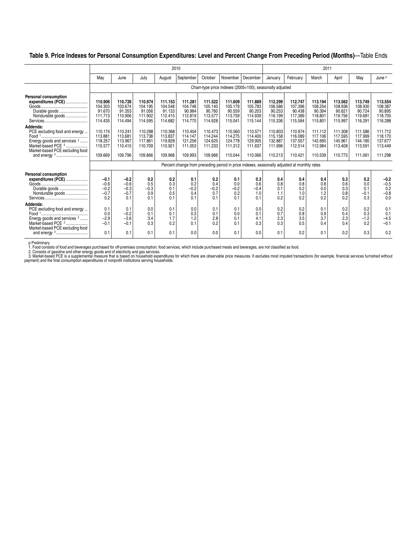#### **Table 9. Price Indexes for Personal Consumption Expenditures: Level and Percent Change From Preceding Period (Months)**—Table Ends

|                                                                                                                                                         |                                                     |                                                     |                                                     |                                                     | 2010                                                                                        |                                                     |                                                     |                                                          |                                                     |                                                     | 2011                                                |                                                     |                                                    |                                                     |
|---------------------------------------------------------------------------------------------------------------------------------------------------------|-----------------------------------------------------|-----------------------------------------------------|-----------------------------------------------------|-----------------------------------------------------|---------------------------------------------------------------------------------------------|-----------------------------------------------------|-----------------------------------------------------|----------------------------------------------------------|-----------------------------------------------------|-----------------------------------------------------|-----------------------------------------------------|-----------------------------------------------------|----------------------------------------------------|-----------------------------------------------------|
|                                                                                                                                                         | May                                                 | June                                                | July                                                | August                                              | September                                                                                   | October                                             | November                                            | December                                                 | January                                             | February                                            | March                                               | April                                               | May                                                | June P                                              |
|                                                                                                                                                         |                                                     |                                                     |                                                     |                                                     |                                                                                             |                                                     |                                                     | Chain-type price indexes (2005=100), seasonally adjusted |                                                     |                                                     |                                                     |                                                     |                                                    |                                                     |
| <b>Personal consumption</b><br>expenditures (PCE)<br>Durable goods<br>Nondurable goods                                                                  | 110.906<br>104.303<br>91.670<br>111.713<br>114.435  | 110.726<br>103.674<br>91.353<br>110.906<br>114.494  | 110.974<br>104.195<br>91.056<br>111.902<br>114.595  | 111.153<br>104.548<br>91.133<br>112.415<br>114.682  | 111.281<br>104.748<br>90.984<br>112.819<br>114.770                                          | 111.522<br>105.140<br>90.760<br>113.577<br>114.928  | 111.609<br>105.179<br>90.559<br>113.759<br>115.041  | 111.889<br>105.783<br>90.203<br>114.939<br>115.144       | 112.299<br>106.586<br>90.253<br>116.199<br>115.336  | 112.747<br>107.396<br>90.438<br>117.389<br>115.584  | 113.194<br>108.254<br>90.394<br>118.801<br>115.801  | 113.562<br>108.936<br>90.621<br>119.756<br>115.997  | 113.749<br>108.930<br>90.724<br>119.681<br>116.291 | 113.554<br>108.387<br>90.895<br>118.705<br>116.288  |
| Addenda:<br>PCE excluding food and energy<br>Energy goods and services <sup>2</sup><br>Market-based PCE <sup>3</sup><br>Market-based PCE excluding food | 110.174<br>113.881<br>118.257<br>110.577<br>109.669 | 110.241<br>113.681<br>113.967<br>110.415<br>109.796 | 110.288<br>113.738<br>117.861<br>110.709<br>109.866 | 110.368<br>113.837<br>119.828<br>110.921<br>109.968 | 110.404<br>114.147<br>121.256<br>111.053<br>109.993                                         | 110.473<br>114.244<br>124.625<br>111.233<br>109.966 | 110.560<br>114.275<br>124.778<br>111.312<br>110.044 | 110.571<br>114.400<br>129.905<br>111.637<br>110.066      | 110.803<br>115.158<br>132.887<br>111.996<br>110.213 | 110.974<br>116.089<br>137.557<br>112.514<br>110.421 | 111.112<br>117.106<br>142.690<br>112.984<br>110.539 | 111.308<br>117.595<br>145.961<br>113.408<br>110.773 | 111.586<br>117.999<br>144.180<br>113.591<br>111.06 | 111.712<br>118.170<br>137.677<br>113.449<br>111.298 |
|                                                                                                                                                         |                                                     |                                                     |                                                     |                                                     | Percent change from preceding period in price indexes, seasonally adjusted at monthly rates |                                                     |                                                     |                                                          |                                                     |                                                     |                                                     |                                                     |                                                    |                                                     |
| Personal consumption<br>expenditures (PCE)<br>Durable goods<br>Nondurable goods                                                                         | $-0.1$<br>$-0.6$<br>$-0.2$<br>$-0.7$<br>0.2         | $-0.2$<br>$-0.6$<br>$-0.3$<br>$-0.7$<br>0.1         | 0.2<br>0.5<br>$-0.3$<br>0.9<br>0.1                  | 0.2<br>0.3<br>0.1<br>0.5<br>0.1                     | 0.1<br>0.2<br>$-0.2$<br>0.4<br>0.1                                                          | 0.2<br>0.4<br>$-0.2$<br>0.7<br>0.1                  | 0.1<br>0.0<br>$-0.2$<br>0.2<br>0.1                  | 0.3<br>0.6<br>$-0.4$<br>1.0<br>0.1                       | 0.4<br>0.8<br>0.1<br>1.1<br>0.2                     | 0.4<br>0.8<br>0.2<br>1.0<br>0.2                     | 0.4<br>0.8<br>0.0<br>1.2<br>0.2                     | 0.3<br>0.6<br>0.3<br>0.8<br>0.2                     | 0.2<br>0.0<br>0.1<br>$-0.1$<br>0.3                 | $-0.2$<br>$-0.5$<br>0.2<br>$-0.8$<br>0.0            |
| Addenda:<br>PCE excluding food and energy<br>Energy goods and services <sup>2</sup><br>Market-based PCE <sup>3</sup><br>Market-based PCE excluding food | 0.1<br>0.0<br>$-2.9$<br>$-0.1$                      | 0.1<br>$-0.2$<br>$-3.6$<br>$-0.1$                   | 0.0<br>0.1<br>3.4<br>0.3                            | 0.1<br>0.1<br>1.7<br>0.2                            | 0.0<br>0.3<br>1.2<br>0.1                                                                    | 0.1<br>0.1<br>2.8<br>0.2                            | 0.1<br>0.0<br>0.1<br>0.1                            | 0.0<br>0.1<br>4.1<br>0.3                                 | 0.2<br>0.7<br>2.3<br>0.3                            | 0.2<br>0.8<br>3.5<br>0.5                            | 0.1<br>0.9<br>3.7<br>0.4                            | 0.2<br>0.4<br>2.3<br>0.4                            | 0.2<br>0.3<br>$-1.2$<br>0.2                        | 0.1<br>0.1<br>$-4.5$<br>$-0.1$                      |
|                                                                                                                                                         | 0.1                                                 | 0.1                                                 | 0.1                                                 | 0.1                                                 | 0.0                                                                                         | 0.0                                                 | 0.1                                                 | 0.0                                                      | 0.1                                                 | 0.2                                                 | 0.1                                                 | 0.2                                                 | 0.3                                                | 0.2                                                 |

p Preliminary<br>1. Food consists of food and beverages purchased for off-premises consumption; food services, which include purchased meals and beverages, are not classified as food.<br>2. Consists of gasoline and other energy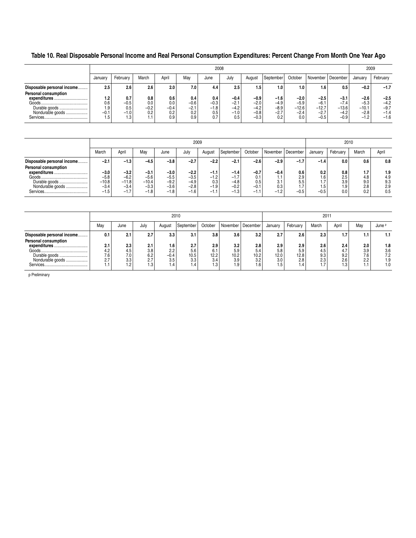### **Table 10. Real Disposable Personal Income and Real Personal Consumption Expenditures: Percent Change From Month One Year Ago**

|                                      |                      |                         |                      |                      |                         |                         | 2008                       |                            |                            |                             |                             |                             |                             | 2009                       |
|--------------------------------------|----------------------|-------------------------|----------------------|----------------------|-------------------------|-------------------------|----------------------------|----------------------------|----------------------------|-----------------------------|-----------------------------|-----------------------------|-----------------------------|----------------------------|
|                                      | Januar               | February                | March                | April                | Mav                     | June                    | July                       | August                     | September                  | October                     |                             | November   December         | Januarv                     | February                   |
| Disposable personal income           | 2.5                  | 2.6                     | 2.6                  | 2.0                  | 7.0                     | 4.4                     | 2.5                        | 1.5                        | 1.0                        | 1.0                         | 1.6                         | 0.5                         | $-0.2$                      | $-1.7$                     |
| Personal consumption<br>expenditures | l.2                  | 0.7                     | 0.8                  | 0.6                  | 0.4                     | 0.4                     | $-0.4$                     | $-0.9$                     | $-1.6$                     | $-2.0$                      | $-2.5$                      | -3.1                        | $-2.6$                      | $-2.5$                     |
| Durable goods<br>Nondurable goods    | 0.6<br>9.۱<br>$-0.1$ | $-0.5$<br>0.5<br>$-1.0$ | 0.0<br>$-0.2$<br>0.2 | 0.0<br>$-0.4$<br>0.2 | $-0.6$<br>$-2.1$<br>0.2 | $-0.3$<br>$-1.8$<br>0.5 | $-2.1$<br>$-4.2$<br>$-1.0$ | $-2.0$<br>$-4.2$<br>$-0.8$ | $-4.9$<br>$-8.9$<br>$-2.7$ | $-5.9$<br>$-12.6$<br>$-2.4$ | $-6.1$<br>$-12.7$<br>$-2.7$ | $-7.4$<br>$-13.6$<br>$-4.2$ | $-5.3$<br>$-10.1$<br>$-2.8$ | $-4.2$<br>$-9.7$<br>$-1.4$ |
| Services                             | ხ                    | 1.3                     |                      | 0.9                  | 0.9                     | 0.7                     | 0.5                        | $-0.3$                     | 0.2                        | 0.0                         | $-0.5$                      | $-0.9$                      | $-1.2$                      | $-1.6$                     |

|                                                                     |                                                 |                                                |                                                 |                                                | 2009                                           |                                             |                                              |                                          |                                       |                                    |                                                    |                                 | 2010                            |                                 |
|---------------------------------------------------------------------|-------------------------------------------------|------------------------------------------------|-------------------------------------------------|------------------------------------------------|------------------------------------------------|---------------------------------------------|----------------------------------------------|------------------------------------------|---------------------------------------|------------------------------------|----------------------------------------------------|---------------------------------|---------------------------------|---------------------------------|
|                                                                     | March                                           | April                                          | May                                             | June                                           | January                                        | February                                    | March                                        | April                                    |                                       |                                    |                                                    |                                 |                                 |                                 |
| Disposable personal income<br>Personal consumption                  | -2.1                                            | $-1.3$                                         | $-4.5$                                          | $-3.8$                                         | $-2.7$                                         | $-2.2$                                      | $-2.1$                                       | $-2.6$                                   | -2.9                                  | $-1.7$                             | $-1.4$                                             | 0.0                             | 0.6                             | 0.8                             |
| expenditures.<br>Durable goods<br>Nondurable goods<br>Services.<br> | $-3.0$<br>$-5.8$<br>$-10.8$<br>$-3.4$<br>$-1.5$ | $-3.2$<br>$-6.2$<br>$-11.8$<br>$-3.4$<br>$-17$ | $-3.1$<br>$-5.6$<br>$-10.4$<br>$-3.3$<br>$-1.8$ | $-3.0$<br>$-5.5$<br>$-9.2$<br>$-3.6$<br>$-1.8$ | $-2.2$<br>$-3.5$<br>$-4.9$<br>$-2.8$<br>$-1.6$ | $-1.1$<br>$-1.2$<br>0.3<br>$-1.9$<br>$-1.1$ | -1.4<br>$-1.7$<br>$-4.8$<br>$-0.2$<br>$-1.3$ | $-0.7$<br>0.1<br>0.5<br>$-0.1$<br>$-1.1$ | $-0.4$<br>1.1<br>3.1<br>0.3<br>$-1.2$ | 0.6<br>2.9<br>5.5<br>1.7<br>$-0.5$ | 0.2<br>1.6<br>. –<br>$\mathbf{L}$<br>1.5<br>$-0.5$ | 0.8<br>2.5<br>3.9<br>1.9<br>0.0 | 1.7<br>4.8<br>9.0<br>2.8<br>0.2 | 1.9<br>4.9<br>9.3<br>2.9<br>0.5 |

|                                                           |                     |                   |                  |                     | 2010               |                    |                     |                    |                                 |                             | 2011       |                   |            |                    |
|-----------------------------------------------------------|---------------------|-------------------|------------------|---------------------|--------------------|--------------------|---------------------|--------------------|---------------------------------|-----------------------------|------------|-------------------|------------|--------------------|
|                                                           | May                 | June              | July             | August              | September          | October            | November   December | January            | February                        | March                       | April      | May               | June P     |                    |
| Disposable personal income<br><b>Personal consumption</b> | 0.1                 | 2.1               | 2.7              | 3.3                 | 3.1                | 3.8                | 3.6                 | 3.2                | 2.7                             | 2.6                         | 2.3        | 1.7               |            | 1.1                |
| expenditures.<br><br>Goods                                | 2.1<br>4.2          | 2.3<br>4.5        | 2.1<br>3.8       | 1.6<br>2.2          | 2.7<br>5.6         | 2.9<br>6.1         | 3.2<br>5.9          | 2.8<br>5.4         | 2.9<br>5.8                      | 2.9<br>5.9                  | 2.6<br>4.5 | 2.4<br>4.7        | 2.0<br>3.9 | 1.8<br>3.6         |
| Durable goods<br>Nondurable goods<br>Services             | 7.6<br>$\sim$<br>٠٠ | 7.0<br>3.3<br>1.2 | 6.2<br>٠٠<br>1.3 | $-0.4$<br>3.5<br>.4 | 10.5<br>3.3<br>1.4 | 12.2<br>3.4<br>1.3 | 10.2<br>3.9<br>1.9  | 10.2<br>3.2<br>. 6 | 12.0 <sub>1</sub><br>3.0<br>5.، | 12.8<br>2.8<br>$.4^{\circ}$ | 9.3<br>2.3 | 9.2<br>2.6<br>. 3 | 7.6<br>2.2 | 7.2<br>9. ا<br>. 0 |

p Preliminary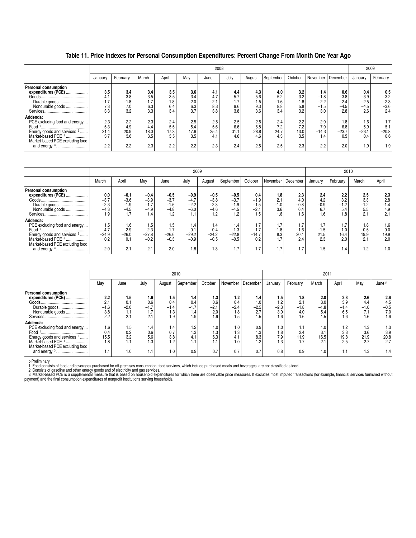**Table 11. Price Indexes for Personal Consumption Expenditures: Percent Change From Month One Year Ago**

|                                                                                                                                                   |                             |                             |                             |                             |                             |                             | 2008                        |                             |                             |                             |                                   |                                   |                                   | 2009                              |
|---------------------------------------------------------------------------------------------------------------------------------------------------|-----------------------------|-----------------------------|-----------------------------|-----------------------------|-----------------------------|-----------------------------|-----------------------------|-----------------------------|-----------------------------|-----------------------------|-----------------------------------|-----------------------------------|-----------------------------------|-----------------------------------|
|                                                                                                                                                   | January                     | February                    | March                       | April                       | May                         | June                        | July                        | August                      | September                   | October                     | November                          | December                          | January                           | February                          |
| Personal consumption<br>expenditures (PCE)                                                                                                        | 3.5                         | 3.4                         | 3.4                         | 3.5                         | 3.6                         | 4.1                         | 4.4                         | 4.3                         | 4.0                         | 3.2                         | 1.4                               | 0.6                               | 0.4                               | 0.5                               |
| Durable goods<br>Nondurable goods                                                                                                                 | 4.1<br>$-1.7$<br>7.3<br>3.3 | 3.8<br>$-1.8$<br>7.0<br>3.2 | 3.5<br>$-1.7$<br>6.3<br>3.3 | 3.5<br>$-1.8$<br>6.4<br>3.4 | 3.4<br>$-2.0$<br>6.3<br>3.7 | 4.7<br>$-2.1$<br>8.3<br>3.8 | 5.7<br>$-1.7$<br>9.6<br>3.8 | 5.6<br>$-1.5$<br>9.3<br>3.6 | 5.2<br>$-1.6$<br>8.8<br>3.4 | 3.2<br>$-1.8$<br>5.8<br>3.2 | $-1.8$<br>$-2.2$<br>$-1.5$<br>3.0 | $-3.8$<br>$-2.4$<br>$-4.5$<br>2.8 | $-3.9$<br>$-2.5$<br>$-4.5$<br>2.6 | $-3.2$<br>$-2.3$<br>$-3.6$<br>2.4 |
| Addenda:<br>PCE excluding food and energy<br>Energy goods and services <sup>2</sup><br>Market-based PCE 3<br>.<br>Market-based PCE excluding food | 2.3<br>5.3<br>21.4<br>3.7   | 2.2<br>4.9<br>20.9<br>3.6   | 2.3<br>4.4<br>18.0<br>3.5   | 2.4<br>5.5<br>17.3<br>3.5   | 2.5<br>5.4<br>17.9<br>3.5   | 2.5<br>5.6<br>25.4<br>4.1   | 2.5<br>6.6<br>31.1<br>4.6   | 2.5<br>6.8<br>28.8<br>4.6   | 2.4<br>7.2<br>24.7<br>4.3   | 2.2<br>7.2<br>13.0<br>3.5   | 2.0<br>7.0<br>$-14.3$<br>1.4      | 1.8<br>6.8<br>$-23.7$<br>0.5      | 1.6<br>5.9<br>$-23.1$<br>0.4      | 1.7<br>5.1<br>$-20.8$<br>0.6      |
| and energy <sup>3</sup><br>-                                                                                                                      | 2.2                         | 2.2                         | 2.3                         | 2.2                         | 2.2                         | 2.3                         | 2.4                         | 2.5                         | 2.5                         | 2.3                         | 2.2                               | 2.0                               | 1.9                               | 1.9                               |

|                                                                                                                                                                                    |                                           |                                      |                                             |                                             | 2009                                      |                                             |                                             |                                          |                                             |                                     |                                     |                                     | 2010                                      |                                    |
|------------------------------------------------------------------------------------------------------------------------------------------------------------------------------------|-------------------------------------------|--------------------------------------|---------------------------------------------|---------------------------------------------|-------------------------------------------|---------------------------------------------|---------------------------------------------|------------------------------------------|---------------------------------------------|-------------------------------------|-------------------------------------|-------------------------------------|-------------------------------------------|------------------------------------|
|                                                                                                                                                                                    | March                                     | April                                | Mav                                         | June                                        | July                                      | August                                      | September                                   | October                                  | November                                    | December                            | January                             | February                            | March                                     | April                              |
| <b>Personal consumption</b><br>expenditures (PCE)<br>Durable goods<br>Nondurable goods                                                                                             | 0.0<br>$-3.7$<br>$-2.3$<br>$-4.3$<br>9. ا | $-0.1$<br>$-3.6$<br>$-1.9$<br>$-4.5$ | $-0.4$<br>$-3.9$<br>$-1.7$<br>$-4.9$<br>1.4 | $-0.5$<br>$-3.7$<br>$-1.6$<br>$-4.8$<br>1.2 | -0.9<br>$-4.7$<br>$-2.2$<br>$-6.0$<br>1.1 | $-0.5$<br>$-3.8$<br>$-2.3$<br>$-4.6$<br>1.2 | $-0.5$<br>$-3.7$<br>$-1.9$<br>$-4.5$<br>1.2 | 0.4<br>$-1.9$<br>$-1.5$<br>$-2.1$<br>1.5 | 1.8<br>2.1<br>$-1.0$<br>3.6<br>1.6          | 2.3<br>4.0<br>$-0.8$<br>6.4<br>1.6  | 2.4<br>4.2<br>$-0.9$<br>6.7<br>1.6  | 2.2<br>3.2<br>$-1.2$<br>5.4<br>1.8  | 2.5<br>3.3<br>$-1.2$<br>5.5<br>$^{\circ}$ | 2.3<br>2.8<br>$-1.4$<br>4.9<br>2.1 |
| Addenda:<br>PCE excluding food and energy<br>Energy goods and services <sup>2</sup><br>Market-based PCE <sup>3</sup><br>Market-based PCE excluding food<br>and energy <sup>3</sup> | 1.5<br>4.7<br>$-24.9$<br>0.2<br>2.0       | 1.6<br>2.9<br>$-26.0$<br>0.1<br>2.1  | 1.5<br>2.3<br>$-27.8$<br>$-0.2$<br>2.1      | 1.5<br>1.7<br>$-26.6$<br>$-0.3$<br>2.0      | 1.4<br>0.1<br>$-29.2$<br>$-0.9$<br>1.8    | 1.4<br>$-0.4$<br>$-24.2$<br>$-0.5$<br>1.8   | 1.4<br>$-1.3$<br>$-22.8$<br>$-0.5$<br>1.7   | 1.7<br>$-1.7$<br>$-14.7$<br>0.2<br>1.7   | $\mathbf{L}$<br>$-1.8$<br>8.3<br>1.7<br>1.7 | 1.7<br>$-1.6$<br>20.1<br>2.4<br>1.7 | 1.7<br>$-1.5$<br>21.5<br>2.3<br>1.5 | 1.7<br>$-1.0$<br>16.4<br>2.0<br>1.4 | 1.8<br>$-0.5$<br>19.9<br>2.1<br>1.2       | 1.6<br>0.0<br>19.9<br>2.0<br>1.0   |

|                                                                                                                                                                         |                                      |                                    |                                    |                                                                 | 2010                               |                                                 |                                    |                                          |                                    |                                    | 2011                               |                                 |                                                         |                                              |
|-------------------------------------------------------------------------------------------------------------------------------------------------------------------------|--------------------------------------|------------------------------------|------------------------------------|-----------------------------------------------------------------|------------------------------------|-------------------------------------------------|------------------------------------|------------------------------------------|------------------------------------|------------------------------------|------------------------------------|---------------------------------|---------------------------------------------------------|----------------------------------------------|
|                                                                                                                                                                         | May                                  | June                               | July                               | August                                                          | September                          | October                                         | November                           | December                                 | January                            | February                           | March                              | April                           | May                                                     | June P                                       |
| <b>Personal consumption</b><br>expenditures (PCE)<br>Durable goods<br>Nondurable goods                                                                                  | 2.2<br>2.1<br>.6<br>-1<br>3.8<br>2.2 | 1.5<br>0.1<br>$-2.0$<br>. .<br>2.1 | 1.6<br>0.6<br>$-1.7$<br>1.7<br>2.1 | 1.5<br>0.4<br>$\mathsf{I} \cdot \mathsf{A}$<br>-1<br>1.3<br>1.9 | 1.4<br>0.4<br>$-1.7$<br>1.4<br>1.9 | 1.3 <sub>1</sub><br>0.6<br>$-2.1$<br>2.0<br>1.6 | 1.2<br>0.4<br>$-2.4$<br>1.8<br>1.5 | 1.4<br>1.0<br>$-2.5$<br>07<br>ر ے<br>I.5 | 1.5<br>1.2<br>$-2.3$<br>3.0<br>1.6 | 1.8<br>2.1<br>$-1.8$<br>4.0<br>1.6 | 2.0<br>3.0<br>$-1.8$<br>5.4<br>1.5 | 2.3<br>3.9<br>-1.4<br>6.5<br>.6 | 2.6<br>4.4<br>$-1.0$<br>$\overline{\phantom{a}}$<br>1.6 | 2.6<br>4.5<br>$-0.5$<br>7.0<br>1.6           |
| Addenda:<br>PCE excluding food and energy<br>Energy goods and services <sup>2</sup><br>Market-based PCE 3<br>Market-based PCE excluding food<br>and energy <sup>3</sup> | 1.6<br>0.4<br>15.5<br>1.8<br>۱.1     | 1.5<br>0.2<br>3.2<br>. .<br>1.0    | 1.4<br>0.6<br>5.6<br>1.3<br>1.1    | 1.4<br>0.7<br>3.8<br>1.2<br>1.0                                 | 1.2<br>1.3<br>4.1<br>1.1<br>0.9    | 1.0<br>1.3<br>6.3<br>0.7                        | 1.0<br>1.3<br>4.1<br>1.0<br>0.7    | 0.9<br>1.3<br>8.3<br>1.2<br>0.7          | 1.0<br>1.8<br>7.9<br>1.3<br>0.8    | 1.1<br>2.4<br>11.9<br>1.7<br>0.9   | 1.0<br>3.1<br>16.5<br>2.1<br>1.0   | 1.2<br>3.3<br>19.8<br>2.5       | 1.3<br>3.6<br>21.9<br>2.7<br>1.3                        | l.3<br>3.9<br>20.8<br>2.7<br>$\mathsf{I}$ .4 |

p Preliminary<br>1. Food consists of food and beverages purchased for off-premises consumption; food services, which include purchased meals and beverages, are not classified as food.<br>2. Consists of gasoline and other energy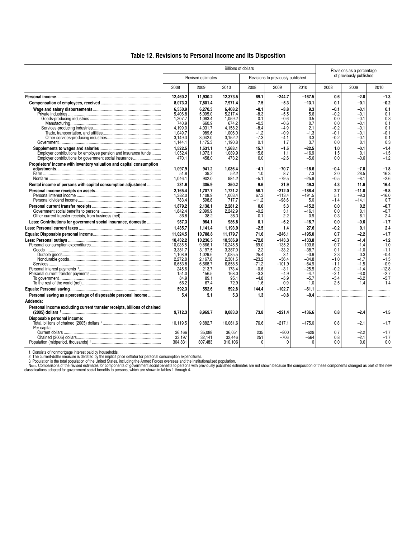#### **Table 12. Revisions to Personal Income and Its Disposition**

|                                                                          |                    |                          | <b>Billions of dollars</b> |                  |                                   |                   |               | Revisions as a percentage |                  |
|--------------------------------------------------------------------------|--------------------|--------------------------|----------------------------|------------------|-----------------------------------|-------------------|---------------|---------------------------|------------------|
|                                                                          |                    | <b>Revised estimates</b> |                            |                  | Revisions to previously published |                   |               | of previously published   |                  |
|                                                                          | 2008               | 2009                     | 2010                       | 2008             | 2009                              | 2010              | 2008          | 2009                      | 2010             |
|                                                                          | 12,460.2           | 11,930.2                 | 12,373.5                   | 69.1             | $-244.7$                          | $-167.5$          | 0.6           | $-2.0$                    | $-1.3$           |
|                                                                          | 8,073.3            | 7,801.4                  | 7,971.4                    | 7.5              | -5.3                              | $-13.1$           | 0.1           | -0.1                      | $-0.2$           |
|                                                                          | 6,550.9            | 6.270.3                  | 6.408.2                    | $-8.1$           | $-3.8$                            | 9.3               | $-0.1$        | $-0.1$                    | 0.1              |
|                                                                          | 5.406.8            | 5.095.0                  | 5.217.4                    | -8.3             | $-5.5$                            | 5.6               | -0.2          | -0.1                      | 0.1              |
|                                                                          | 1,207.7            | 1,063.4                  | 1,059.2                    | 0.1              | $-0.6$                            | 3.5               | 0.0           | -0.1                      | 0.3              |
|                                                                          | 740.9<br>4.199.0   | 660.9<br>4.031.7         | 674.2<br>4.158.2           | $-0.3$<br>$-8.4$ | $-0.6$<br>$-4.9$                  | 0.7<br>2.1        | 0.0<br>$-0.2$ | -0.1<br>-0.1              | 0.1<br>0.1       |
|                                                                          | 1,049.7            | 989.6                    | 1,006.0                    | $-1.2$           | $-0.9$                            | $-1.3$            | $-0.1$        | $-0.1$                    | $-0.1$           |
|                                                                          | 3.149.3            | 3,042.0                  | 3,152.2                    | $-7.3$           | $-4.1$                            | 3.3               | $-0.2$        | -0.1                      | 0.1              |
|                                                                          | 1,144.1            | 1,175.3                  | 1,190.8                    | 0.1              | 1.7                               | 3.7               | 0.0           | 0.1                       | 0.3              |
|                                                                          | 1.522.5            | 1,531.1                  | 1.563.1                    | 15.7             | $-1.5$                            | $-22.5$           | 1.0           | $-0.1$                    | $-1.4$           |
| Employer contributions for employee pension and insurance funds          | 1.052.4            | 1.073.1                  | 1.089.9                    | 15.8             | 1.1                               | $-16.9$           | 1.5           | 0.1                       | $-1.5$           |
| Employer contributions for government social insurance                   | 470.1              | 458.0                    | 473.2                      | 0.0              | $-2.6$                            | $-5.6$            | 0.0           | -0.6                      | $-1.2$           |
| Proprietors' income with inventory valuation and capital consumption     | 1.097.9            | 941.2                    | 1,036.4                    | -4.1             | -70.7                             | $-18.6$           | -0.4          | $-7.0$                    | $-1.8$           |
|                                                                          | 51.8               | 39.2                     | 52.2                       | 1.0              | 8.7                               | 7.3               | 2.0           | 28.5                      | 16.3             |
|                                                                          | 1,046.1            | 902.0                    | 984.2                      | -5.1             | $-79.5$                           | $-25.9$           | -0.5          | $-8.1$                    | $-2.6$           |
| Rental income of persons with capital consumption adjustment             | 231.6              | 305.9                    | 350.2                      | 9.6              | 31.9                              | 49.3              | 4.3           | 11.6                      | 16.4             |
|                                                                          | 2.165.4            | 1.707.7                  | 1.721.2                    | 56.1             | $-212.0$                          | $-186.4$          | 2.7           | $-11.0$                   | $-9.8$           |
|                                                                          | 1.382.0<br>783.4   | 1.108.9<br>598.8         | 1.003.4<br>717.7           | 67.3<br>$-11.2$  | $-113.4$<br>$-98.6$               | $-191.5$<br>5.0   | 5.1<br>$-1.4$ | $-9.3$<br>$-14.1$         | $-16.0$<br>0.7   |
|                                                                          | 1.879.2            | 2.138.1                  | 2.281.2                    | 0.0              | 5.3                               | $-15.2$           | 0.0           | 0.2                       | $-0.7$           |
|                                                                          | 1,842.4            | 2,099.9                  | 2,242.9                    | $-0.2$           | 3.1                               | $-16.1$           | 0.0           | 0.1                       | $-0.7$           |
|                                                                          | 36.8               | 38.2                     | 38.3                       | 0.1              | 2.2                               | 0.9               | 0.3           | 6.1                       | 2.4              |
| Less: Contributions for government social insurance, domestic            | 987.3              | 964.1                    | 986.8                      | 0.1              | $-6.2$                            | $-16.7$           | 0.0           | $-0.6$                    | $-1.7$           |
|                                                                          | 1.435.7            | 1,141.4                  | 1,193.9                    | $-2.5$           | 1.4                               | 27.6              | $-0.2$        | 0.1                       | 2.4              |
|                                                                          | 11,024.5           | 10,788.8                 | 11,179.7                   | 71.6             | $-246.1$                          | $-195.0$          | 0.7           | -2.2                      | $-1.7$           |
|                                                                          | 10.432.2           | 10.236.3                 | 10.586.9                   | $-72.8$          | $-143.3$                          | $-133.8$          | -0.7          | $-1.4$                    | $-1.2$           |
|                                                                          | 10,035.5           | 9,866.1                  | 10.245.5                   | $-69.0$          | $-135.2$                          | $-103.6$          | $-0.7$        | $-1.4$                    | $-1.0$           |
|                                                                          | 3,381.7<br>1.108.9 | 3,197.5<br>1,029.6       | 3.387.0<br>1.085.5         | 2.2<br>25.4      | $-33.2$<br>3.1                    | $-38.7$<br>$-3.9$ | 0.1<br>2.3    | -1.0<br>0.3               | $-1.1$<br>$-0.4$ |
|                                                                          | 2,272.8            | 2.167.8                  | 2.301.5                    | $-23.2$          | -36.4                             | $-34.8$           | $-1.0$        | -1.7                      | $-1.5$           |
|                                                                          | 6,653.8            | 6.668.7                  | 6.858.5                    | $-71.2$          | $-101.9$                          | $-64.9$           | $-1.1$        | $-1.5$                    | $-0.9$           |
|                                                                          | 245.6              | 213.7                    | 173.4                      | $-0.6$           | -3.1                              | $-25.5$           | $-0.2$        | $-1.4$                    | $-12.8$          |
|                                                                          | 151.0              | 156.5                    | 168.0                      | $-3.3$           | $-4.9$                            | $-4.7$            | $-2.1$        | -3.0                      | $-2.7$           |
|                                                                          | 84.9<br>66.2       | 89.1<br>67.4             | 95.1<br>72.9               | $-4.8$<br>1.6    | $-5.9$<br>0.9                     | $-5.7$<br>1.0     | $-5.4$<br>2.5 | $-6.2$<br>1.4             | $-5.7$<br>1.4    |
|                                                                          | 592.3              | 552.6                    | 592.8                      | 144.4            | $-102.7$                          | -61.1             |               |                           |                  |
| Personal saving as a percentage of disposable personal income            | 5.4                | 5.1                      | 5.3                        | 1.3              | -0.8                              | $-0.4$            |               | .                         |                  |
| Addenda:                                                                 |                    |                          |                            |                  |                                   |                   |               |                           |                  |
| Personal income excluding current transfer receipts, billions of chained |                    |                          |                            |                  |                                   |                   |               |                           |                  |
|                                                                          | 9,712.3            | 8,969.7                  | 9,083.0                    | 73.8             | $-221.4$                          | $-136.6$          | 0.8           | -2.4                      | $-1.5$           |
| Disposable personal income:                                              |                    |                          |                            |                  |                                   |                   |               |                           |                  |
|                                                                          | 10.119.5           | 9.882.7                  | 10.061.6                   | 76.6             | $-217.1$                          | $-175.0$          | 0.8           | $-2.1$                    | $-1.7$           |
| Per capita:                                                              | 36.166             | 35.088                   | 36.051                     | 235              | $-800$                            | -629              | 0.7           | -2.2                      | $-1.7$           |
|                                                                          | 33.197             | 32,141                   | 32.446                     | 251              | $-706$                            | $-564$            | 0.8           | -2.1                      | $-1.7$           |
|                                                                          | 304.831            | 307.483                  | 310.106                    | 0                | $\mathbf{0}$                      | $\Omega$          | 0.0           | 0.0                       | 0.0              |
|                                                                          |                    |                          |                            |                  |                                   |                   |               |                           |                  |

1. Consists of nonmortgage interest paid by households.<br>2. The current-dollar measure is deflated by the implicit price deflator for personal consumption expenditures.<br>3. Population is the current-dollar poulation of the c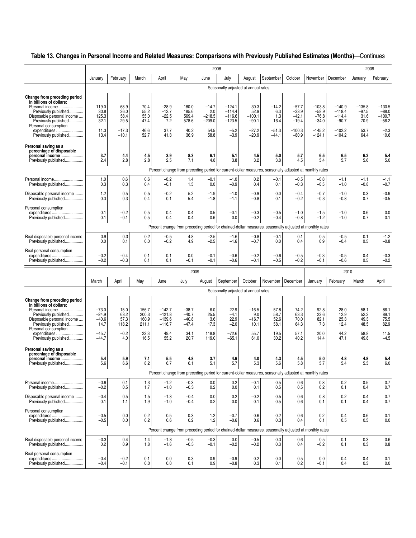## **Table 13. Changes in Personal Income and Related Measures: Comparisons with Previously Published Estimates (Months)**—Continues

|                                                                                                                                                                                                                          |                                                             |                                                    |                                                  |                                                              |                                                          | 2008                                                 |                                                                  |                                                         |                                                                                                        |                                                                 |                                                                   |                                                                     | 2009                                                |                                                              |
|--------------------------------------------------------------------------------------------------------------------------------------------------------------------------------------------------------------------------|-------------------------------------------------------------|----------------------------------------------------|--------------------------------------------------|--------------------------------------------------------------|----------------------------------------------------------|------------------------------------------------------|------------------------------------------------------------------|---------------------------------------------------------|--------------------------------------------------------------------------------------------------------|-----------------------------------------------------------------|-------------------------------------------------------------------|---------------------------------------------------------------------|-----------------------------------------------------|--------------------------------------------------------------|
|                                                                                                                                                                                                                          | January                                                     | February                                           | March                                            | April                                                        | May                                                      | June                                                 | July                                                             | August                                                  | September                                                                                              | October                                                         | November                                                          | December                                                            | January                                             | February                                                     |
|                                                                                                                                                                                                                          |                                                             |                                                    |                                                  |                                                              |                                                          |                                                      | Seasonally adjusted at annual rates                              |                                                         |                                                                                                        |                                                                 |                                                                   |                                                                     |                                                     |                                                              |
| Change from preceding period<br>in billions of dollars:<br>Personal income<br>Previously published<br>Disposable personal income<br>Previously published<br>Personal consumption<br>expenditures<br>Previously published | 119.0<br>30.8<br>125.3<br>32.1<br>11.3<br>13.4              | 68.9<br>36.0<br>58.4<br>29.5<br>$-17.3$<br>$-10.1$ | 70.4<br>55.2<br>55.0<br>47.4<br>46.6<br>52.7     | $-28.9$<br>$-12.7$<br>$-22.5$<br>7.2<br>37.7<br>41.3         | 180.0<br>185.6<br>569.4<br>578.6<br>40.2<br>36.9         | $-14.7$<br>2.0<br>$-218.5$<br>–209.0<br>54.5<br>58.8 | $-124.1$<br>$-114.4$<br>$-116.6$<br>$-123.5$<br>$-5.2$<br>$-3.9$ | 30.3<br>52.9<br>$-100.1$<br>-90.1<br>$-27.2$<br>$-20.9$ | $-14.2$<br>6.3<br>1.3<br>16.4<br>$-51.3$<br>-44.1                                                      | $-57.7$<br>$-33.9$<br>$-42.1$<br>$-19.4$<br>$-100.3$<br>$-80.9$ | $-103.8$<br>$-58.9$<br>$-76.8$<br>$-34.0$<br>$-145.2$<br>$-124.1$ | $-140.9$<br>$-118.4$<br>$-114.4$<br>$-90.7$<br>$-102.2$<br>$-104.2$ | $-135.8$<br>$-97.5$<br>31.6<br>70.9<br>53.7<br>64.4 | $-130.5$<br>$-88.0$<br>$-100.7$<br>$-56.2$<br>$-2.3$<br>10.6 |
| Personal saving as a<br>percentage of disposable<br>personal income<br>Previously published                                                                                                                              | 3.7<br>2.4                                                  | 4.4<br>2.8                                         | 4.5<br>2.8                                       | 3.9<br>2.5                                                   | 8.3<br>7.1                                               | 6.1<br>4.8                                           | 5.1<br>3.8                                                       | 4.5<br>3.2                                              | 5.0<br>3.8                                                                                             | 5.7<br>4.5                                                      | 6.5<br>5.4                                                        | 6.5<br>5.7                                                          | 6.2<br>5.6                                          | 5.4<br>5.0                                                   |
|                                                                                                                                                                                                                          |                                                             |                                                    |                                                  |                                                              |                                                          |                                                      |                                                                  |                                                         | Percent change from preceding period for current-dollar measures, seasonally adjusted at monthly rates |                                                                 |                                                                   |                                                                     |                                                     |                                                              |
| Personal income<br>Previously published                                                                                                                                                                                  | 1.0<br>0.3                                                  | 0.6<br>0.3                                         | 0.6<br>0.4                                       | $-0.2$<br>$-0.1$                                             | 1.4<br>1.5                                               | $-0.1$<br>0.0                                        | $-1.0$<br>-0.9                                                   | 0.2<br>0.4                                              | $-0.1$<br>0.1                                                                                          | $-0.5$<br>$-0.3$                                                | $-0.8$<br>$-0.5$                                                  | $-1.1$<br>$-1.0$                                                    | $-1.1$<br>$-0.8$                                    | $-1.1$<br>$-0.7$                                             |
| Disposable personal income<br>Previously published                                                                                                                                                                       | 1.2<br>0.3                                                  | 0.5<br>0.3                                         | 0.5<br>0.4                                       | $-0.2$<br>0.1                                                | 5.2<br>5.4                                               | $-1.9$<br>$-1.8$                                     | $-1.0$<br>$-1.1$                                                 | -0.9<br>$-0.8$                                          | 0.0<br>0.1                                                                                             | $-0.4$<br>$-0.2$                                                | $-0.7$<br>$-0.3$                                                  | $-1.0$<br>$-0.8$                                                    | 0.3<br>0.7                                          | $-0.9$<br>$-0.5$                                             |
| Personal consumption<br>expenditures<br>Previously published                                                                                                                                                             | 0.1<br>0.1                                                  | $-0.2$<br>$-0.1$                                   | 0.5<br>0.5                                       | 0.4<br>0.4                                                   | 0.4<br>0.4                                               | 0.5<br>0.6                                           | -0.1<br>0.0                                                      | -0.3<br>$-0.2$                                          | $-0.5$<br>-0.4                                                                                         | $-1.0$<br>-0.8                                                  | $-1.5$<br>$-1.2$                                                  | $-1.0$<br>$-1.0$                                                    | 0.6<br>0.7                                          | 0.0<br>0.1                                                   |
|                                                                                                                                                                                                                          |                                                             |                                                    |                                                  |                                                              |                                                          |                                                      |                                                                  |                                                         | Percent change from preceding period for chained-dollar measures, seasonally adjusted at monthly rates |                                                                 |                                                                   |                                                                     |                                                     |                                                              |
| Real disposable personal income<br>Previously published                                                                                                                                                                  | 0.9<br>0.0                                                  | 0.3<br>0.1                                         | 0.2<br>0.0                                       | $-0.5$<br>$-0.2$                                             | 4.8<br>4.9                                               | $-2.5$<br>$-2.5$                                     | $-1.6$<br>$-1.6$                                                 | $-0.8$<br>$-0.7$                                        | $-0.1$<br>0.0                                                                                          | 0.1<br>0.4                                                      | 0.5<br>0.9                                                        | $-0.5$<br>$-0.4$                                                    | 0.1<br>0.5                                          | $-1.2$<br>$-0.8$                                             |
| Real personal consumption<br>expenditures<br>Previously published                                                                                                                                                        | $-0.2$<br>$-0.2$                                            | $-0.4$<br>$-0.3$                                   | 0.1<br>0.1                                       | 0.1<br>0.1                                                   | 0.0<br>$-0.1$                                            | $-0.1$<br>$-0.1$                                     | $-0.6$<br>$-0.6$                                                 | $-0.2$<br>$-0.1$                                        | $-0.6$<br>$-0.5$                                                                                       | $-0.5$<br>$-0.2$                                                | $-0.3$<br>$-0.1$                                                  | $-0.5$<br>$-0.6$                                                    | 0.4<br>0.5                                          | $-0.3$<br>$-0.2$                                             |
|                                                                                                                                                                                                                          |                                                             |                                                    |                                                  |                                                              | 2009                                                     |                                                      |                                                                  |                                                         |                                                                                                        |                                                                 |                                                                   | 2010                                                                |                                                     |                                                              |
|                                                                                                                                                                                                                          | March                                                       | April                                              | May                                              | June                                                         | July                                                     | August                                               | September                                                        | October                                                 | November                                                                                               | December                                                        | January                                                           | February                                                            | March                                               | April                                                        |
|                                                                                                                                                                                                                          |                                                             |                                                    |                                                  |                                                              |                                                          |                                                      | Seasonally adjusted at annual rates                              |                                                         |                                                                                                        |                                                                 |                                                                   |                                                                     |                                                     |                                                              |
| Change from preceding period<br>in billions of dollars:<br>Personal income<br>Previously published<br>Disposable personal income<br>Previously published<br>Personal consumption<br>expenditures<br>Previously published | $-73.0$<br>$-24.9$<br>$-40.6$<br>14.7<br>$-45.7$<br>$-44.7$ | 15.0<br>63.2<br>57.3<br>118.2<br>$-0.2$<br>4.0     | 156.7<br>200.3<br>160.9<br>211.1<br>22.3<br>16.5 | $-142.7$<br>$-121.8$<br>$-139.6$<br>$-116.7$<br>49.4<br>55.2 | $-38.7$<br>$-40.7$<br>$-40.8$<br>$-47.4$<br>34.1<br>20.7 | 6.0<br>25.5<br>3.6<br>17.3<br>118.8<br>119.0         | 22.9<br>-4.1<br>22.9<br>$-2.0$<br>$-72.6$<br>$-65.1$             | $-16.5$<br>9.0<br>$-16.7$<br>10.1<br>55.7<br>61.0       | 57.8<br>58.7<br>52.6<br>58.1<br>19.5<br>30.2                                                           | 74.2<br>63.3<br>70.0<br>64.3<br>57.1<br>40.2                    | 92.8<br>23.6<br>82.1<br>7.3<br>20.0<br>14.4                       | 28.0<br>12.9<br>25.3<br>12.4<br>44.2<br>47.1                        | 58.1<br>52.2<br>49.3<br>48.5<br>58.8<br>49.8        | 86.1<br>89.1<br>75.5<br>82.9<br>11.5<br>$-4.5$               |
| Personal saving as a<br>percentage of disposable<br>personal income<br>Previously published                                                                                                                              | 5.4<br>5.6                                                  | 5.9<br>6.6                                         | 7.1<br>8.2                                       | 5.5<br>6.7                                                   | 4.8<br>6.1                                               | 3.7<br>5.1                                           | 4.6<br>5.7                                                       | 4.0<br>5.3                                              | 4.3<br>5.6                                                                                             | 4.5<br>5.8                                                      | 5.0<br>5.7                                                        | 4.8<br>5.4                                                          | 4.8<br>5.3                                          | 5.4<br>6.0                                                   |
|                                                                                                                                                                                                                          |                                                             |                                                    |                                                  |                                                              |                                                          |                                                      |                                                                  |                                                         | Percent change from preceding period for current-dollar measures, seasonally adjusted at monthly rates |                                                                 |                                                                   |                                                                     |                                                     |                                                              |
| Personal income<br>Previously published                                                                                                                                                                                  | $-0.6$<br>$-0.2$                                            | 0.1<br>0.5                                         | 1.3<br>1.7                                       | $-1.2$<br>$-1.0$                                             | $-0.3$<br>$-0.3$                                         | 0.0<br>0.2                                           | 0.2<br>0.0                                                       | $-0.1$<br>0.1                                           | 0.5<br>0.5                                                                                             | 0.6<br>0.5                                                      | 0.8<br>0.2                                                        | 0.2<br>0.1                                                          | 0.5<br>0.4                                          | 0.7<br>0.7                                                   |
| Disposable personal income<br>Previously published                                                                                                                                                                       | $-0.4$<br>0.1                                               | 0.5<br>1.1                                         | 1.5<br>1.9                                       | $-1.3$<br>$-1.0$                                             | $-0.4$<br>$-0.4$                                         | 0.0<br>0.2                                           | 0.2<br>0.0                                                       | $-0.2$<br>0.1                                           | 0.5<br>0.5                                                                                             | 0.6<br>0.6                                                      | 0.8<br>0.1                                                        | 0.2<br>0.1                                                          | 0.4<br>0.4                                          | 0.7<br>0.7                                                   |
| Personal consumption<br>expenditures<br>Previously published                                                                                                                                                             | $-0.5$<br>$-0.5$                                            | 0.0<br>0.0                                         | $0.2$<br>$0.2$                                   | 0.5<br>0.6                                                   | 0.3<br>0.2                                               | $1.2$<br>$1.2$                                       | $-0.7$<br>-0.6                                                   | 0.6<br>0.6                                              | $0.2 \\ 0.3$                                                                                           | 0.6<br>0.4                                                      | 0.2<br>0.1                                                        | 0.4<br>0.5                                                          | 0.6<br>0.5                                          | 0.1<br>0.0                                                   |
|                                                                                                                                                                                                                          |                                                             |                                                    |                                                  |                                                              |                                                          |                                                      |                                                                  |                                                         | Percent change from preceding period for chained-dollar measures, seasonally adjusted at monthly rates |                                                                 |                                                                   |                                                                     |                                                     |                                                              |
| Real disposable personal income<br>Previously published                                                                                                                                                                  | $-0.3$<br>0.2                                               | 0.4<br>0.9                                         | 1.4<br>1.8                                       | $-1.8$<br>$-1.6$                                             | $-0.5$<br>$-0.5$                                         | $-0.3$<br>$-0.1$                                     | $0.0\,$<br>$-0.2$                                                | $-0.5$<br>$-0.2$                                        | 0.3<br>0.3                                                                                             | 0.6<br>0.4                                                      | 0.5<br>$-0.2$                                                     | 0.1<br>0.1                                                          | 0.3<br>0.3                                          | 0.6<br>0.8                                                   |
| Real personal consumption<br>expenditures<br>Previously published                                                                                                                                                        | $-0.4$<br>$-0.4$                                            | $-0.2$<br>$-0.1$                                   | 0.1<br>0.0                                       | 0.0<br>0.0                                                   | 0.3<br>0.1                                               | 0.9<br>0.9                                           | $-0.9$<br>$-0.8$                                                 | $0.2$<br>$0.3$                                          | 0.0<br>0.1                                                                                             | 0.5<br>0.2                                                      | 0.0<br>-0.1                                                       | 0.4<br>0.4                                                          | 0.4<br>0.3                                          | 0.1<br>0.0                                                   |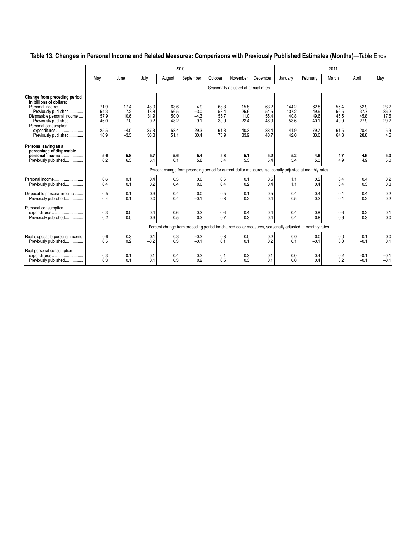## **Table 13. Changes in Personal Income and Related Measures: Comparisons with Previously Published Estimates (Months)**—Table Ends

|                                                                                                                                                                                   |            | 2010<br>2011<br>July<br>September<br>October<br>November<br>December<br>April<br>June<br>February<br>March<br>August<br>January<br>Seasonally adjusted at annual rates<br>71.9<br>63.6<br>68.3<br>63.2<br>62.8<br>17.4<br>48.0<br>4.9<br>15.8<br>144.2<br>55.4<br>52.9<br>7.2<br>37.7<br>54.3<br>56.5<br>$-3.0$<br>25.6<br>54.5<br>137.2<br>49.9<br>56.5<br>18.8<br>53.4<br>31.9<br>$-4.3$<br>11.0<br>55.4<br>45.5<br>57.9<br>10.6<br>50.0<br>56.7<br>40.8<br>49.6<br>45.8<br>7.0<br>0.2<br>48.2<br>39.9<br>46.9<br>27.9<br>46.0<br>$-9.1$<br>22.4<br>53.6<br>40.1<br>49.0<br>29.3<br>38.4<br>25.5<br>$-4.0$<br>37.3<br>58.4<br>61.8<br>40.3<br>41.9<br>79.7<br>61.5<br>20.4<br>30.4<br>16.9<br>$-3.3$<br>33.3<br>51.1<br>73.9<br>33.9<br>40.7<br>42.0<br>83.0<br>64.3<br>28.8<br>5.6<br>5.8<br>5.7<br>5.6<br>5.4<br>5.3<br>5.1<br>5.2<br>4.9<br>4.7<br>4.9<br>5.2<br>6.3<br>5.4<br>6.1<br>6.1<br>5.8<br>5.4<br>5.3<br>5.4<br>4.9<br>4.9<br>6.2<br>5.0<br>Percent change from preceding period for current-dollar measures, seasonally adjusted at monthly rates<br>0.6<br>0.4<br>0.5<br>0.0<br>0.5<br>0.1<br>0.1<br>0.5<br>1.1<br>0.5<br>0.4<br>0.4<br>0.1<br>0.3<br>0.2<br>0.0<br>0.4<br>0.2<br>1.1<br>0.4<br>0.4<br>0.4<br>0.4<br>0.4<br>0.5<br>0.1<br>0.3<br>0.4<br>0.0<br>0.5<br>0.1<br>0.5<br>0.4<br>0.4<br>0.4<br>0.4<br>0.0<br>0.2<br>0.5<br>0.1<br>0.4<br>$-0.1$<br>0.3<br>0.4<br>0.3<br>0.4<br>0.2<br>0.4<br>0.3<br>0.3<br>0.2<br>0.0<br>0.4<br>0.6<br>0.6<br>0.4<br>0.4<br>0.4<br>0.8<br>0.6<br>0.3<br>0.3<br>0.3<br>0.3<br>0.2<br>0.0<br>0.7<br>0.5<br>0.4<br>0.4<br>0.8<br>0.6<br>Percent change from preceding period for chained-dollar measures, seasonally adjusted at monthly rates<br>0.6<br>0.3<br>0.3<br>$-0.2$<br>0.3<br>0.0<br>0.0<br>0.1<br>0.2<br>0.0<br>0.0<br>0.1<br>0.2<br>0.3<br>0.5<br>$-0.2$<br>$-0.1$<br>0.1<br>0.1<br>0.2<br>0.1<br>0.0<br>$-0.1$<br>$-0.1$ |            |            |            |            |            |            |            |            |            |                  |                              |
|-----------------------------------------------------------------------------------------------------------------------------------------------------------------------------------|------------|----------------------------------------------------------------------------------------------------------------------------------------------------------------------------------------------------------------------------------------------------------------------------------------------------------------------------------------------------------------------------------------------------------------------------------------------------------------------------------------------------------------------------------------------------------------------------------------------------------------------------------------------------------------------------------------------------------------------------------------------------------------------------------------------------------------------------------------------------------------------------------------------------------------------------------------------------------------------------------------------------------------------------------------------------------------------------------------------------------------------------------------------------------------------------------------------------------------------------------------------------------------------------------------------------------------------------------------------------------------------------------------------------------------------------------------------------------------------------------------------------------------------------------------------------------------------------------------------------------------------------------------------------------------------------------------------------------------------------------------------------------------------------------------------------------------------------------------------------------------------------------------------|------------|------------|------------|------------|------------|------------|------------|------------|------------|------------------|------------------------------|
|                                                                                                                                                                                   | May        |                                                                                                                                                                                                                                                                                                                                                                                                                                                                                                                                                                                                                                                                                                                                                                                                                                                                                                                                                                                                                                                                                                                                                                                                                                                                                                                                                                                                                                                                                                                                                                                                                                                                                                                                                                                                                                                                                              |            |            |            |            |            |            |            |            |            |                  | May                          |
|                                                                                                                                                                                   |            |                                                                                                                                                                                                                                                                                                                                                                                                                                                                                                                                                                                                                                                                                                                                                                                                                                                                                                                                                                                                                                                                                                                                                                                                                                                                                                                                                                                                                                                                                                                                                                                                                                                                                                                                                                                                                                                                                              |            |            |            |            |            |            |            |            |            |                  |                              |
| Change from preceding period<br>in billions of dollars:<br>Personal income.<br>Previously published<br>Disposable personal income<br>Previously published<br>Personal consumption |            |                                                                                                                                                                                                                                                                                                                                                                                                                                                                                                                                                                                                                                                                                                                                                                                                                                                                                                                                                                                                                                                                                                                                                                                                                                                                                                                                                                                                                                                                                                                                                                                                                                                                                                                                                                                                                                                                                              |            |            |            |            |            |            |            |            |            |                  | 23.2<br>36.2<br>17.6<br>29.2 |
| expenditures<br>Previously published                                                                                                                                              |            |                                                                                                                                                                                                                                                                                                                                                                                                                                                                                                                                                                                                                                                                                                                                                                                                                                                                                                                                                                                                                                                                                                                                                                                                                                                                                                                                                                                                                                                                                                                                                                                                                                                                                                                                                                                                                                                                                              |            |            |            |            |            |            |            |            |            |                  | 5.9<br>4.6                   |
| Personal saving as a<br>percentage of disposable<br>personal income<br>Previously published                                                                                       |            |                                                                                                                                                                                                                                                                                                                                                                                                                                                                                                                                                                                                                                                                                                                                                                                                                                                                                                                                                                                                                                                                                                                                                                                                                                                                                                                                                                                                                                                                                                                                                                                                                                                                                                                                                                                                                                                                                              |            |            |            |            |            |            |            |            |            |                  | 5.0<br>5.0                   |
|                                                                                                                                                                                   |            |                                                                                                                                                                                                                                                                                                                                                                                                                                                                                                                                                                                                                                                                                                                                                                                                                                                                                                                                                                                                                                                                                                                                                                                                                                                                                                                                                                                                                                                                                                                                                                                                                                                                                                                                                                                                                                                                                              |            |            |            |            |            |            |            |            |            |                  |                              |
| Personal income<br>Previously published                                                                                                                                           |            |                                                                                                                                                                                                                                                                                                                                                                                                                                                                                                                                                                                                                                                                                                                                                                                                                                                                                                                                                                                                                                                                                                                                                                                                                                                                                                                                                                                                                                                                                                                                                                                                                                                                                                                                                                                                                                                                                              |            |            |            |            |            |            |            |            |            |                  | 0.2<br>0.3                   |
| Disposable personal income<br>Previously published                                                                                                                                |            |                                                                                                                                                                                                                                                                                                                                                                                                                                                                                                                                                                                                                                                                                                                                                                                                                                                                                                                                                                                                                                                                                                                                                                                                                                                                                                                                                                                                                                                                                                                                                                                                                                                                                                                                                                                                                                                                                              |            |            |            |            |            |            |            |            |            |                  | 0.2<br>0.2                   |
| Personal consumption<br>expenditures<br>Previously published                                                                                                                      |            |                                                                                                                                                                                                                                                                                                                                                                                                                                                                                                                                                                                                                                                                                                                                                                                                                                                                                                                                                                                                                                                                                                                                                                                                                                                                                                                                                                                                                                                                                                                                                                                                                                                                                                                                                                                                                                                                                              |            |            |            |            |            |            |            |            |            |                  | 0.1<br>0.0                   |
|                                                                                                                                                                                   |            |                                                                                                                                                                                                                                                                                                                                                                                                                                                                                                                                                                                                                                                                                                                                                                                                                                                                                                                                                                                                                                                                                                                                                                                                                                                                                                                                                                                                                                                                                                                                                                                                                                                                                                                                                                                                                                                                                              |            |            |            |            |            |            |            |            |            |                  |                              |
| Real disposable personal income<br>Previously published                                                                                                                           |            |                                                                                                                                                                                                                                                                                                                                                                                                                                                                                                                                                                                                                                                                                                                                                                                                                                                                                                                                                                                                                                                                                                                                                                                                                                                                                                                                                                                                                                                                                                                                                                                                                                                                                                                                                                                                                                                                                              |            |            |            |            |            |            |            |            |            |                  | 0.0<br>0.1                   |
| Real personal consumption<br>expenditures<br>Previously published                                                                                                                 | 0.3<br>0.3 | 0.1<br>0.1                                                                                                                                                                                                                                                                                                                                                                                                                                                                                                                                                                                                                                                                                                                                                                                                                                                                                                                                                                                                                                                                                                                                                                                                                                                                                                                                                                                                                                                                                                                                                                                                                                                                                                                                                                                                                                                                                   | 0.1<br>0.1 | 0.4<br>0.3 | 0.2<br>0.2 | 0.4<br>0.5 | 0.3<br>0.3 | 0.1<br>0.1 | 0.0<br>0.0 | 0.4<br>0.4 | 0.2<br>0.2 | $-0.1$<br>$-0.1$ | $-0.1$<br>$-0.1$             |